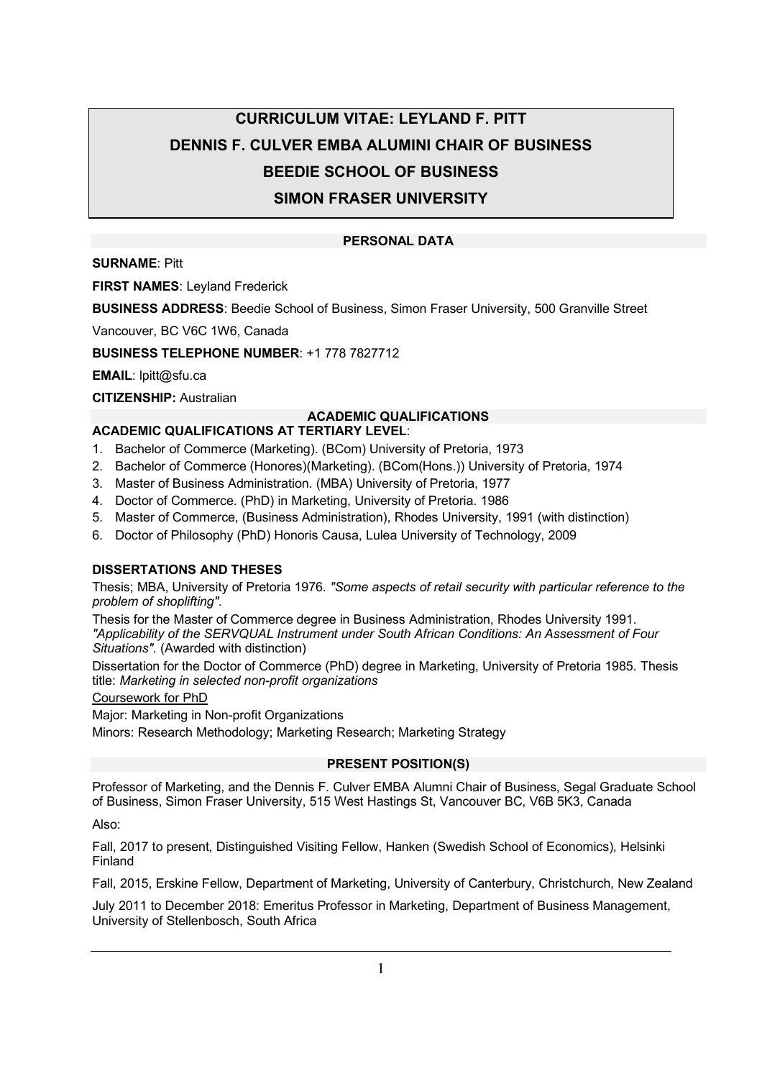# **CURRICULUM VITAE: LEYLAND F. PITT DENNIS F. CULVER EMBA ALUMINI CHAIR OF BUSINESS BEEDIE SCHOOL OF BUSINESS SIMON FRASER UNIVERSITY**

# **PERSONAL DATA**

**SURNAME**: Pitt

**FIRST NAMES**: Leyland Frederick

**BUSINESS ADDRESS**: Beedie School of Business, Simon Fraser University, 500 Granville Street

Vancouver, BC V6C 1W6, Canada

**BUSINESS TELEPHONE NUMBER**: +1 778 7827712

**EMAIL**: lpitt@sfu.ca

**CITIZENSHIP:** Australian

#### **ACADEMIC QUALIFICATIONS**

## **ACADEMIC QUALIFICATIONS AT TERTIARY LEVEL**:

- 1. Bachelor of Commerce (Marketing). (BCom) University of Pretoria, 1973
- 2. Bachelor of Commerce (Honores)(Marketing). (BCom(Hons.)) University of Pretoria, 1974
- 3. Master of Business Administration. (MBA) University of Pretoria, 1977
- 4. Doctor of Commerce. (PhD) in Marketing, University of Pretoria. 1986
- 5. Master of Commerce, (Business Administration), Rhodes University, 1991 (with distinction)
- 6. Doctor of Philosophy (PhD) Honoris Causa, Lulea University of Technology, 2009

## **DISSERTATIONS AND THESES**

Thesis; MBA, University of Pretoria 1976. *"Some aspects of retail security with particular reference to the problem of shoplifting"*.

Thesis for the Master of Commerce degree in Business Administration, Rhodes University 1991. *"Applicability of the SERVQUAL Instrument under South African Conditions: An Assessment of Four Situations".* (Awarded with distinction)

Dissertation for the Doctor of Commerce (PhD) degree in Marketing, University of Pretoria 1985. Thesis title: *Marketing in selected non-profit organizations*

#### Coursework for PhD

Major: Marketing in Non-profit Organizations

Minors: Research Methodology; Marketing Research; Marketing Strategy

## **PRESENT POSITION(S)**

Professor of Marketing, and the Dennis F. Culver EMBA Alumni Chair of Business, Segal Graduate School of Business, Simon Fraser University, 515 West Hastings St, Vancouver BC, V6B 5K3, Canada

Also:

Fall, 2017 to present, Distinguished Visiting Fellow, Hanken (Swedish School of Economics), Helsinki Finland

Fall, 2015, Erskine Fellow, Department of Marketing, University of Canterbury, Christchurch, New Zealand

July 2011 to December 2018: Emeritus Professor in Marketing, Department of Business Management, University of Stellenbosch, South Africa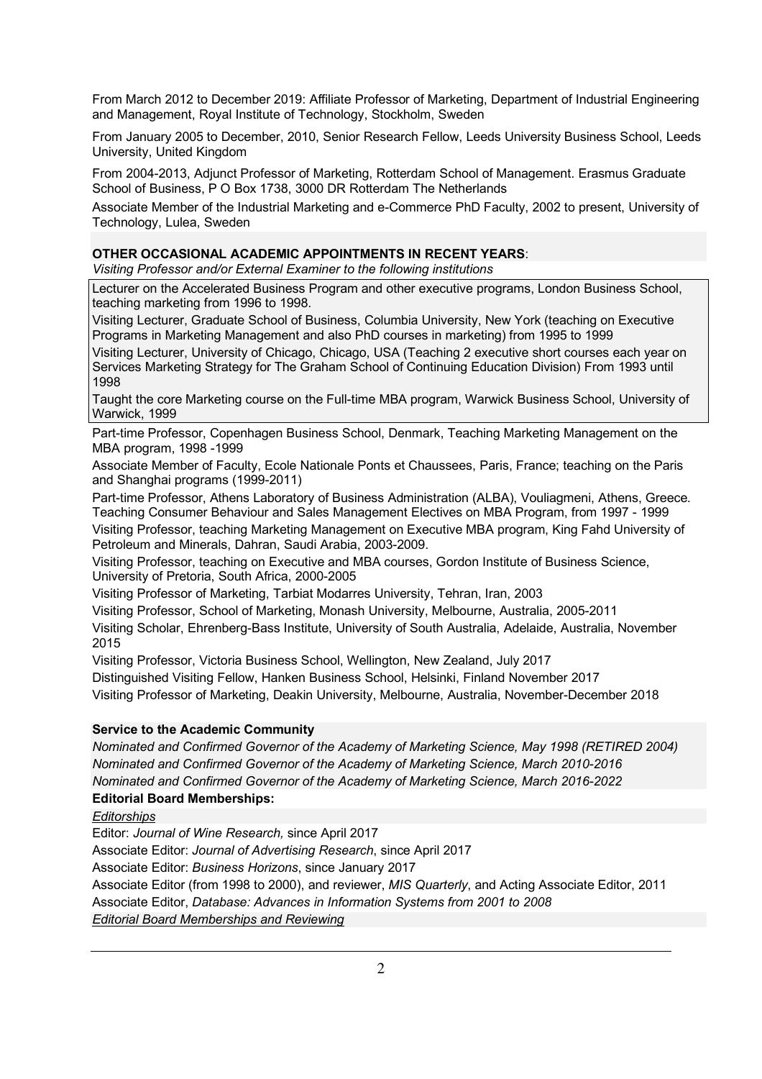From March 2012 to December 2019: Affiliate Professor of Marketing, Department of Industrial Engineering and Management, Royal Institute of Technology, Stockholm, Sweden

From January 2005 to December, 2010, Senior Research Fellow, Leeds University Business School, Leeds University, United Kingdom

From 2004-2013, Adjunct Professor of Marketing, Rotterdam School of Management. Erasmus Graduate School of Business, P O Box 1738, 3000 DR Rotterdam The Netherlands

Associate Member of the Industrial Marketing and e-Commerce PhD Faculty, 2002 to present, University of Technology, Lulea, Sweden

## **OTHER OCCASIONAL ACADEMIC APPOINTMENTS IN RECENT YEARS**:

*Visiting Professor and/or External Examiner to the following institutions* 

Lecturer on the Accelerated Business Program and other executive programs, London Business School, teaching marketing from 1996 to 1998.

Visiting Lecturer, Graduate School of Business, Columbia University, New York (teaching on Executive Programs in Marketing Management and also PhD courses in marketing) from 1995 to 1999

Visiting Lecturer, University of Chicago, Chicago, USA (Teaching 2 executive short courses each year on Services Marketing Strategy for The Graham School of Continuing Education Division) From 1993 until 1998

Taught the core Marketing course on the Full-time MBA program, Warwick Business School, University of Warwick, 1999

Part-time Professor, Copenhagen Business School, Denmark, Teaching Marketing Management on the MBA program, 1998 -1999

Associate Member of Faculty, Ecole Nationale Ponts et Chaussees, Paris, France; teaching on the Paris and Shanghai programs (1999-2011)

Part-time Professor, Athens Laboratory of Business Administration (ALBA), Vouliagmeni, Athens, Greece. Teaching Consumer Behaviour and Sales Management Electives on MBA Program, from 1997 - 1999

Visiting Professor, teaching Marketing Management on Executive MBA program, King Fahd University of Petroleum and Minerals, Dahran, Saudi Arabia, 2003-2009.

Visiting Professor, teaching on Executive and MBA courses, Gordon Institute of Business Science, University of Pretoria, South Africa, 2000-2005

Visiting Professor of Marketing, Tarbiat Modarres University, Tehran, Iran, 2003

Visiting Professor, School of Marketing, Monash University, Melbourne, Australia, 2005-2011

Visiting Scholar, Ehrenberg-Bass Institute, University of South Australia, Adelaide, Australia, November 2015

Visiting Professor, Victoria Business School, Wellington, New Zealand, July 2017

Distinguished Visiting Fellow, Hanken Business School, Helsinki, Finland November 2017

Visiting Professor of Marketing, Deakin University, Melbourne, Australia, November-December 2018

## **Service to the Academic Community**

*Nominated and Confirmed Governor of the Academy of Marketing Science, May 1998 (RETIRED 2004) Nominated and Confirmed Governor of the Academy of Marketing Science, March 2010-2016 Nominated and Confirmed Governor of the Academy of Marketing Science, March 2016-2022*

## **Editorial Board Memberships:**

*Editorships*

Editor: *Journal of Wine Research,* since April 2017

Associate Editor: *Journal of Advertising Research*, since April 2017

Associate Editor: *Business Horizons*, since January 2017

Associate Editor (from 1998 to 2000), and reviewer, *MIS Quarterly*, and Acting Associate Editor, 2011

Associate Editor, *Database: Advances in Information Systems from 2001 to 2008*

*Editorial Board Memberships and Reviewing*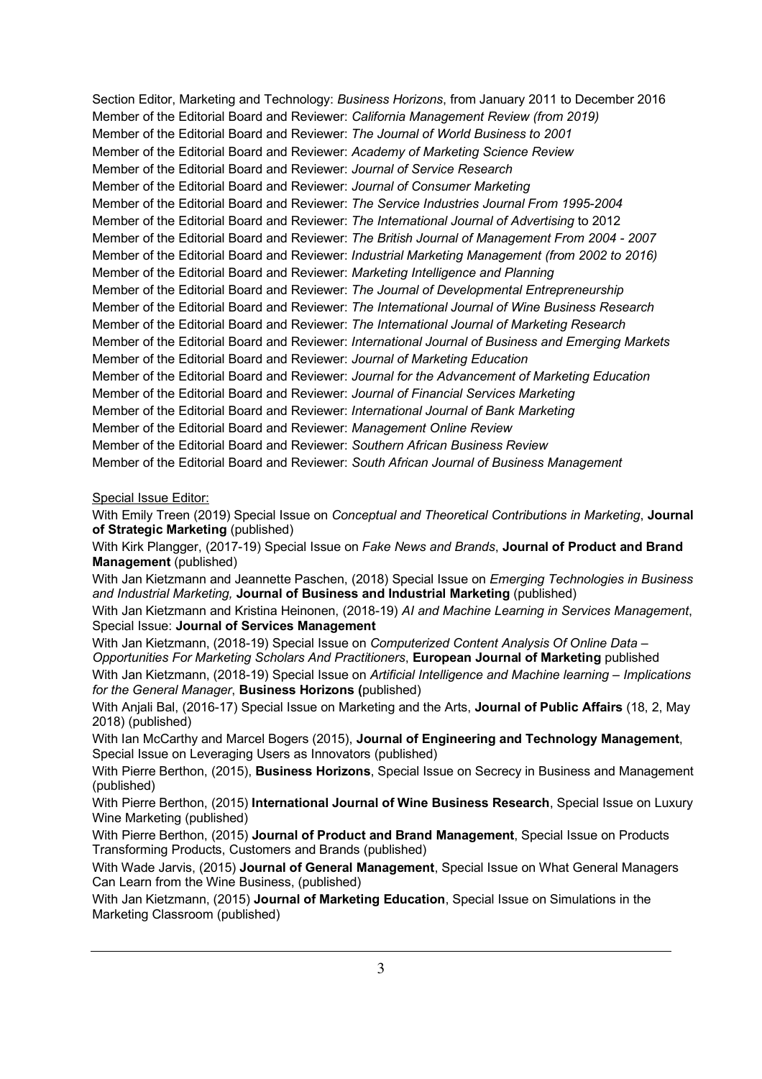Section Editor, Marketing and Technology: *Business Horizons*, from January 2011 to December 2016 Member of the Editorial Board and Reviewer: *California Management Review (from 2019)* Member of the Editorial Board and Reviewer: *The Journal of World Business to 2001* Member of the Editorial Board and Reviewer: *Academy of Marketing Science Review* Member of the Editorial Board and Reviewer: *Journal of Service Research* Member of the Editorial Board and Reviewer: *Journal of Consumer Marketing*  Member of the Editorial Board and Reviewer: *The Service Industries Journal From 1995-2004* Member of the Editorial Board and Reviewer: *The International Journal of Advertising* to 2012 Member of the Editorial Board and Reviewer: *The British Journal of Management From 2004 - 2007* Member of the Editorial Board and Reviewer: *Industrial Marketing Management (from 2002 to 2016)* Member of the Editorial Board and Reviewer: *Marketing Intelligence and Planning* Member of the Editorial Board and Reviewer: *The Journal of Developmental Entrepreneurship* Member of the Editorial Board and Reviewer: *The International Journal of Wine Business Research* Member of the Editorial Board and Reviewer: *The International Journal of Marketing Research* Member of the Editorial Board and Reviewer: *International Journal of Business and Emerging Markets* Member of the Editorial Board and Reviewer: *Journal of Marketing Education* Member of the Editorial Board and Reviewer: *Journal for the Advancement of Marketing Education* Member of the Editorial Board and Reviewer: *Journal of Financial Services Marketing* Member of the Editorial Board and Reviewer: *International Journal of Bank Marketing*  Member of the Editorial Board and Reviewer: *Management Online Review* Member of the Editorial Board and Reviewer: *Southern African Business Review* Member of the Editorial Board and Reviewer: *South African Journal of Business Management*

#### Special Issue Editor:

With Emily Treen (2019) Special Issue on *Conceptual and Theoretical Contributions in Marketing*, **Journal of Strategic Marketing** (published)

With Kirk Plangger, (2017-19) Special Issue on *Fake News and Brands*, **Journal of Product and Brand Management** (published)

With Jan Kietzmann and Jeannette Paschen, (2018) Special Issue on *Emerging Technologies in Business and Industrial Marketing,* **Journal of Business and Industrial Marketing** (published)

With Jan Kietzmann and Kristina Heinonen, (2018-19) *AI and Machine Learning in Services Management*, Special Issue: **Journal of Services Management**

With Jan Kietzmann, (2018-19) Special Issue on *Computerized Content Analysis Of Online Data – Opportunities For Marketing Scholars And Practitioners*, **European Journal of Marketing** published With Jan Kietzmann, (2018-19) Special Issue on *Artificial Intelligence and Machine learning – Implications for the General Manager*, **Business Horizons (**published)

With Anjali Bal, (2016-17) Special Issue on Marketing and the Arts, **Journal of Public Affairs** (18, 2, May 2018) (published)

With Ian McCarthy and Marcel Bogers (2015), **Journal of Engineering and Technology Management**, Special Issue on Leveraging Users as Innovators (published)

With Pierre Berthon, (2015), **Business Horizons**, Special Issue on Secrecy in Business and Management (published)

With Pierre Berthon, (2015) **International Journal of Wine Business Research**, Special Issue on Luxury Wine Marketing (published)

With Pierre Berthon, (2015) **Journal of Product and Brand Management**, Special Issue on Products Transforming Products, Customers and Brands (published)

With Wade Jarvis, (2015) **Journal of General Management**, Special Issue on What General Managers Can Learn from the Wine Business, (published)

With Jan Kietzmann, (2015) **Journal of Marketing Education**, Special Issue on Simulations in the Marketing Classroom (published)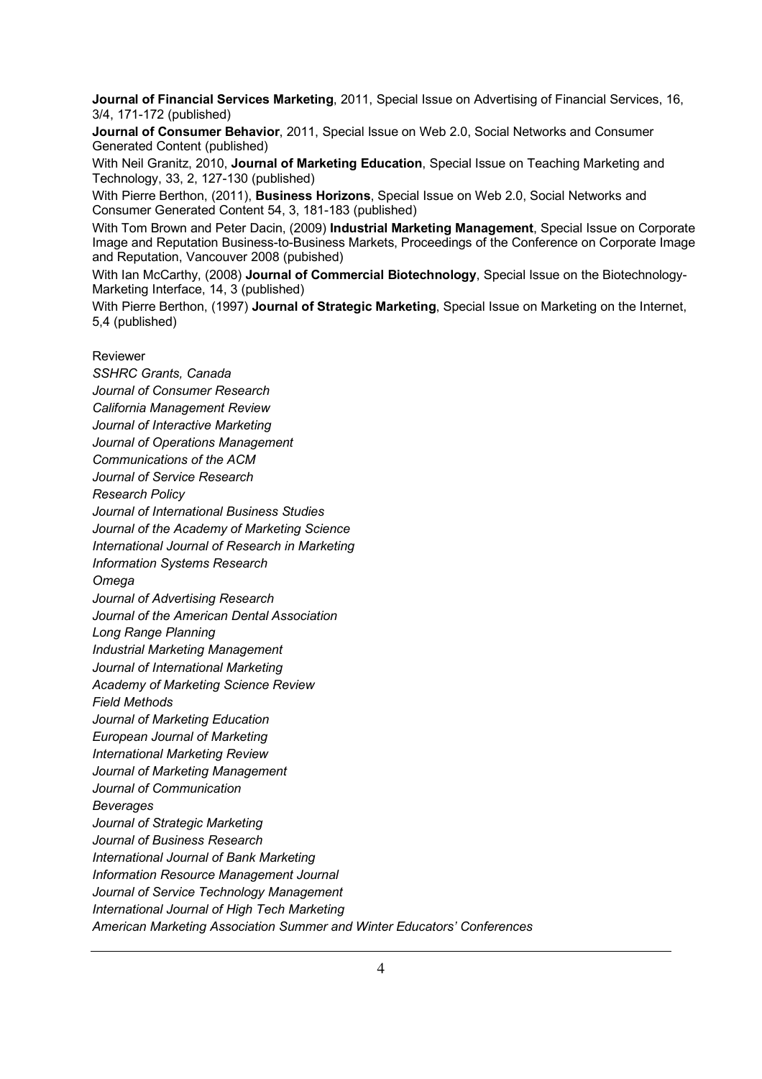**Journal of Financial Services Marketing**, 2011, Special Issue on Advertising of Financial Services, 16, 3/4, 171-172 (published)

**Journal of Consumer Behavior**, 2011, Special Issue on Web 2.0, Social Networks and Consumer Generated Content (published)

With Neil Granitz, 2010, **Journal of Marketing Education**, Special Issue on Teaching Marketing and Technology, 33, 2, 127-130 (published)

With Pierre Berthon, (2011), **Business Horizons**, Special Issue on Web 2.0, Social Networks and Consumer Generated Content 54, 3, 181-183 (published)

With Tom Brown and Peter Dacin, (2009) **Industrial Marketing Management**, Special Issue on Corporate Image and Reputation Business-to-Business Markets, Proceedings of the Conference on Corporate Image and Reputation, Vancouver 2008 (pubished)

With Ian McCarthy, (2008) **Journal of Commercial Biotechnology**, Special Issue on the Biotechnology-Marketing Interface, 14, 3 (published)

With Pierre Berthon, (1997) **Journal of Strategic Marketing**, Special Issue on Marketing on the Internet, 5,4 (published)

Reviewer

*SSHRC Grants, Canada Journal of Consumer Research California Management Review Journal of Interactive Marketing Journal of Operations Management Communications of the ACM Journal of Service Research Research Policy Journal of International Business Studies Journal of the Academy of Marketing Science International Journal of Research in Marketing Information Systems Research Omega Journal of Advertising Research Journal of the American Dental Association Long Range Planning Industrial Marketing Management Journal of International Marketing Academy of Marketing Science Review Field Methods Journal of Marketing Education European Journal of Marketing International Marketing Review Journal of Marketing Management Journal of Communication Beverages Journal of Strategic Marketing Journal of Business Research International Journal of Bank Marketing Information Resource Management Journal Journal of Service Technology Management International Journal of High Tech Marketing American Marketing Association Summer and Winter Educators' Conferences*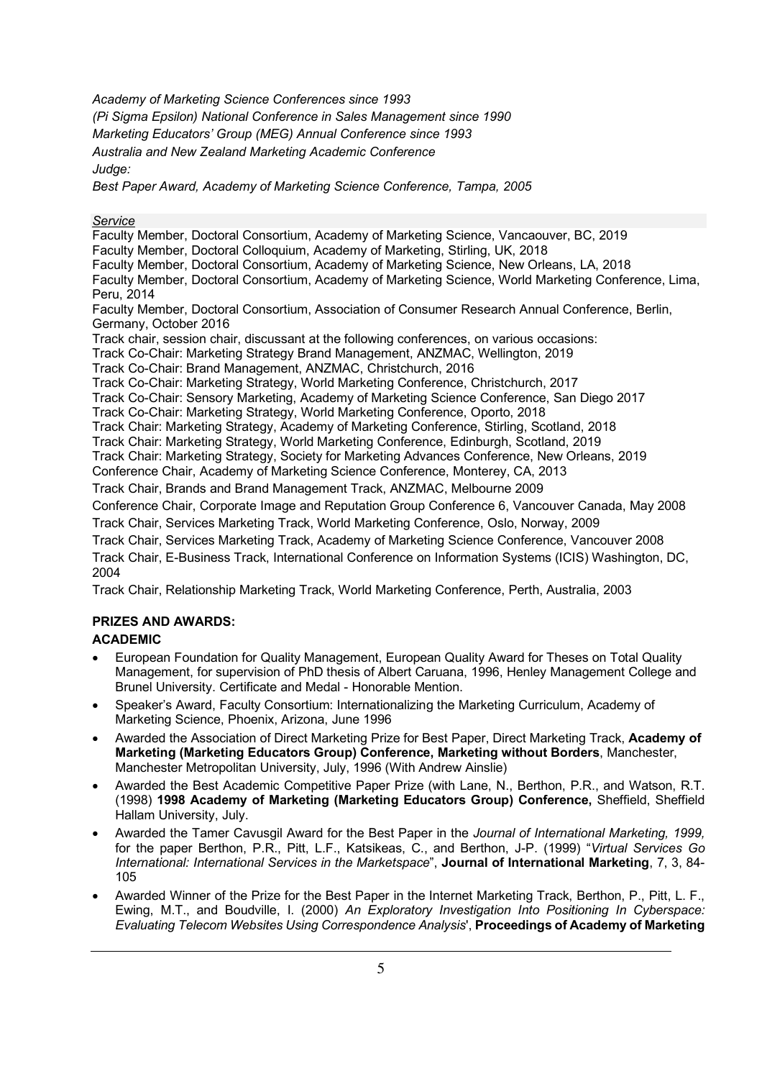*Academy of Marketing Science Conferences since 1993 (Pi Sigma Epsilon) National Conference in Sales Management since 1990 Marketing Educators' Group (MEG) Annual Conference since 1993 Australia and New Zealand Marketing Academic Conference Judge:*

*Best Paper Award, Academy of Marketing Science Conference, Tampa, 2005*

#### *Service*

Faculty Member, Doctoral Consortium, Academy of Marketing Science, Vancaouver, BC, 2019 Faculty Member, Doctoral Colloquium, Academy of Marketing, Stirling, UK, 2018 Faculty Member, Doctoral Consortium, Academy of Marketing Science, New Orleans, LA, 2018 Faculty Member, Doctoral Consortium, Academy of Marketing Science, World Marketing Conference, Lima, Peru, 2014 Faculty Member, Doctoral Consortium, Association of Consumer Research Annual Conference, Berlin, Germany, October 2016 Track chair, session chair, discussant at the following conferences, on various occasions: Track Co-Chair: Marketing Strategy Brand Management, ANZMAC, Wellington, 2019 Track Co-Chair: Brand Management, ANZMAC, Christchurch, 2016 Track Co-Chair: Marketing Strategy, World Marketing Conference, Christchurch, 2017 Track Co-Chair: Sensory Marketing, Academy of Marketing Science Conference, San Diego 2017 Track Co-Chair: Marketing Strategy, World Marketing Conference, Oporto, 2018 Track Chair: Marketing Strategy, Academy of Marketing Conference, Stirling, Scotland, 2018 Track Chair: Marketing Strategy, World Marketing Conference, Edinburgh, Scotland, 2019 Track Chair: Marketing Strategy, Society for Marketing Advances Conference, New Orleans, 2019 Conference Chair, Academy of Marketing Science Conference, Monterey, CA, 2013 Track Chair, Brands and Brand Management Track, ANZMAC, Melbourne 2009 Conference Chair, Corporate Image and Reputation Group Conference 6, Vancouver Canada, May 2008 Track Chair, Services Marketing Track, World Marketing Conference, Oslo, Norway, 2009 Track Chair, Services Marketing Track, Academy of Marketing Science Conference, Vancouver 2008 Track Chair, E-Business Track, International Conference on Information Systems (ICIS) Washington, DC, 2004

Track Chair, Relationship Marketing Track, World Marketing Conference, Perth, Australia, 2003

# **PRIZES AND AWARDS:**

# **ACADEMIC**

- European Foundation for Quality Management, European Quality Award for Theses on Total Quality Management, for supervision of PhD thesis of Albert Caruana, 1996, Henley Management College and Brunel University. Certificate and Medal - Honorable Mention.
- Speaker's Award, Faculty Consortium: Internationalizing the Marketing Curriculum, Academy of Marketing Science, Phoenix, Arizona, June 1996
- Awarded the Association of Direct Marketing Prize for Best Paper, Direct Marketing Track, **Academy of Marketing (Marketing Educators Group) Conference, Marketing without Borders**, Manchester, Manchester Metropolitan University, July, 1996 (With Andrew Ainslie)
- Awarded the Best Academic Competitive Paper Prize (with Lane, N., Berthon, P.R., and Watson, R.T. (1998) **1998 Academy of Marketing (Marketing Educators Group) Conference,** Sheffield, Sheffield Hallam University, July.
- Awarded the Tamer Cavusgil Award for the Best Paper in the *Journal of International Marketing, 1999,*  for the paper Berthon, P.R., Pitt, L.F., Katsikeas, C., and Berthon, J-P. (1999) "*Virtual Services Go International: International Services in the Marketspace*", **Journal of International Marketing**, 7, 3, 84- 105
- Awarded Winner of the Prize for the Best Paper in the Internet Marketing Track, Berthon, P., Pitt, L. F., Ewing, M.T., and Boudville, I. (2000) *An Exploratory Investigation Into Positioning In Cyberspace: Evaluating Telecom Websites Using Correspondence Analysis*', **Proceedings of Academy of Marketing**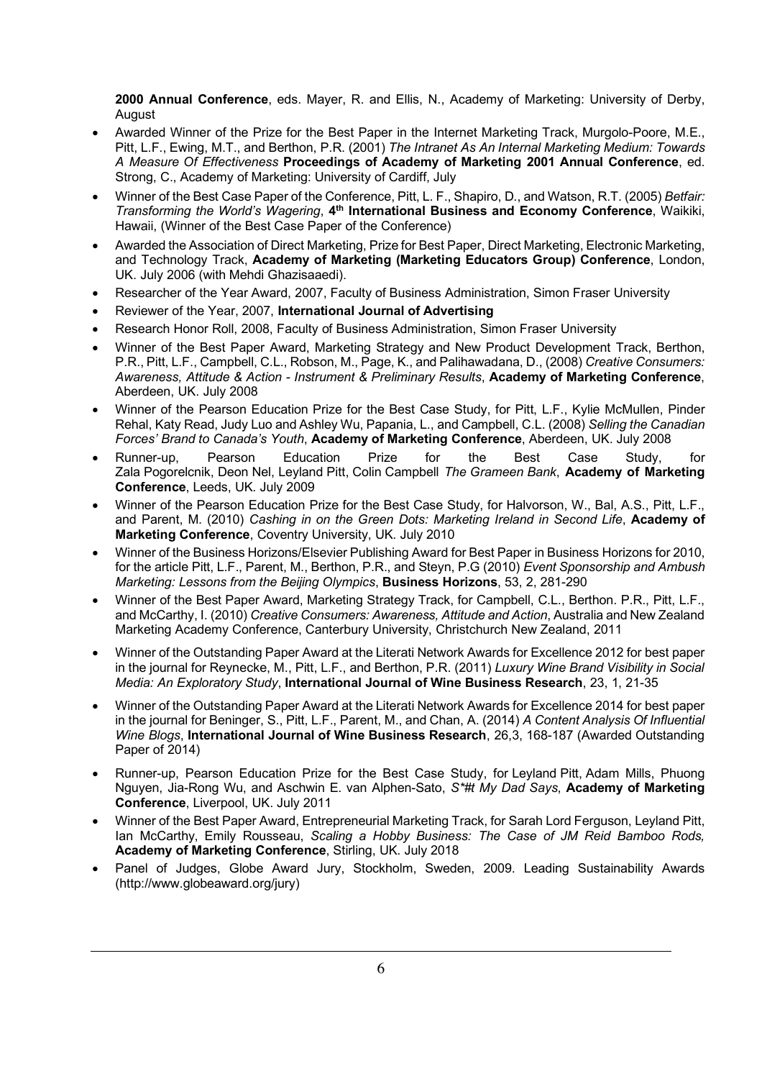**2000 Annual Conference**, eds. Mayer, R. and Ellis, N., Academy of Marketing: University of Derby, August

- Awarded Winner of the Prize for the Best Paper in the Internet Marketing Track, Murgolo-Poore, M.E., Pitt, L.F., Ewing, M.T., and Berthon, P.R. (2001) *The Intranet As An Internal Marketing Medium: Towards A Measure Of Effectiveness* **Proceedings of Academy of Marketing 2001 Annual Conference**, ed. Strong, C., Academy of Marketing: University of Cardiff, July
- Winner of the Best Case Paper of the Conference, Pitt, L. F., Shapiro, D., and Watson, R.T. (2005) *Betfair: Transforming the World's Wagering*, **4th International Business and Economy Conference**, Waikiki, Hawaii, (Winner of the Best Case Paper of the Conference)
- Awarded the Association of Direct Marketing, Prize for Best Paper, Direct Marketing, Electronic Marketing, and Technology Track, **Academy of Marketing (Marketing Educators Group) Conference**, London, UK. July 2006 (with Mehdi Ghazisaaedi).
- Researcher of the Year Award, 2007, Faculty of Business Administration, Simon Fraser University
- Reviewer of the Year, 2007, **International Journal of Advertising**
- Research Honor Roll, 2008, Faculty of Business Administration, Simon Fraser University
- Winner of the Best Paper Award, Marketing Strategy and New Product Development Track, Berthon, P.R., Pitt, L.F., Campbell, C.L., Robson, M., Page, K., and Palihawadana, D., (2008) *Creative Consumers: Awareness, Attitude & Action - Instrument & Preliminary Results*, **Academy of Marketing Conference**, Aberdeen, UK. July 2008
- Winner of the Pearson Education Prize for the Best Case Study, for Pitt, L.F., Kylie McMullen, Pinder Rehal, Katy Read, Judy Luo and Ashley Wu, Papania, L., and Campbell, C.L. (2008) *Selling the Canadian Forces' Brand to Canada's Youth*, **Academy of Marketing Conference**, Aberdeen, UK. July 2008
- Runner-up, Pearson Education Prize for the Best Case Study, for Zala Pogorelcnik, Deon Nel, Leyland Pitt, Colin Campbell *The Grameen Bank*, **Academy of Marketing Conference**, Leeds, UK. July 2009
- Winner of the Pearson Education Prize for the Best Case Study, for Halvorson, W., Bal, A.S., Pitt, L.F., and Parent, M. (2010) *Cashing in on the Green Dots: Marketing Ireland in Second Life*, **Academy of Marketing Conference**, Coventry University, UK. July 2010
- Winner of the Business Horizons/Elsevier Publishing Award for Best Paper in Business Horizons for 2010, for the article Pitt, L.F., Parent, M., Berthon, P.R., and Steyn, P.G (2010) *Event Sponsorship and Ambush Marketing: Lessons from the Beijing Olympics*, **Business Horizons**, 53, 2, 281-290
- Winner of the Best Paper Award, Marketing Strategy Track, for Campbell, C.L., Berthon. P.R., Pitt, L.F., and McCarthy, I. (2010) *Creative Consumers: Awareness, Attitude and Action*, Australia and New Zealand Marketing Academy Conference, Canterbury University, Christchurch New Zealand, 2011
- Winner of the Outstanding Paper Award at the Literati Network Awards for Excellence 2012 for best paper in the journal for Reynecke, M., Pitt, L.F., and Berthon, P.R. (2011) *Luxury Wine Brand Visibility in Social Media: An Exploratory Study*, **International Journal of Wine Business Research**, 23, 1, 21-35
- Winner of the Outstanding Paper Award at the Literati Network Awards for Excellence 2014 for best paper in the journal for Beninger, S., Pitt, L.F., Parent, M., and Chan, A. (2014) *A Content Analysis Of Influential Wine Blogs*, **International Journal of Wine Business Research**, 26,3, 168-187 (Awarded Outstanding Paper of 2014)
- Runner-up, Pearson Education Prize for the Best Case Study, for Leyland Pitt, Adam Mills, Phuong Nguyen, Jia-Rong Wu, and Aschwin E. van Alphen-Sato, *S\*#t My Dad Says*, **Academy of Marketing Conference**, Liverpool, UK. July 2011
- Winner of the Best Paper Award, Entrepreneurial Marketing Track, for Sarah Lord Ferguson, Leyland Pitt, Ian McCarthy, Emily Rousseau, *Scaling a Hobby Business: The Case of JM Reid Bamboo Rods,*  **Academy of Marketing Conference**, Stirling, UK. July 2018
- Panel of Judges, Globe Award Jury, Stockholm, Sweden, 2009. Leading Sustainability Awards (http://www.globeaward.org/jury)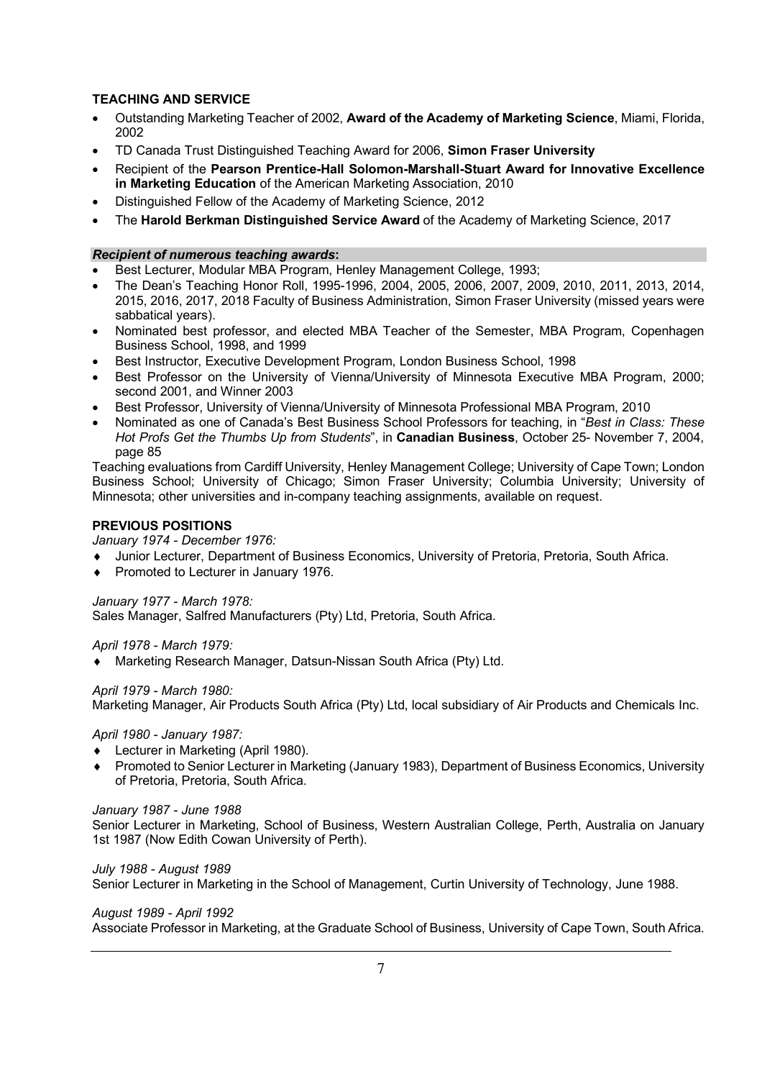# **TEACHING AND SERVICE**

- Outstanding Marketing Teacher of 2002, **Award of the Academy of Marketing Science**, Miami, Florida, 2002
- TD Canada Trust Distinguished Teaching Award for 2006, **Simon Fraser University**
- Recipient of the **Pearson Prentice-Hall Solomon-Marshall-Stuart Award for Innovative Excellence in Marketing Education** of the American Marketing Association, 2010
- Distinguished Fellow of the Academy of Marketing Science, 2012
- The **Harold Berkman Distinguished Service Award** of the Academy of Marketing Science, 2017

## *Recipient of numerous teaching awards***:**

- Best Lecturer, Modular MBA Program, Henley Management College, 1993;
- The Dean's Teaching Honor Roll, 1995-1996, 2004, 2005, 2006, 2007, 2009, 2010, 2011, 2013, 2014, 2015, 2016, 2017, 2018 Faculty of Business Administration, Simon Fraser University (missed years were sabbatical years).
- Nominated best professor, and elected MBA Teacher of the Semester, MBA Program, Copenhagen Business School, 1998, and 1999
- Best Instructor, Executive Development Program, London Business School, 1998
- Best Professor on the University of Vienna/University of Minnesota Executive MBA Program, 2000; second 2001, and Winner 2003
- Best Professor, University of Vienna/University of Minnesota Professional MBA Program, 2010
- Nominated as one of Canada's Best Business School Professors for teaching, in "*Best in Class: These Hot Profs Get the Thumbs Up from Students*", in **Canadian Business**, October 25- November 7, 2004, page 85

Teaching evaluations from Cardiff University, Henley Management College; University of Cape Town; London Business School; University of Chicago; Simon Fraser University; Columbia University; University of Minnesota; other universities and in-company teaching assignments, available on request.

# **PREVIOUS POSITIONS**

*January 1974 - December 1976:* 

- Junior Lecturer, Department of Business Economics, University of Pretoria, Pretoria, South Africa.
- ◆ Promoted to Lecturer in January 1976.

*January 1977 - March 1978:* 

Sales Manager, Salfred Manufacturers (Pty) Ltd, Pretoria, South Africa.

## *April 1978 - March 1979:*

◆ Marketing Research Manager, Datsun-Nissan South Africa (Pty) Ltd.

## *April 1979 - March 1980:*

Marketing Manager, Air Products South Africa (Pty) Ltd, local subsidiary of Air Products and Chemicals Inc.

## *April 1980 - January 1987:*

- ◆ Lecturer in Marketing (April 1980).
- ¨ Promoted to Senior Lecturer in Marketing (January 1983), Department of Business Economics, University of Pretoria, Pretoria, South Africa.

## *January 1987 - June 1988*

Senior Lecturer in Marketing, School of Business, Western Australian College, Perth, Australia on January 1st 1987 (Now Edith Cowan University of Perth).

## *July 1988 - August 1989*

Senior Lecturer in Marketing in the School of Management, Curtin University of Technology, June 1988.

#### *August 1989 - April 1992*

Associate Professor in Marketing, at the Graduate School of Business, University of Cape Town, South Africa.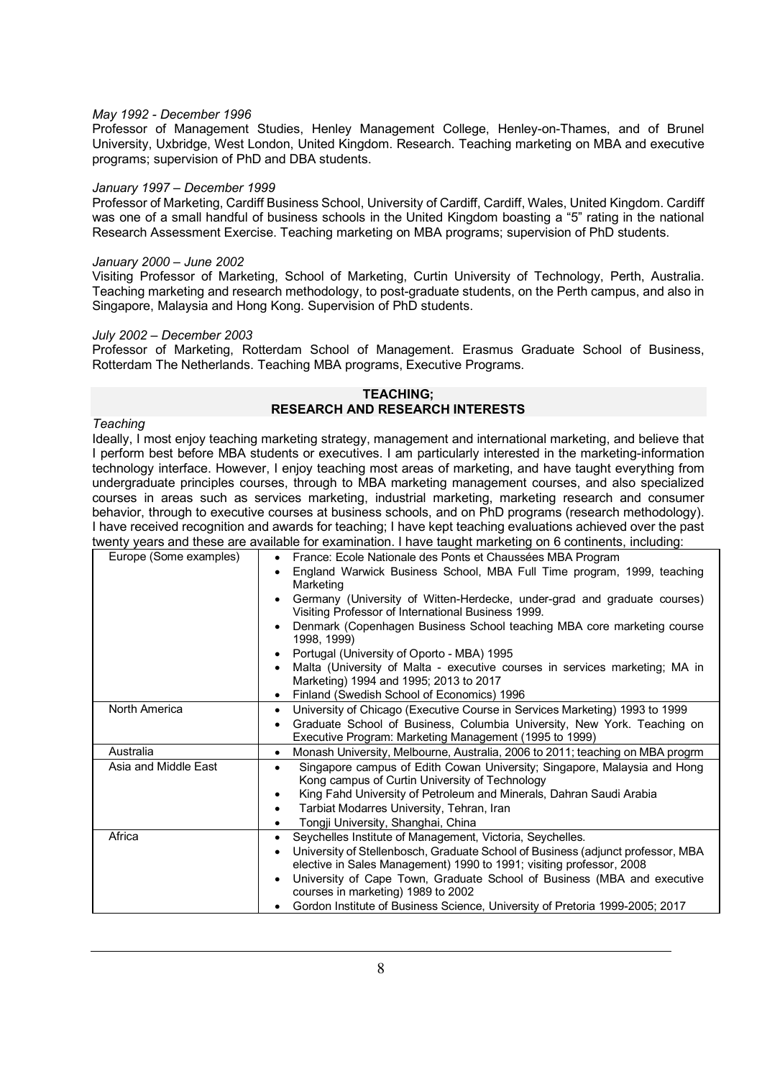#### *May 1992 - December 1996*

Professor of Management Studies, Henley Management College, Henley-on-Thames, and of Brunel University, Uxbridge, West London, United Kingdom. Research. Teaching marketing on MBA and executive programs; supervision of PhD and DBA students.

# *January 1997 – December 1999*

Professor of Marketing, Cardiff Business School, University of Cardiff, Cardiff, Wales, United Kingdom. Cardiff was one of a small handful of business schools in the United Kingdom boasting a "5" rating in the national Research Assessment Exercise. Teaching marketing on MBA programs; supervision of PhD students.

#### *January 2000 – June 2002*

Visiting Professor of Marketing, School of Marketing, Curtin University of Technology, Perth, Australia. Teaching marketing and research methodology, to post-graduate students, on the Perth campus, and also in Singapore, Malaysia and Hong Kong. Supervision of PhD students.

#### *July 2002 – December 2003*

Professor of Marketing, Rotterdam School of Management. Erasmus Graduate School of Business, Rotterdam The Netherlands. Teaching MBA programs, Executive Programs.

#### **TEACHING; RESEARCH AND RESEARCH INTERESTS**

#### *Teaching*

Ideally, I most enjoy teaching marketing strategy, management and international marketing, and believe that I perform best before MBA students or executives. I am particularly interested in the marketing-information technology interface. However, I enjoy teaching most areas of marketing, and have taught everything from undergraduate principles courses, through to MBA marketing management courses, and also specialized courses in areas such as services marketing, industrial marketing, marketing research and consumer behavior, through to executive courses at business schools, and on PhD programs (research methodology). I have received recognition and awards for teaching; I have kept teaching evaluations achieved over the past twenty years and these are available for examination. I have taught marketing on 6 continents, including:

| Europe (Some examples) | France: Ecole Nationale des Ponts et Chaussées MBA Program<br>٠<br>England Warwick Business School, MBA Full Time program, 1999, teaching<br>٠ |  |  |  |  |  |
|------------------------|------------------------------------------------------------------------------------------------------------------------------------------------|--|--|--|--|--|
|                        | Marketing                                                                                                                                      |  |  |  |  |  |
|                        | Germany (University of Witten-Herdecke, under-grad and graduate courses)<br>٠<br>Visiting Professor of International Business 1999.            |  |  |  |  |  |
|                        | Denmark (Copenhagen Business School teaching MBA core marketing course<br>$\bullet$<br>1998, 1999)                                             |  |  |  |  |  |
|                        | Portugal (University of Oporto - MBA) 1995<br>٠                                                                                                |  |  |  |  |  |
|                        | Malta (University of Malta - executive courses in services marketing; MA in<br>٠<br>Marketing) 1994 and 1995; 2013 to 2017                     |  |  |  |  |  |
|                        | Finland (Swedish School of Economics) 1996<br>$\bullet$                                                                                        |  |  |  |  |  |
| North America          | University of Chicago (Executive Course in Services Marketing) 1993 to 1999<br>٠                                                               |  |  |  |  |  |
|                        | Graduate School of Business, Columbia University, New York. Teaching on<br>٠                                                                   |  |  |  |  |  |
|                        | Executive Program: Marketing Management (1995 to 1999)                                                                                         |  |  |  |  |  |
| Australia              | Monash University, Melbourne, Australia, 2006 to 2011; teaching on MBA progrm<br>$\bullet$                                                     |  |  |  |  |  |
| Asia and Middle East   | Singapore campus of Edith Cowan University; Singapore, Malaysia and Hong<br>٠<br>Kong campus of Curtin University of Technology                |  |  |  |  |  |
|                        | King Fahd University of Petroleum and Minerals, Dahran Saudi Arabia<br>٠                                                                       |  |  |  |  |  |
|                        | Tarbiat Modarres University, Tehran, Iran<br>٠                                                                                                 |  |  |  |  |  |
|                        | Tongji University, Shanghai, China<br>٠                                                                                                        |  |  |  |  |  |
| Africa                 | Seychelles Institute of Management, Victoria, Seychelles.<br>٠                                                                                 |  |  |  |  |  |
|                        | University of Stellenbosch, Graduate School of Business (adjunct professor, MBA<br>٠                                                           |  |  |  |  |  |
|                        | elective in Sales Management) 1990 to 1991; visiting professor, 2008                                                                           |  |  |  |  |  |
|                        | University of Cape Town, Graduate School of Business (MBA and executive<br>٠<br>courses in marketing) 1989 to 2002                             |  |  |  |  |  |
|                        | Gordon Institute of Business Science, University of Pretoria 1999-2005; 2017                                                                   |  |  |  |  |  |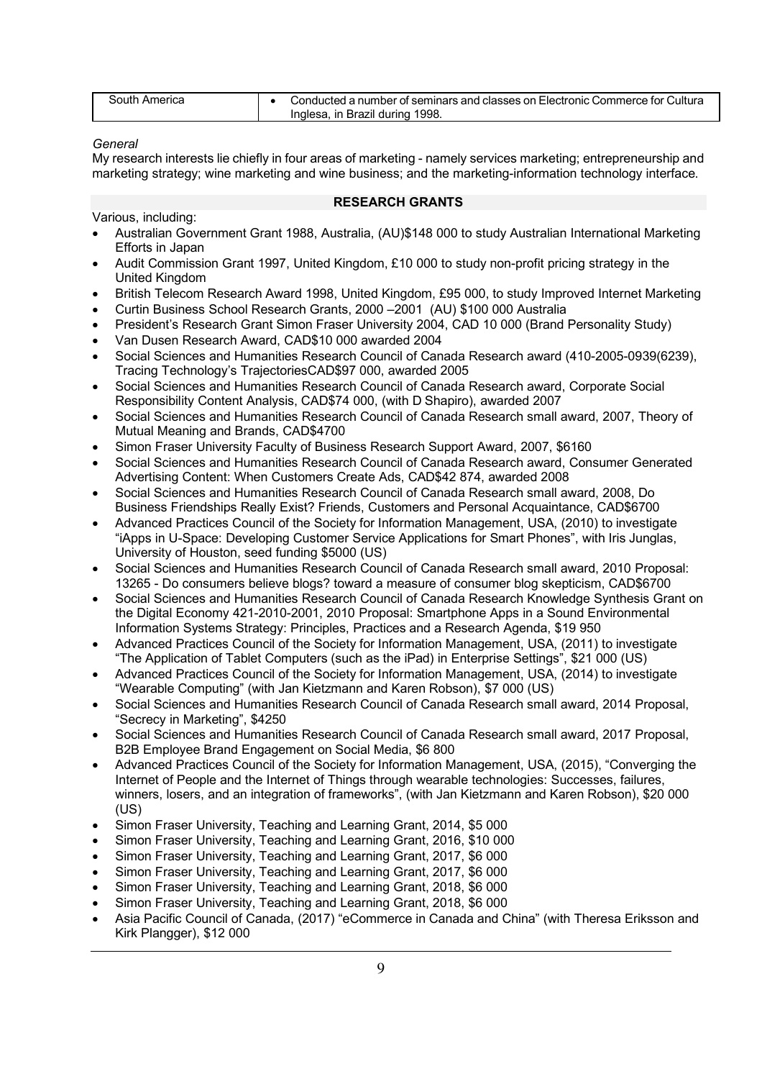| South America | Conducted a number of seminars and classes on Electronic Commerce for Cultura |
|---------------|-------------------------------------------------------------------------------|
|               | Inglesa, in Brazil during 1998.                                               |

#### *General*

My research interests lie chiefly in four areas of marketing - namely services marketing; entrepreneurship and marketing strategy; wine marketing and wine business; and the marketing-information technology interface.

#### **RESEARCH GRANTS**

Various, including:

- Australian Government Grant 1988, Australia, (AU)\$148 000 to study Australian International Marketing Efforts in Japan
- Audit Commission Grant 1997, United Kingdom, £10 000 to study non-profit pricing strategy in the United Kingdom
- British Telecom Research Award 1998, United Kingdom, £95 000, to study Improved Internet Marketing
- Curtin Business School Research Grants, 2000 –2001 (AU) \$100 000 Australia
- President's Research Grant Simon Fraser University 2004, CAD 10 000 (Brand Personality Study)
- Van Dusen Research Award, CAD\$10 000 awarded 2004
- Social Sciences and Humanities Research Council of Canada Research award (410-2005-0939(6239), Tracing Technology's TrajectoriesCAD\$97 000, awarded 2005
- Social Sciences and Humanities Research Council of Canada Research award, Corporate Social Responsibility Content Analysis, CAD\$74 000, (with D Shapiro), awarded 2007
- Social Sciences and Humanities Research Council of Canada Research small award, 2007, Theory of Mutual Meaning and Brands, CAD\$4700
- Simon Fraser University Faculty of Business Research Support Award, 2007, \$6160
- Social Sciences and Humanities Research Council of Canada Research award, Consumer Generated Advertising Content: When Customers Create Ads, CAD\$42 874, awarded 2008
- Social Sciences and Humanities Research Council of Canada Research small award, 2008, Do Business Friendships Really Exist? Friends, Customers and Personal Acquaintance, CAD\$6700
- Advanced Practices Council of the Society for Information Management, USA, (2010) to investigate "iApps in U-Space: Developing Customer Service Applications for Smart Phones", with Iris Junglas, University of Houston, seed funding \$5000 (US)
- Social Sciences and Humanities Research Council of Canada Research small award, 2010 Proposal: 13265 - Do consumers believe blogs? toward a measure of consumer blog skepticism, CAD\$6700
- Social Sciences and Humanities Research Council of Canada Research Knowledge Synthesis Grant on the Digital Economy 421-2010-2001, 2010 Proposal: Smartphone Apps in a Sound Environmental Information Systems Strategy: Principles, Practices and a Research Agenda, \$19 950
- Advanced Practices Council of the Society for Information Management, USA, (2011) to investigate "The Application of Tablet Computers (such as the iPad) in Enterprise Settings", \$21 000 (US)
- Advanced Practices Council of the Society for Information Management, USA, (2014) to investigate "Wearable Computing" (with Jan Kietzmann and Karen Robson), \$7 000 (US)
- Social Sciences and Humanities Research Council of Canada Research small award, 2014 Proposal, "Secrecy in Marketing", \$4250
- Social Sciences and Humanities Research Council of Canada Research small award, 2017 Proposal, B2B Employee Brand Engagement on Social Media, \$6 800
- Advanced Practices Council of the Society for Information Management, USA, (2015), "Converging the Internet of People and the Internet of Things through wearable technologies: Successes, failures, winners, losers, and an integration of frameworks", (with Jan Kietzmann and Karen Robson), \$20 000 (US)
- Simon Fraser University, Teaching and Learning Grant, 2014, \$5 000
- Simon Fraser University, Teaching and Learning Grant, 2016, \$10 000
- Simon Fraser University, Teaching and Learning Grant, 2017, \$6 000
- Simon Fraser University, Teaching and Learning Grant, 2017, \$6 000
- Simon Fraser University, Teaching and Learning Grant, 2018, \$6 000
- Simon Fraser University, Teaching and Learning Grant, 2018, \$6 000
- Asia Pacific Council of Canada, (2017) "eCommerce in Canada and China" (with Theresa Eriksson and Kirk Plangger), \$12 000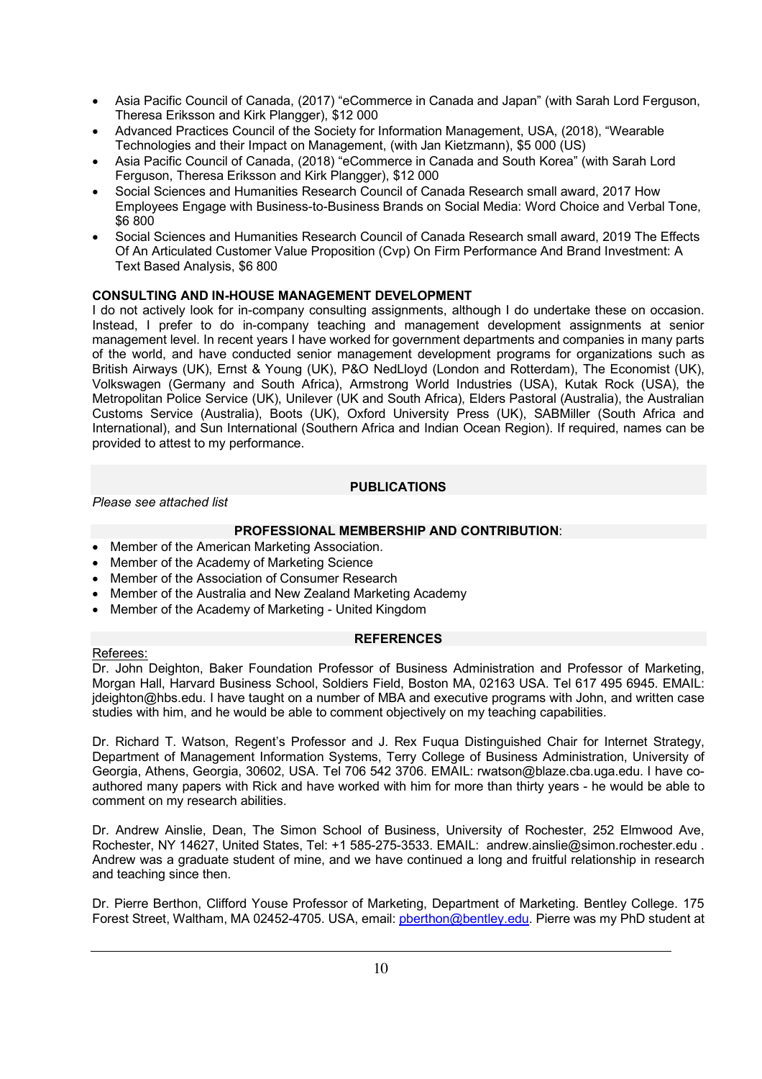- Asia Pacific Council of Canada, (2017) "eCommerce in Canada and Japan" (with Sarah Lord Ferguson, Theresa Eriksson and Kirk Plangger), \$12 000
- Advanced Practices Council of the Society for Information Management, USA, (2018), "Wearable Technologies and their Impact on Management, (with Jan Kietzmann), \$5 000 (US)
- Asia Pacific Council of Canada, (2018) "eCommerce in Canada and South Korea" (with Sarah Lord Ferauson, Theresa Eriksson and Kirk Plangger), \$12 000
- Social Sciences and Humanities Research Council of Canada Research small award, 2017 How Employees Engage with Business-to-Business Brands on Social Media: Word Choice and Verbal Tone, \$6 800
- Social Sciences and Humanities Research Council of Canada Research small award, 2019 The Effects Of An Articulated Customer Value Proposition (Cvp) On Firm Performance And Brand Investment: A Text Based Analysis, \$6 800

# **CONSULTING AND IN-HOUSE MANAGEMENT DEVELOPMENT**

I do not actively look for in-company consulting assignments, although I do undertake these on occasion. Instead, I prefer to do in-company teaching and management development assignments at senior management level. In recent years I have worked for government departments and companies in many parts of the world, and have conducted senior management development programs for organizations such as British Airways (UK), Ernst & Young (UK), P&O NedLloyd (London and Rotterdam), The Economist (UK), Volkswagen (Germany and South Africa), Armstrong World Industries (USA), Kutak Rock (USA), the Metropolitan Police Service (UK), Unilever (UK and South Africa), Elders Pastoral (Australia), the Australian Customs Service (Australia), Boots (UK), Oxford University Press (UK), SABMiller (South Africa and International), and Sun International (Southern Africa and Indian Ocean Region). If required, names can be provided to attest to my performance.

## **PUBLICATIONS**

*Please see attached list* 

## **PROFESSIONAL MEMBERSHIP AND CONTRIBUTION**:

- Member of the American Marketing Association.
- Member of the Academy of Marketing Science
- Member of the Association of Consumer Research
- Member of the Australia and New Zealand Marketing Academy
- Member of the Academy of Marketing United Kingdom

## **REFERENCES**

## Referees:

Dr. John Deighton, Baker Foundation Professor of Business Administration and Professor of Marketing, Morgan Hall, Harvard Business School, Soldiers Field, Boston MA, 02163 USA. Tel 617 495 6945. EMAIL: jdeighton@hbs.edu. I have taught on a number of MBA and executive programs with John, and written case studies with him, and he would be able to comment objectively on my teaching capabilities.

Dr. Richard T. Watson, Regent's Professor and J. Rex Fuqua Distinguished Chair for Internet Strategy, Department of Management Information Systems, Terry College of Business Administration, University of Georgia, Athens, Georgia, 30602, USA. Tel 706 542 3706. EMAIL: rwatson@blaze.cba.uga.edu. I have coauthored many papers with Rick and have worked with him for more than thirty years - he would be able to comment on my research abilities.

Dr. Andrew Ainslie, Dean, The Simon School of Business, University of Rochester, 252 Elmwood Ave, Rochester, NY 14627, United States, Tel: +1 585-275-3533. EMAIL: andrew.ainslie@simon.rochester.edu . Andrew was a graduate student of mine, and we have continued a long and fruitful relationship in research and teaching since then.

Dr. Pierre Berthon, Clifford Youse Professor of Marketing, Department of Marketing. Bentley College. 175 Forest Street, Waltham, MA 02452-4705. USA, email: *pherthon@bentley.edu*. Pierre was my PhD student at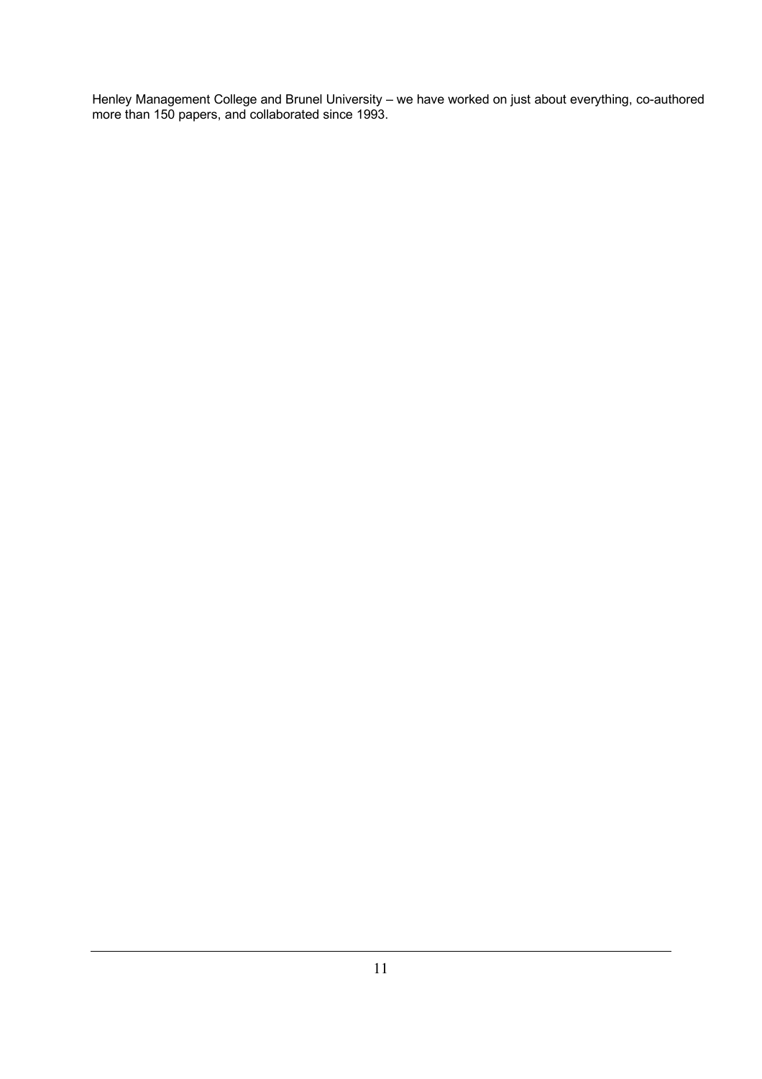Henley Management College and Brunel University – we have worked on just about everything, co-authored more than 150 papers, and collaborated since 1993.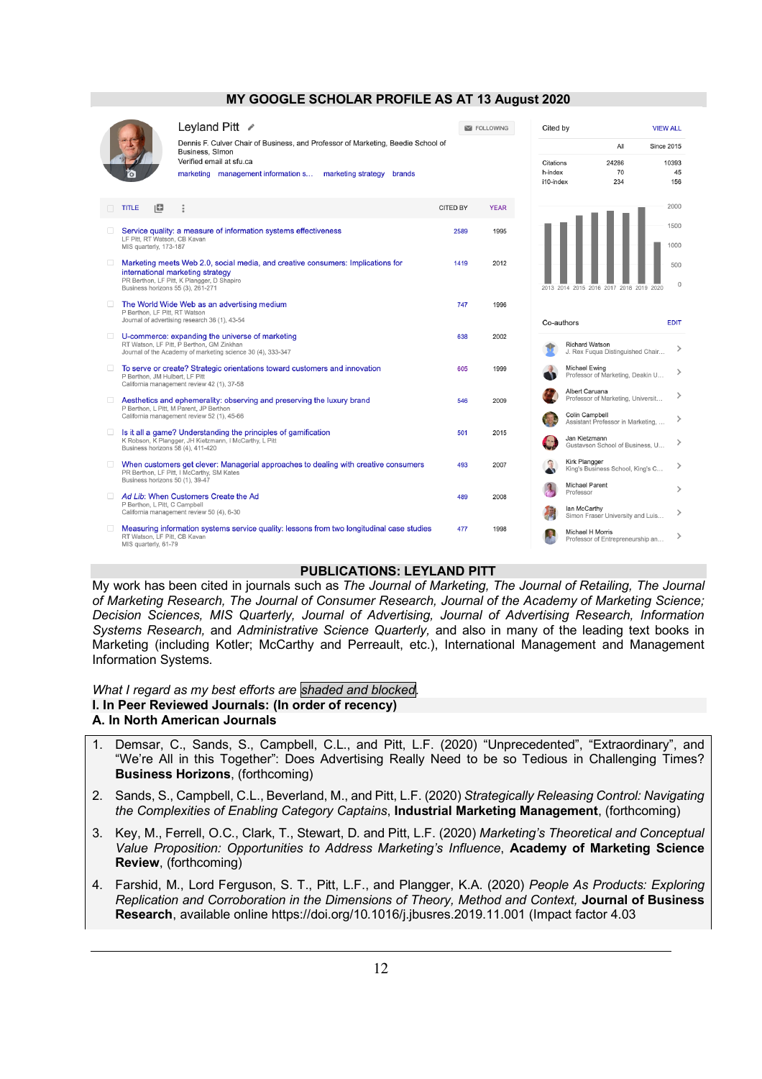# **MY GOOGLE SCHOLAR PROFILE AS AT 13 August 2020**

|        |                                                                                                                           | Leyland Pitt ୵                                                                                                                                                    |                 | $\blacksquare$ FOLLOWING |             | Cited by                          |                                                                                          |                    | <b>VIEW ALL</b>   |                     |
|--------|---------------------------------------------------------------------------------------------------------------------------|-------------------------------------------------------------------------------------------------------------------------------------------------------------------|-----------------|--------------------------|-------------|-----------------------------------|------------------------------------------------------------------------------------------|--------------------|-------------------|---------------------|
|        |                                                                                                                           | Dennis F. Culver Chair of Business, and Professor of Marketing, Beedie School of<br>Business, SImon                                                               |                 |                          |             |                                   |                                                                                          | All                | <b>Since 2015</b> |                     |
|        |                                                                                                                           | Verified email at sfu.ca<br>marketing management information s<br>marketing strategy brands                                                                       |                 |                          |             | Citations<br>h-index<br>i10-index |                                                                                          | 24286<br>70<br>234 | 10393             | 45<br>156           |
| $\Box$ | ıВ<br><b>TITLE</b>                                                                                                        | i                                                                                                                                                                 | <b>CITED BY</b> |                          | <b>YEAR</b> |                                   |                                                                                          |                    | 2000              |                     |
| п      | Service quality: a measure of information systems effectiveness<br>LF Pitt, RT Watson, CB Kavan<br>MIS quarterly, 173-187 |                                                                                                                                                                   |                 | 2589                     | 1995        |                                   |                                                                                          |                    | 1500<br>1000      |                     |
| $\Box$ | Business horizons 55 (3), 261-271                                                                                         | Marketing meets Web 2.0, social media, and creative consumers: Implications for<br>international marketing strategy<br>PR Berthon, LF Pitt, K Plangger, D Shapiro |                 | 1419                     | 2012        |                                   | 2013 2014 2015 2016 2017 2018 2019 2020                                                  |                    |                   | 500<br>$\mathbf{0}$ |
| 0      | P Berthon, LF Pitt, RT Watson                                                                                             | The World Wide Web as an advertising medium<br>Journal of advertising research 36 (1), 43-54                                                                      |                 | 747                      | 1996        | Co-authors                        |                                                                                          |                    | <b>EDIT</b>       |                     |
| □      |                                                                                                                           | U-commerce: expanding the universe of marketing<br>RT Watson, LF Pitt, P Berthon, GM Zinkhan<br>Journal of the Academy of marketing science 30 (4), 333-347       |                 | 638                      | 2002        |                                   | <b>Richard Watson</b><br>J. Rex Fugua Distinguished Chair                                |                    |                   | ≯                   |
| □      | P Berthon, JM Hulbert, LF Pitt                                                                                            | To serve or create? Strategic orientations toward customers and innovation<br>California management review 42 (1), 37-58                                          |                 | 605                      | 1999        |                                   | Michael Ewing<br>Professor of Marketing, Deakin U                                        |                    |                   | ゝ                   |
| n.     |                                                                                                                           | Aesthetics and ephemerality: observing and preserving the luxury brand<br>P Berthon, L Pitt, M Parent, JP Berthon<br>California management review 52 (1), 45-66   |                 | 546                      | 2009        |                                   | Albert Caruana<br>Professor of Marketing, Universit<br>Colin Campbell                    |                    |                   | ゝ                   |
| 0      | Business horizons 58 (4), 411-420                                                                                         | Is it all a game? Understanding the principles of gamification<br>K Robson, K Plangger, JH Kietzmann, I McCarthy, L Pitt                                          |                 | 501                      | 2015        |                                   | Assistant Professor in Marketing,<br>Jan Kietzmann<br>Gustavson School of Business, U    |                    |                   | ゝ<br>ゝ              |
| $\Box$ | Business horizons 50 (1), 39-47                                                                                           | When customers get clever: Managerial approaches to dealing with creative consumers<br>PR Berthon, LF Pitt, I McCarthy, SM Kates                                  |                 | 493                      | 2007        |                                   | Kirk Plangger<br>King's Business School, King's C                                        |                    |                   | ゝ                   |
| п      | P Berthon, L Pitt, C Campbell                                                                                             | Ad Lib: When Customers Create the Ad                                                                                                                              |                 | 489                      | 2008        |                                   | <b>Michael Parent</b><br>Professor<br>lan McCarthy                                       |                    |                   | ゝ                   |
|        | RT Watson, LF Pitt, CB Kavan<br>MIS quarterly, 61-79                                                                      | California management review 50 (4), 6-30<br>Measuring information systems service quality: lessons from two longitudinal case studies                            |                 | 477                      | 1998        |                                   | Simon Fraser University and Luis<br>Michael H Morris<br>Professor of Entrepreneurship an |                    |                   | ゝ<br>ゝ              |

## **PUBLICATIONS: LEYLAND PITT**

My work has been cited in journals such as *The Journal of Marketing, The Journal of Retailing, The Journal of Marketing Research, The Journal of Consumer Research, Journal of the Academy of Marketing Science; Decision Sciences, MIS Quarterly, Journal of Advertising, Journal of Advertising Research, Information Systems Research,* and *Administrative Science Quarterly,* and also in many of the leading text books in Marketing (including Kotler; McCarthy and Perreault, etc.), International Management and Management Information Systems.

*What I regard as my best efforts are shaded and blocked.* **I. In Peer Reviewed Journals: (In order of recency) A. In North American Journals**

- 1. Demsar, C., Sands, S., Campbell, C.L., and Pitt, L.F. (2020) "Unprecedented", "Extraordinary", and "We're All in this Together": Does Advertising Really Need to be so Tedious in Challenging Times? **Business Horizons**, (forthcoming)
- 2. Sands, S., Campbell, C.L., Beverland, M., and Pitt, L.F. (2020) *Strategically Releasing Control: Navigating the Complexities of Enabling Category Captains*, **Industrial Marketing Management**, (forthcoming)
- 3. Key, M., Ferrell, O.C., Clark, T., Stewart, D. and Pitt, L.F. (2020) *Marketing's Theoretical and Conceptual Value Proposition: Opportunities to Address Marketing's Influence*, **Academy of Marketing Science Review**, (forthcoming)
- 4. Farshid, M., Lord Ferguson, S. T., Pitt, L.F., and Plangger, K.A. (2020) *People As Products: Exploring Replication and Corroboration in the Dimensions of Theory, Method and Context,* **Journal of Business Research**, available online https://doi.org/10.1016/j.jbusres.2019.11.001 (Impact factor 4.03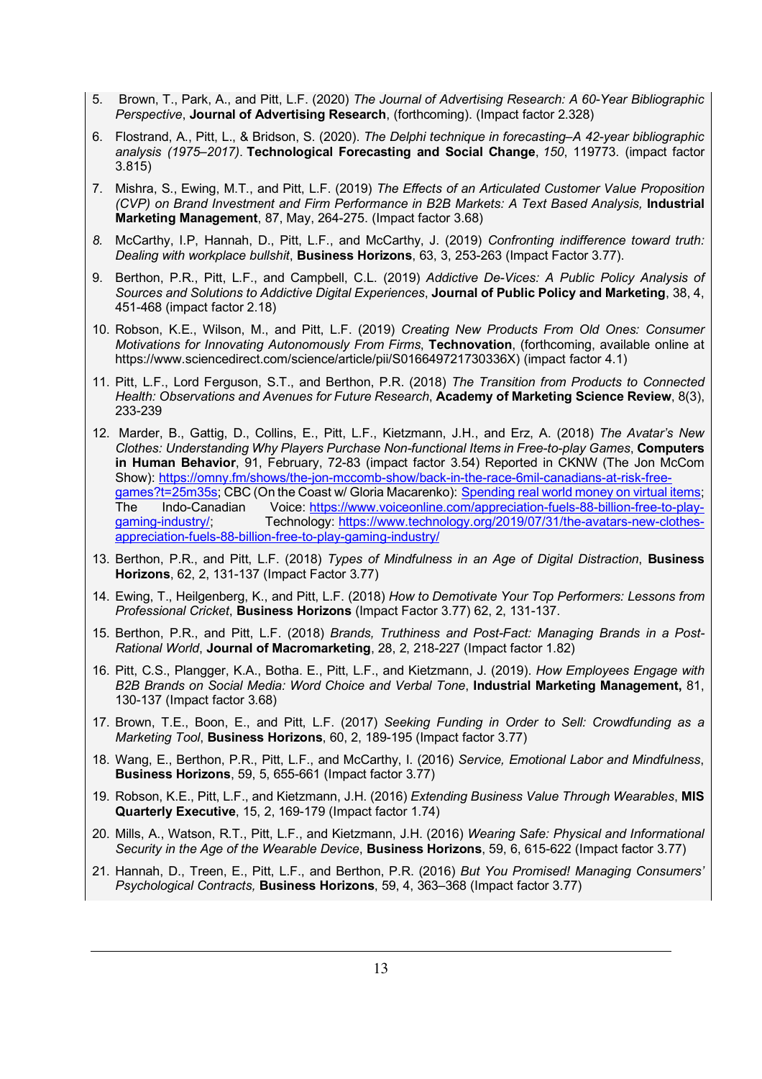- 5. Brown, T., Park, A., and Pitt, L.F. (2020) *The Journal of Advertising Research: A 60-Year Bibliographic Perspective*, **Journal of Advertising Research**, (forthcoming). (Impact factor 2.328)
- 6. Flostrand, A., Pitt, L., & Bridson, S. (2020). *The Delphi technique in forecasting–A 42-year bibliographic analysis (1975–2017)*. **Technological Forecasting and Social Change**, *150*, 119773. (impact factor 3.815)
- 7. Mishra, S., Ewing, M.T., and Pitt, L.F. (2019) *The Effects of an Articulated Customer Value Proposition (CVP)* on Brand Investment and Firm Performance in B2B Markets: A Text Based Analysis, Industrial **Marketing Management**, 87, May, 264-275. (Impact factor 3.68)
- *8.* McCarthy, I.P, Hannah, D., Pitt, L.F., and McCarthy, J. (2019) *Confronting indifference toward truth: Dealing with workplace bullshit*, **Business Horizons**, 63, 3, 253-263 (Impact Factor 3.77).
- 9. Berthon, P.R., Pitt, L.F., and Campbell, C.L. (2019) *Addictive De-Vices: A Public Policy Analysis of Sources and Solutions to Addictive Digital Experiences*, **Journal of Public Policy and Marketing**, 38, 4, 451-468 (impact factor 2.18)
- 10. Robson, K.E., Wilson, M., and Pitt, L.F. (2019) *Creating New Products From Old Ones: Consumer Motivations for Innovating Autonomously From Firms*, **Technovation**, (forthcoming, available online at https://www.sciencedirect.com/science/article/pii/S016649721730336X) (impact factor 4.1)
- 11. Pitt, L.F., Lord Ferguson, S.T., and Berthon, P.R. (2018) *The Transition from Products to Connected Health: Observations and Avenues for Future Research*, **Academy of Marketing Science Review**, 8(3), 233-239
- 12. Marder, B., Gattig, D., Collins, E., Pitt, L.F., Kietzmann, J.H., and Erz, A. (2018) *The Avatar's New Clothes: Understanding Why Players Purchase Non-functional Items in Free-to-play Games*, **Computers in Human Behavior**, 91, February, 72-83 (impact factor 3.54) Reported in CKNW (The Jon McCom Show): https://omny.fm/shows/the-jon-mccomb-show/back-in-the-race-6mil-canadians-at-risk-freegames?t=25m35s; CBC (On the Coast w/ Gloria Macarenko): Spending real world money on virtual items; The Indo-Canadian Voice: https://www.voiceonline.com/appreciation-fuels-88-billion-free-to-playgaming-industry/; Technology: https://www.technology.org/2019/07/31/the-avatars-new-clothesappreciation-fuels-88-billion-free-to-play-gaming-industry/
- 13. Berthon, P.R., and Pitt, L.F. (2018) *Types of Mindfulness in an Age of Digital Distraction*, **Business Horizons**, 62, 2, 131-137 (Impact Factor 3.77)
- 14. Ewing, T., Heilgenberg, K., and Pitt, L.F. (2018) *How to Demotivate Your Top Performers: Lessons from Professional Cricket*, **Business Horizons** (Impact Factor 3.77) 62, 2, 131-137.
- 15. Berthon, P.R., and Pitt, L.F. (2018) *Brands, Truthiness and Post-Fact: Managing Brands in a Post-Rational World*, **Journal of Macromarketing**, 28, 2, 218-227 (Impact factor 1.82)
- 16. Pitt, C.S., Plangger, K.A., Botha. E., Pitt, L.F., and Kietzmann, J. (2019). *How Employees Engage with B2B Brands on Social Media: Word Choice and Verbal Tone*, **Industrial Marketing Management,** 81, 130-137 (Impact factor 3.68)
- 17. Brown, T.E., Boon, E., and Pitt, L.F. (2017) *Seeking Funding in Order to Sell: Crowdfunding as a Marketing Tool*, **Business Horizons**, 60, 2, 189-195 (Impact factor 3.77)
- 18. Wang, E., Berthon, P.R., Pitt, L.F., and McCarthy, I. (2016) *Service, Emotional Labor and Mindfulness*, **Business Horizons**, 59, 5, 655-661 (Impact factor 3.77)
- 19. Robson, K.E., Pitt, L.F., and Kietzmann, J.H. (2016) *Extending Business Value Through Wearables*, **MIS Quarterly Executive**, 15, 2, 169-179 (Impact factor 1.74)
- 20. Mills, A., Watson, R.T., Pitt, L.F., and Kietzmann, J.H. (2016) *Wearing Safe: Physical and Informational Security in the Age of the Wearable Device*, **Business Horizons**, 59, 6, 615-622 (Impact factor 3.77)
- 21. Hannah, D., Treen, E., Pitt, L.F., and Berthon, P.R. (2016) *But You Promised! Managing Consumers' Psychological Contracts,* **Business Horizons**, 59, 4, 363–368 (Impact factor 3.77)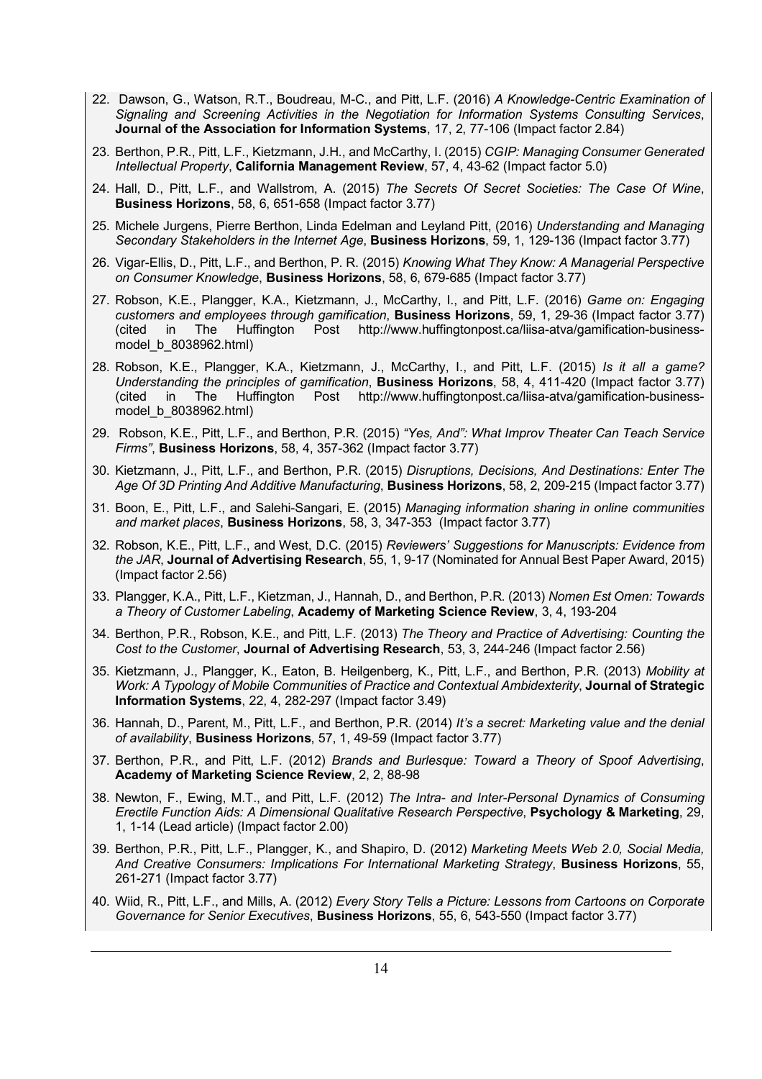- 22. Dawson, G., Watson, R.T., Boudreau, M-C., and Pitt, L.F. (2016) *A Knowledge-Centric Examination of Signaling and Screening Activities in the Negotiation for Information Systems Consulting Services*, **Journal of the Association for Information Systems**, 17, 2, 77-106 (Impact factor 2.84)
- 23. Berthon, P.R., Pitt, L.F., Kietzmann, J.H., and McCarthy, I. (2015) *CGIP: Managing Consumer Generated Intellectual Property*, **California Management Review**, 57, 4, 43-62 (Impact factor 5.0)
- 24. Hall, D., Pitt, L.F., and Wallstrom, A. (2015) *The Secrets Of Secret Societies: The Case Of Wine*, **Business Horizons**, 58, 6, 651-658 (Impact factor 3.77)
- 25. Michele Jurgens, Pierre Berthon, Linda Edelman and Leyland Pitt, (2016) *Understanding and Managing Secondary Stakeholders in the Internet Age*, **Business Horizons**, 59, 1, 129-136 (Impact factor 3.77)
- 26. Vigar-Ellis, D., Pitt, L.F., and Berthon, P. R. (2015) *Knowing What They Know: A Managerial Perspective on Consumer Knowledge*, **Business Horizons**, 58, 6, 679-685 (Impact factor 3.77)
- 27. Robson, K.E., Plangger, K.A., Kietzmann, J., McCarthy, I., and Pitt, L.F. (2016) *Game on: Engaging customers and employees through gamification*, **Business Horizons**, 59, 1, 29-36 (Impact factor 3.77) (cited in The Huffington Post http://www.huffingtonpost.ca/liisa-atva/gamification-businessmodel\_b\_8038962.html)
- 28. Robson, K.E., Plangger, K.A., Kietzmann, J., McCarthy, I., and Pitt, L.F. (2015) *Is it all a game? Understanding the principles of gamification*, **Business Horizons**, 58, 4, 411-420 (Impact factor 3.77) (cited in The Huffington Post http://www.huffingtonpost.ca/liisa-atva/gamification-businessmodel\_b\_8038962.html)
- 29. Robson, K.E., Pitt, L.F., and Berthon, P.R. (2015) *"Yes, And": What Improv Theater Can Teach Service Firms"*, **Business Horizons**, 58, 4, 357-362 (Impact factor 3.77)
- 30. Kietzmann, J., Pitt, L.F., and Berthon, P.R. (2015) *Disruptions, Decisions, And Destinations: Enter The Age Of 3D Printing And Additive Manufacturing*, **Business Horizons**, 58, 2, 209-215 (Impact factor 3.77)
- 31. Boon, E., Pitt, L.F., and Salehi-Sangari, E. (2015) *Managing information sharing in online communities and market places*, **Business Horizons**, 58, 3, 347-353 (Impact factor 3.77)
- 32. Robson, K.E., Pitt, L.F., and West, D.C. (2015) *Reviewers' Suggestions for Manuscripts: Evidence from the JAR*, **Journal of Advertising Research**, 55, 1, 9-17 (Nominated for Annual Best Paper Award, 2015) (Impact factor 2.56)
- 33. Plangger, K.A., Pitt, L.F., Kietzman, J., Hannah, D., and Berthon, P.R. (2013) *Nomen Est Omen: Towards a Theory of Customer Labeling*, **Academy of Marketing Science Review**, 3, 4, 193-204
- 34. Berthon, P.R., Robson, K.E., and Pitt, L.F. (2013) *The Theory and Practice of Advertising: Counting the Cost to the Customer*, **Journal of Advertising Research**, 53, 3, 244-246 (Impact factor 2.56)
- 35. Kietzmann, J., Plangger, K., Eaton, B. Heilgenberg, K., Pitt, L.F., and Berthon, P.R. (2013) *Mobility at Work: A Typology of Mobile Communities of Practice and Contextual Ambidexterity*, **Journal of Strategic Information Systems**, 22, 4, 282-297 (Impact factor 3.49)
- 36. Hannah, D., Parent, M., Pitt, L.F., and Berthon, P.R. (2014) *It's a secret: Marketing value and the denial of availability*, **Business Horizons**, 57, 1, 49-59 (Impact factor 3.77)
- 37. Berthon, P.R., and Pitt, L.F. (2012) *Brands and Burlesque: Toward a Theory of Spoof Advertising*, **Academy of Marketing Science Review**, 2, 2, 88-98
- 38. Newton, F., Ewing, M.T., and Pitt, L.F. (2012) *The Intra- and Inter-Personal Dynamics of Consuming Erectile Function Aids: A Dimensional Qualitative Research Perspective*, **Psychology & Marketing**, 29, 1, 1-14 (Lead article) (Impact factor 2.00)
- 39. Berthon, P.R., Pitt, L.F., Plangger, K., and Shapiro, D. (2012) *Marketing Meets Web 2.0, Social Media, And Creative Consumers: Implications For International Marketing Strategy*, **Business Horizons**, 55, 261-271 (Impact factor 3.77)
- 40. Wiid, R., Pitt, L.F., and Mills, A. (2012) *Every Story Tells a Picture: Lessons from Cartoons on Corporate Governance for Senior Executives*, **Business Horizons**, 55, 6, 543-550 (Impact factor 3.77)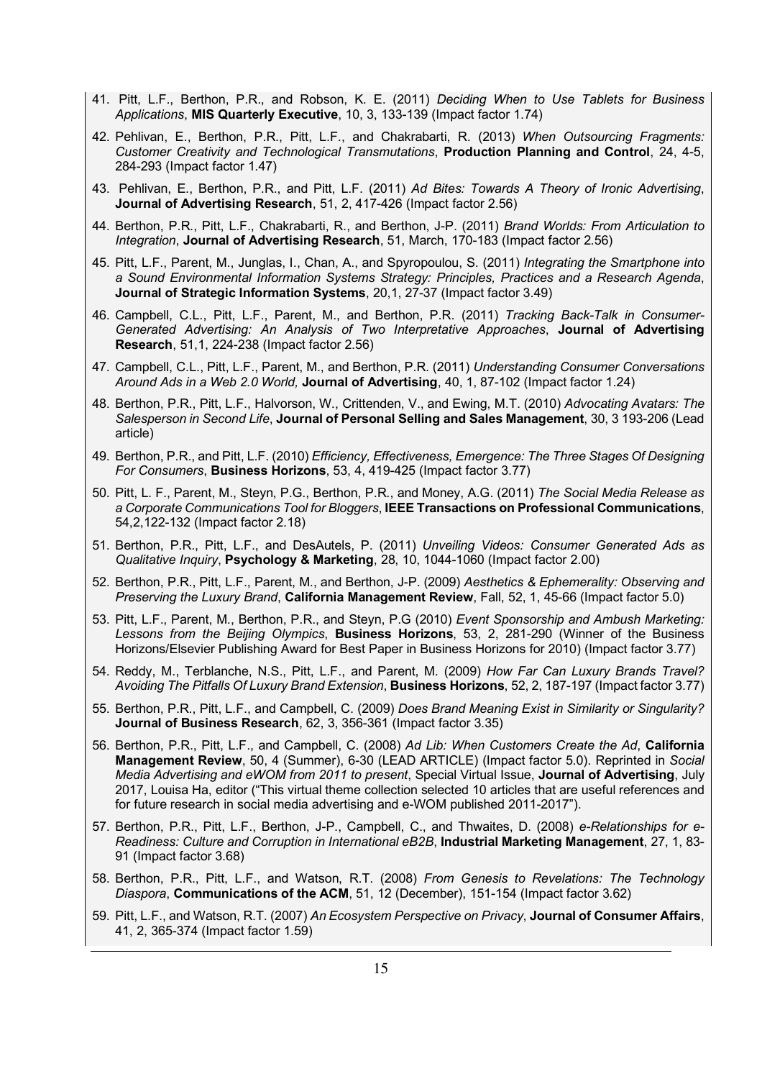- 41. Pitt, L.F., Berthon, P.R., and Robson, K. E. (2011) *Deciding When to Use Tablets for Business Applications*, **MIS Quarterly Executive**, 10, 3, 133-139 (Impact factor 1.74)
- 42. Pehlivan, E., Berthon, P.R., Pitt, L.F., and Chakrabarti, R. (2013) *When Outsourcing Fragments: Customer Creativity and Technological Transmutations*, **Production Planning and Control**, 24, 4-5, 284-293 (Impact factor 1.47)
- 43. Pehlivan, E., Berthon, P.R., and Pitt, L.F. (2011) *Ad Bites: Towards A Theory of Ironic Advertising*, **Journal of Advertising Research**, 51, 2, 417-426 (Impact factor 2.56)
- 44. Berthon, P.R., Pitt, L.F., Chakrabarti, R., and Berthon, J-P. (2011) *Brand Worlds: From Articulation to Integration*, **Journal of Advertising Research**, 51, March, 170-183 (Impact factor 2.56)
- 45. Pitt, L.F., Parent, M., Junglas, I., Chan, A., and Spyropoulou, S. (2011) *Integrating the Smartphone into a Sound Environmental Information Systems Strategy: Principles, Practices and a Research Agenda*, **Journal of Strategic Information Systems**, 20,1, 27-37 (Impact factor 3.49)
- 46. Campbell, C.L., Pitt, L.F., Parent, M., and Berthon, P.R. (2011) *Tracking Back-Talk in Consumer-Generated Advertising: An Analysis of Two Interpretative Approaches*, **Journal of Advertising Research**, 51,1, 224-238 (Impact factor 2.56)
- 47. Campbell, C.L., Pitt, L.F., Parent, M., and Berthon, P.R. (2011) *Understanding Consumer Conversations Around Ads in a Web 2.0 World,* **Journal of Advertising**, 40, 1, 87-102 (Impact factor 1.24)
- 48. Berthon, P.R., Pitt, L.F., Halvorson, W., Crittenden, V., and Ewing, M.T. (2010) *Advocating Avatars: The Salesperson in Second Life*, **Journal of Personal Selling and Sales Management**, 30, 3 193-206 (Lead article)
- 49. Berthon, P.R., and Pitt, L.F. (2010) *Efficiency, Effectiveness, Emergence: The Three Stages Of Designing For Consumers*, **Business Horizons**, 53, 4, 419-425 (Impact factor 3.77)
- 50. Pitt, L. F., Parent, M., Steyn, P.G., Berthon, P.R., and Money, A.G. (2011) *The Social Media Release as a Corporate Communications Tool for Bloggers*, **IEEE Transactions on Professional Communications**, 54,2,122-132 (Impact factor 2.18)
- 51. Berthon, P.R., Pitt, L.F., and DesAutels, P. (2011) *Unveiling Videos: Consumer Generated Ads as Qualitative Inquiry*, **Psychology & Marketing**, 28, 10, 1044-1060 (Impact factor 2.00)
- 52. Berthon, P.R., Pitt, L.F., Parent, M., and Berthon, J-P. (2009) *Aesthetics & Ephemerality: Observing and Preserving the Luxury Brand*, **California Management Review**, Fall, 52, 1, 45-66 (Impact factor 5.0)
- 53. Pitt, L.F., Parent, M., Berthon, P.R., and Steyn, P.G (2010) *Event Sponsorship and Ambush Marketing: Lessons from the Beijing Olympics*, **Business Horizons**, 53, 2, 281-290 (Winner of the Business Horizons/Elsevier Publishing Award for Best Paper in Business Horizons for 2010) (Impact factor 3.77)
- 54. Reddy, M., Terblanche, N.S., Pitt, L.F., and Parent, M. (2009) *How Far Can Luxury Brands Travel? Avoiding The Pitfalls Of Luxury Brand Extension*, **Business Horizons**, 52, 2, 187-197 (Impact factor 3.77)
- 55. Berthon, P.R., Pitt, L.F., and Campbell, C. (2009) *Does Brand Meaning Exist in Similarity or Singularity?* **Journal of Business Research**, 62, 3, 356-361 (Impact factor 3.35)
- 56. Berthon, P.R., Pitt, L.F., and Campbell, C. (2008) *Ad Lib: When Customers Create the Ad*, **California Management Review**, 50, 4 (Summer), 6-30 (LEAD ARTICLE) (Impact factor 5.0). Reprinted in *Social Media Advertising and eWOM from 2011 to present*, Special Virtual Issue, **Journal of Advertising**, July 2017, Louisa Ha, editor ("This virtual theme collection selected 10 articles that are useful references and for future research in social media advertising and e-WOM published 2011-2017").
- 57. Berthon, P.R., Pitt, L.F., Berthon, J-P., Campbell, C., and Thwaites, D. (2008) *e-Relationships for e-Readiness: Culture and Corruption in International eB2B*, **Industrial Marketing Management**, 27, 1, 83- 91 (Impact factor 3.68)
- 58. Berthon, P.R., Pitt, L.F., and Watson, R.T. (2008) *From Genesis to Revelations: The Technology Diaspora*, **Communications of the ACM**, 51, 12 (December), 151-154 (Impact factor 3.62)
- 59. Pitt, L.F., and Watson, R.T. (2007) *An Ecosystem Perspective on Privacy*, **Journal of Consumer Affairs**, 41, 2, 365-374 (Impact factor 1.59)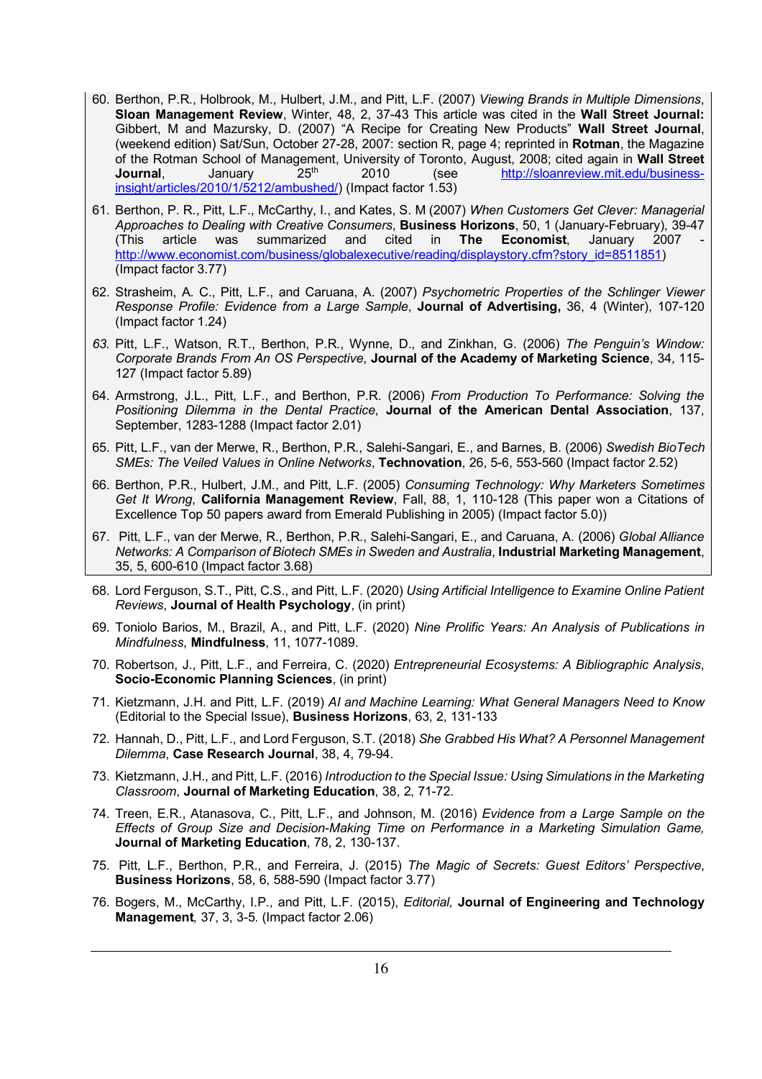- 60. Berthon, P.R., Holbrook, M., Hulbert, J.M., and Pitt, L.F. (2007) *Viewing Brands in Multiple Dimensions*, **Sloan Management Review**, Winter, 48, 2, 37-43 This article was cited in the **Wall Street Journal:**  Gibbert, M and Mazursky, D. (2007) "A Recipe for Creating New Products" **Wall Street Journal**, (weekend edition) Sat/Sun, October 27-28, 2007: section R, page 4; reprinted in **Rotman**, the Magazine of the Rotman School of Management, University of Toronto, August, 2008; cited again in **Wall Street Journal**, January 25<sup>th</sup> 2010 (see http://sloanreview.mit.edu/businessinsight/articles/2010/1/5212/ambushed/) (Impact factor 1.53)
- 61. Berthon, P. R., Pitt, L.F., McCarthy, I., and Kates, S. M (2007) *When Customers Get Clever: Managerial Approaches to Dealing with Creative Consumers*, **Business Horizons**, 50, 1 (January-February), 39-47 (This article was summarized and cited in **The Economist**, January 2007 http://www.economist.com/business/globalexecutive/reading/displaystory.cfm?story\_id=8511851) (Impact factor 3.77)
- 62. Strasheim, A. C., Pitt, L.F., and Caruana, A. (2007) *Psychometric Properties of the Schlinger Viewer Response Profile: Evidence from a Large Sample*, **Journal of Advertising,** 36, 4 (Winter), 107-120 (Impact factor 1.24)
- *63.* Pitt, L.F., Watson, R.T., Berthon, P.R., Wynne, D., and Zinkhan, G. (2006) *The Penguin's Window: Corporate Brands From An OS Perspective*, **Journal of the Academy of Marketing Science**, 34, 115- 127 (Impact factor 5.89)
- 64. Armstrong, J.L., Pitt, L.F., and Berthon, P.R. (2006) *From Production To Performance: Solving the Positioning Dilemma in the Dental Practice*, **Journal of the American Dental Association**, 137, September, 1283-1288 (Impact factor 2.01)
- 65. Pitt, L.F., van der Merwe, R., Berthon, P.R., Salehi-Sangari, E., and Barnes, B. (2006) *Swedish BioTech SMEs: The Veiled Values in Online Networks*, **Technovation**, 26, 5-6, 553-560 (Impact factor 2.52)
- 66. Berthon, P.R., Hulbert, J.M., and Pitt, L.F. (2005) *Consuming Technology: Why Marketers Sometimes Get It Wrong*, **California Management Review**, Fall, 88, 1, 110-128 (This paper won a Citations of Excellence Top 50 papers award from Emerald Publishing in 2005) (Impact factor 5.0))
- 67. Pitt, L.F., van der Merwe, R., Berthon, P.R., Salehi-Sangari, E., and Caruana, A. (2006) *Global Alliance Networks: A Comparison of Biotech SMEs in Sweden and Australia*, **Industrial Marketing Management**, 35, 5, 600-610 (Impact factor 3.68)
- 68. Lord Ferguson, S.T., Pitt, C.S., and Pitt, L.F. (2020) *Using Artificial Intelligence to Examine Online Patient Reviews*, **Journal of Health Psychology**, (in print)
- 69. Toniolo Barios, M., Brazil, A., and Pitt, L.F. (2020) *Nine Prolific Years: An Analysis of Publications in Mindfulness*, **Mindfulness**, 11, 1077-1089.
- 70. Robertson, J., Pitt, L.F., and Ferreira, C. (2020) *Entrepreneurial Ecosystems: A Bibliographic Analysis*, **Socio-Economic Planning Sciences**, (in print)
- 71. Kietzmann, J.H. and Pitt, L.F. (2019) *AI and Machine Learning: What General Managers Need to Know* (Editorial to the Special Issue), **Business Horizons**, 63, 2, 131-133
- 72. Hannah, D., Pitt, L.F., and Lord Ferguson, S.T. (2018) *She Grabbed His What? A Personnel Management Dilemma*, **Case Research Journal**, 38, 4, 79-94.
- 73. Kietzmann, J.H., and Pitt, L.F. (2016) *Introduction to the Special Issue: Using Simulations in the Marketing Classroom*, **Journal of Marketing Education**, 38, 2, 71-72.
- 74. Treen, E.R., Atanasova, C., Pitt, L.F., and Johnson, M. (2016) *Evidence from a Large Sample on the Effects of Group Size and Decision-Making Time on Performance in a Marketing Simulation Game,*  **Journal of Marketing Education**, 78, 2, 130-137.
- 75. Pitt, L.F., Berthon, P.R., and Ferreira, J. (2015) *The Magic of Secrets: Guest Editors' Perspective*, **Business Horizons**, 58, 6, 588-590 (Impact factor 3.77)
- 76. Bogers, M., McCarthy, I.P., and Pitt, L.F. (2015), *Editorial,* **Journal of Engineering and Technology Management***,* 37, 3, 3-5. (Impact factor 2.06)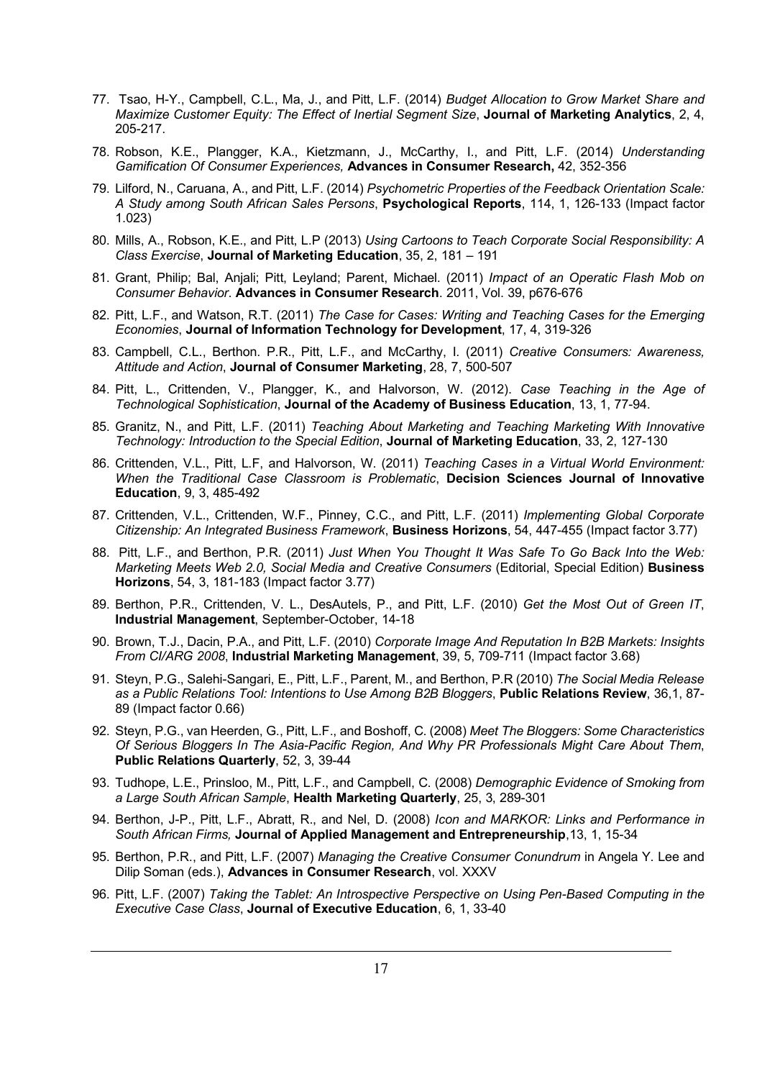- 77. Tsao, H-Y., Campbell, C.L., Ma, J., and Pitt, L.F. (2014) *Budget Allocation to Grow Market Share and Maximize Customer Equity: The Effect of Inertial Segment Size*, **Journal of Marketing Analytics**, 2, 4, 205-217.
- 78. Robson, K.E., Plangger, K.A., Kietzmann, J., McCarthy, I., and Pitt, L.F. (2014) *Understanding Gamification Of Consumer Experiences,* **Advances in Consumer Research,** 42, 352-356
- 79. Lilford, N., Caruana, A., and Pitt, L.F. (2014) *Psychometric Properties of the Feedback Orientation Scale: A Study among South African Sales Persons*, **Psychological Reports**, 114, 1, 126-133 (Impact factor 1.023)
- 80. Mills, A., Robson, K.E., and Pitt, L.P (2013) *Using Cartoons to Teach Corporate Social Responsibility: A Class Exercise*, **Journal of Marketing Education**, 35, 2, 181 – 191
- 81. Grant, Philip; Bal, Anjali; Pitt, Leyland; Parent, Michael. (2011) *Impact of an Operatic Flash Mob on Consumer Behavior*. **Advances in Consumer Research**. 2011, Vol. 39, p676-676
- 82. Pitt, L.F., and Watson, R.T. (2011) *The Case for Cases: Writing and Teaching Cases for the Emerging Economies*, **Journal of Information Technology for Development**, 17, 4, 319-326
- 83. Campbell, C.L., Berthon. P.R., Pitt, L.F., and McCarthy, I. (2011) *Creative Consumers: Awareness, Attitude and Action*, **Journal of Consumer Marketing**, 28, 7, 500-507
- 84. Pitt, L., Crittenden, V., Plangger, K., and Halvorson, W. (2012). *Case Teaching in the Age of Technological Sophistication*, **Journal of the Academy of Business Education**, 13, 1, 77-94.
- 85. Granitz, N., and Pitt, L.F. (2011) *Teaching About Marketing and Teaching Marketing With Innovative Technology: Introduction to the Special Edition*, **Journal of Marketing Education**, 33, 2, 127-130
- 86. Crittenden, V.L., Pitt, L.F, and Halvorson, W. (2011) *Teaching Cases in a Virtual World Environment: When the Traditional Case Classroom is Problematic*, **Decision Sciences Journal of Innovative Education**, 9, 3, 485-492
- 87. Crittenden, V.L., Crittenden, W.F., Pinney, C.C., and Pitt, L.F. (2011) *Implementing Global Corporate Citizenship: An Integrated Business Framework*, **Business Horizons**, 54, 447-455 (Impact factor 3.77)
- 88. Pitt, L.F., and Berthon, P.R. (2011) *Just When You Thought It Was Safe To Go Back Into the Web: Marketing Meets Web 2.0, Social Media and Creative Consumers* (Editorial, Special Edition) **Business Horizons**, 54, 3, 181-183 (Impact factor 3.77)
- 89. Berthon, P.R., Crittenden, V. L., DesAutels, P., and Pitt, L.F. (2010) *Get the Most Out of Green IT*, **Industrial Management**, September-October, 14-18
- 90. Brown, T.J., Dacin, P.A., and Pitt, L.F. (2010) *Corporate Image And Reputation In B2B Markets: Insights From CI/ARG 2008*, **Industrial Marketing Management**, 39, 5, 709-711 (Impact factor 3.68)
- 91. Steyn, P.G., Salehi-Sangari, E., Pitt, L.F., Parent, M., and Berthon, P.R (2010) *The Social Media Release as a Public Relations Tool: Intentions to Use Among B2B Bloggers*, **Public Relations Review**, 36,1, 87- 89 (Impact factor 0.66)
- 92. Steyn, P.G., van Heerden, G., Pitt, L.F., and Boshoff, C. (2008) *Meet The Bloggers: Some Characteristics Of Serious Bloggers In The Asia-Pacific Region, And Why PR Professionals Might Care About Them*, **Public Relations Quarterly**, 52, 3, 39-44
- 93. Tudhope, L.E., Prinsloo, M., Pitt, L.F., and Campbell, C. (2008) *Demographic Evidence of Smoking from a Large South African Sample*, **Health Marketing Quarterly**, 25, 3, 289-301
- 94. Berthon, J-P., Pitt, L.F., Abratt, R., and Nel, D. (2008) *Icon and MARKOR: Links and Performance in South African Firms,* **Journal of Applied Management and Entrepreneurship**,13, 1, 15-34
- 95. Berthon, P.R., and Pitt, L.F. (2007) *Managing the Creative Consumer Conundrum* in Angela Y. Lee and Dilip Soman (eds.), **Advances in Consumer Research**, vol. XXXV
- 96. Pitt, L.F. (2007) *Taking the Tablet: An Introspective Perspective on Using Pen-Based Computing in the Executive Case Class*, **Journal of Executive Education**, 6, 1, 33-40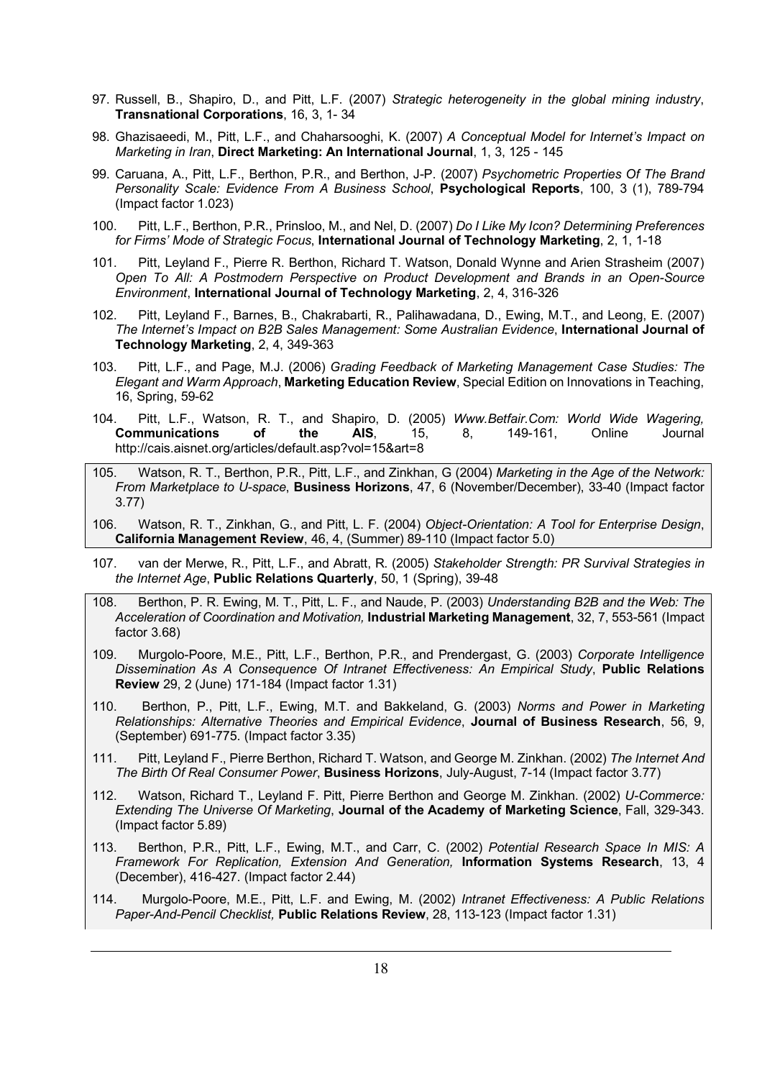- 97. Russell, B., Shapiro, D., and Pitt, L.F. (2007) *Strategic heterogeneity in the global mining industry*, **Transnational Corporations**, 16, 3, 1- 34
- 98. Ghazisaeedi, M., Pitt, L.F., and Chaharsooghi, K. (2007) *A Conceptual Model for Internet's Impact on Marketing in Iran*, **Direct Marketing: An International Journal**, 1, 3, 125 - 145
- 99. Caruana, A., Pitt, L.F., Berthon, P.R., and Berthon, J-P. (2007) *Psychometric Properties Of The Brand Personality Scale: Evidence From A Business School*, **Psychological Reports**, 100, 3 (1), 789-794 (Impact factor 1.023)
- 100. Pitt, L.F., Berthon, P.R., Prinsloo, M., and Nel, D. (2007) *Do I Like My Icon? Determining Preferences for Firms' Mode of Strategic Focus*, **International Journal of Technology Marketing**, 2, 1, 1-18
- 101. Pitt, Leyland F., Pierre R. Berthon, Richard T. Watson, Donald Wynne and Arien Strasheim (2007) *Open To All: A Postmodern Perspective on Product Development and Brands in an Open-Source Environment*, **International Journal of Technology Marketing**, 2, 4, 316-326
- 102. Pitt, Leyland F., Barnes, B., Chakrabarti, R., Palihawadana, D., Ewing, M.T., and Leong, E. (2007) *The Internet's Impact on B2B Sales Management: Some Australian Evidence*, **International Journal of Technology Marketing**, 2, 4, 349-363
- 103. Pitt, L.F., and Page, M.J. (2006) *Grading Feedback of Marketing Management Case Studies: The Elegant and Warm Approach*, **Marketing Education Review**, Special Edition on Innovations in Teaching, 16, Spring, 59-62
- 104. Pitt, L.F., Watson, R. T., and Shapiro, D. (2005) *Www.Betfair.Com: World Wide Wagering,*  **Communications of the AIS**, 15, 8, 149-161, Online Journal http://cais.aisnet.org/articles/default.asp?vol=15&art=8
- 105. Watson, R. T., Berthon, P.R., Pitt, L.F., and Zinkhan, G (2004) *Marketing in the Age of the Network: From Marketplace to U-space*, **Business Horizons**, 47, 6 (November/December), 33-40 (Impact factor 3.77)
- 106. Watson, R. T., Zinkhan, G., and Pitt, L. F. (2004) *Object-Orientation: A Tool for Enterprise Design*, **California Management Review**, 46, 4, (Summer) 89-110 (Impact factor 5.0)
- 107. van der Merwe, R., Pitt, L.F., and Abratt, R. (2005) *Stakeholder Strength: PR Survival Strategies in the Internet Age*, **Public Relations Quarterly**, 50, 1 (Spring), 39-48
- 108. Berthon, P. R. Ewing, M. T., Pitt, L. F., and Naude, P. (2003) *Understanding B2B and the Web: The Acceleration of Coordination and Motivation,* **Industrial Marketing Management**, 32, 7, 553-561 (Impact factor 3.68)
- 109. Murgolo-Poore, M.E., Pitt, L.F., Berthon, P.R., and Prendergast, G. (2003) *Corporate Intelligence Dissemination As A Consequence Of Intranet Effectiveness: An Empirical Study*, **Public Relations Review** 29, 2 (June) 171-184 (Impact factor 1.31)
- 110. Berthon, P., Pitt, L.F., Ewing, M.T. and Bakkeland, G. (2003) *Norms and Power in Marketing Relationships: Alternative Theories and Empirical Evidence*, **Journal of Business Research**, 56, 9, (September) 691-775. (Impact factor 3.35)
- 111. Pitt, Leyland F., Pierre Berthon, Richard T. Watson, and George M. Zinkhan. (2002) *The Internet And The Birth Of Real Consumer Power*, **Business Horizons**, July-August, 7-14 (Impact factor 3.77)
- 112. Watson, Richard T., Leyland F. Pitt, Pierre Berthon and George M. Zinkhan. (2002) *U-Commerce: Extending The Universe Of Marketing*, **Journal of the Academy of Marketing Science**, Fall, 329-343. (Impact factor 5.89)
- 113. Berthon, P.R., Pitt, L.F., Ewing, M.T., and Carr, C. (2002) *Potential Research Space In MIS: A Framework For Replication, Extension And Generation,* **Information Systems Research**, 13, 4 (December), 416-427. (Impact factor 2.44)
- 114. Murgolo-Poore, M.E., Pitt, L.F. and Ewing, M. (2002) *Intranet Effectiveness: A Public Relations Paper-And-Pencil Checklist,* **Public Relations Review**, 28, 113-123 (Impact factor 1.31)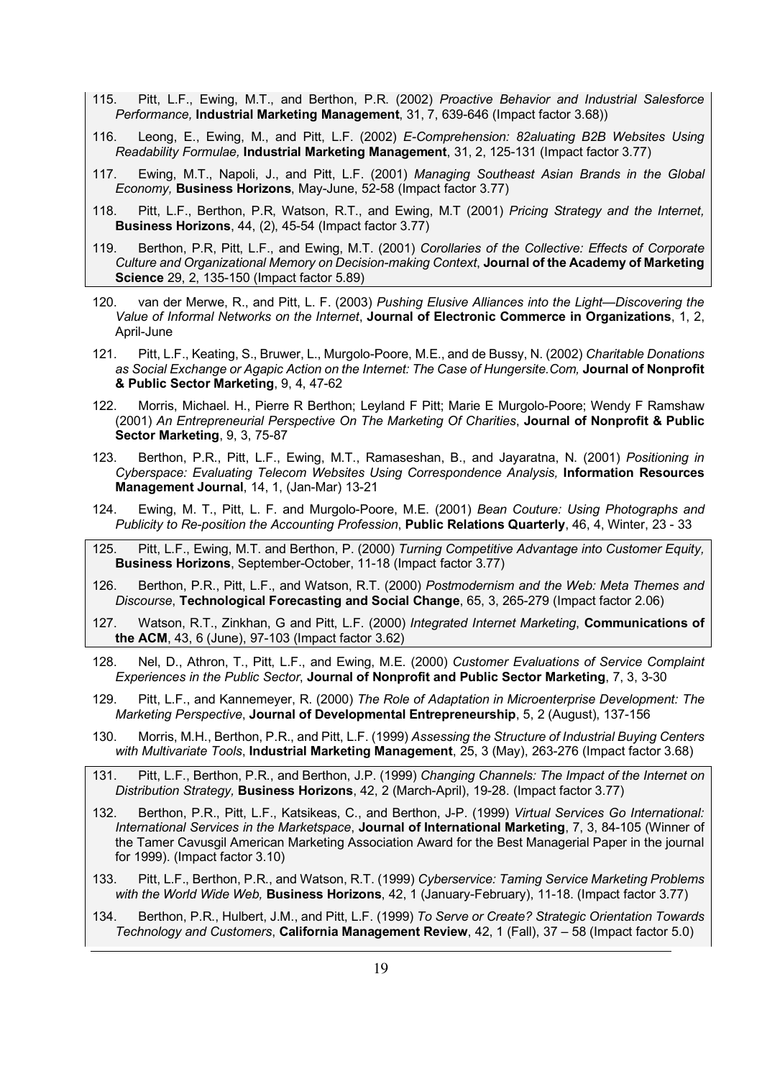- 115. Pitt, L.F., Ewing, M.T., and Berthon, P.R. (2002) *Proactive Behavior and Industrial Salesforce Performance,* **Industrial Marketing Management**, 31, 7, 639-646 (Impact factor 3.68))
- 116. Leong, E., Ewing, M., and Pitt, L.F. (2002) *E-Comprehension: 82aluating B2B Websites Using Readability Formulae,* **Industrial Marketing Management**, 31, 2, 125-131 (Impact factor 3.77)
- 117. Ewing, M.T., Napoli, J., and Pitt, L.F. (2001) *Managing Southeast Asian Brands in the Global Economy,* **Business Horizons**, May-June, 52-58 (Impact factor 3.77)
- 118. Pitt, L.F., Berthon, P.R, Watson, R.T., and Ewing, M.T (2001) *Pricing Strategy and the Internet,*  **Business Horizons**, 44, (2), 45-54 (Impact factor 3.77)
- 119. Berthon, P.R, Pitt, L.F., and Ewing, M.T. (2001) *Corollaries of the Collective: Effects of Corporate Culture and Organizational Memory on Decision-making Context*, **Journal of the Academy of Marketing Science** 29, 2, 135-150 (Impact factor 5.89)
- 120. van der Merwe, R., and Pitt, L. F. (2003) *Pushing Elusive Alliances into the Light—Discovering the Value of Informal Networks on the Internet*, **Journal of Electronic Commerce in Organizations**, 1, 2, April-June
- 121. Pitt, L.F., Keating, S., Bruwer, L., Murgolo-Poore, M.E., and de Bussy, N. (2002) *Charitable Donations as Social Exchange or Agapic Action on the Internet: The Case of Hungersite.Com,* **Journal of Nonprofit & Public Sector Marketing**, 9, 4, 47-62
- 122. Morris, Michael. H., Pierre R Berthon; Leyland F Pitt; Marie E Murgolo-Poore; Wendy F Ramshaw (2001) *An Entrepreneurial Perspective On The Marketing Of Charities*, **Journal of Nonprofit & Public Sector Marketing**, 9, 3, 75-87
- 123. Berthon, P.R., Pitt, L.F., Ewing, M.T., Ramaseshan, B., and Jayaratna, N. (2001) *Positioning in Cyberspace: Evaluating Telecom Websites Using Correspondence Analysis,* **Information Resources Management Journal**, 14, 1, (Jan-Mar) 13-21
- 124. Ewing, M. T., Pitt, L. F. and Murgolo-Poore, M.E. (2001) *Bean Couture: Using Photographs and Publicity to Re-position the Accounting Profession*, **Public Relations Quarterly**, 46, 4, Winter, 23 - 33
- 125. Pitt, L.F., Ewing, M.T. and Berthon, P. (2000) *Turning Competitive Advantage into Customer Equity,* **Business Horizons**, September-October, 11-18 (Impact factor 3.77)
- 126. Berthon, P.R., Pitt, L.F., and Watson, R.T. (2000) *Postmodernism and the Web: Meta Themes and Discourse*, **Technological Forecasting and Social Change**, 65, 3, 265-279 (Impact factor 2.06)
- 127. Watson, R.T., Zinkhan, G and Pitt, L.F. (2000) *Integrated Internet Marketing*, **Communications of the ACM**, 43, 6 (June), 97-103 (Impact factor 3.62)
- 128. Nel, D., Athron, T., Pitt, L.F., and Ewing, M.E. (2000) *Customer Evaluations of Service Complaint Experiences in the Public Sector*, **Journal of Nonprofit and Public Sector Marketing**, 7, 3, 3-30
- 129. Pitt, L.F., and Kannemeyer, R. (2000) *The Role of Adaptation in Microenterprise Development: The Marketing Perspective*, **Journal of Developmental Entrepreneurship**, 5, 2 (August), 137-156
- 130. Morris, M.H., Berthon, P.R., and Pitt, L.F. (1999) *Assessing the Structure of Industrial Buying Centers with Multivariate Tools*, **Industrial Marketing Management**, 25, 3 (May), 263-276 (Impact factor 3.68)
- 131. Pitt, L.F., Berthon, P.R., and Berthon, J.P. (1999) *Changing Channels: The Impact of the Internet on Distribution Strategy,* **Business Horizons**, 42, 2 (March-April), 19-28. (Impact factor 3.77)
- 132. Berthon, P.R., Pitt, L.F., Katsikeas, C., and Berthon, J-P. (1999) *Virtual Services Go International: International Services in the Marketspace*, **Journal of International Marketing**, 7, 3, 84-105 (Winner of the Tamer Cavusgil American Marketing Association Award for the Best Managerial Paper in the journal for 1999). (Impact factor 3.10)
- 133. Pitt, L.F., Berthon, P.R., and Watson, R.T. (1999) *Cyberservice: Taming Service Marketing Problems with the World Wide Web,* **Business Horizons**, 42, 1 (January-February), 11-18. (Impact factor 3.77)
- 134. Berthon, P.R., Hulbert, J.M., and Pitt, L.F. (1999) *To Serve or Create? Strategic Orientation Towards Technology and Customers*, **California Management Review**, 42, 1 (Fall), 37 – 58 (Impact factor 5.0)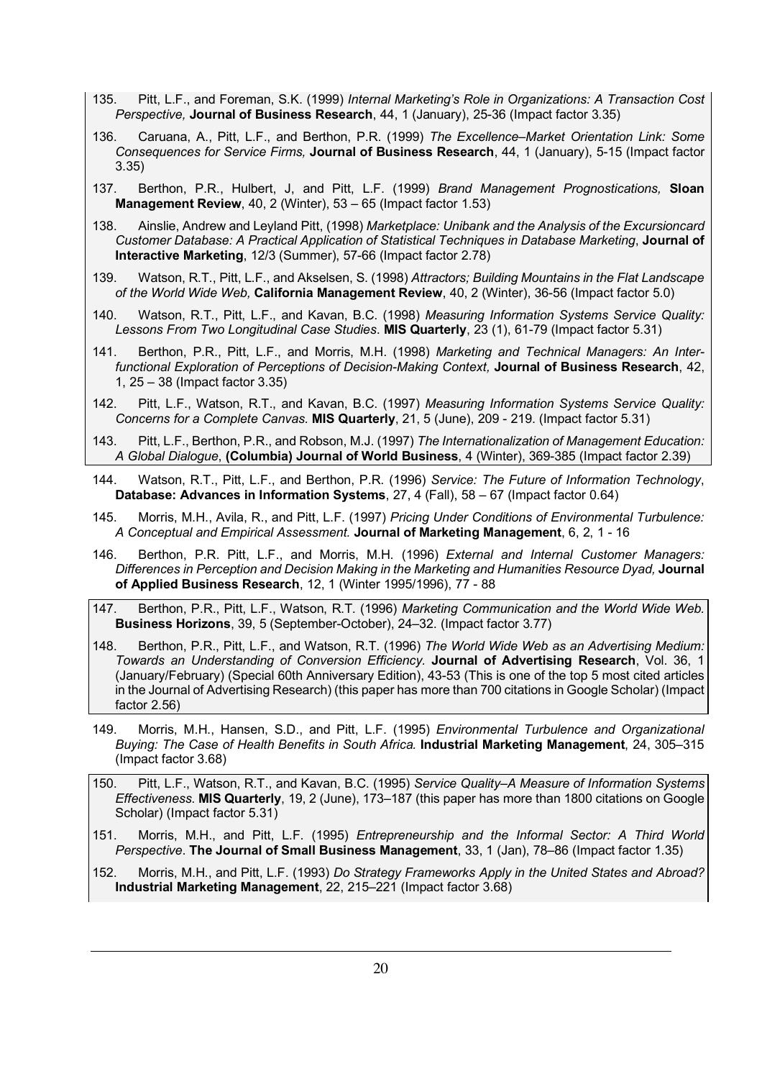- 135. Pitt, L.F., and Foreman, S.K. (1999) *Internal Marketing's Role in Organizations: A Transaction Cost Perspective,* **Journal of Business Research**, 44, 1 (January), 25-36 (Impact factor 3.35)
- 136. Caruana, A., Pitt, L.F., and Berthon, P.R. (1999) *The Excellence–Market Orientation Link: Some Consequences for Service Firms,* **Journal of Business Research**, 44, 1 (January), 5-15 (Impact factor 3.35)
- 137. Berthon, P.R., Hulbert, J, and Pitt, L.F. (1999) *Brand Management Prognostications,* **Sloan Management Review**, 40, 2 (Winter), 53 – 65 (Impact factor 1.53)
- 138. Ainslie, Andrew and Leyland Pitt, (1998) *Marketplace: Unibank and the Analysis of the Excursioncard Customer Database: A Practical Application of Statistical Techniques in Database Marketing*, **Journal of Interactive Marketing**, 12/3 (Summer), 57-66 (Impact factor 2.78)
- 139. Watson, R.T., Pitt, L.F., and Akselsen, S. (1998) *Attractors; Building Mountains in the Flat Landscape of the World Wide Web,* **California Management Review**, 40, 2 (Winter), 36-56 (Impact factor 5.0)
- 140. Watson, R.T., Pitt, L.F., and Kavan, B.C. (1998) *Measuring Information Systems Service Quality: Lessons From Two Longitudinal Case Studies*. **MIS Quarterly**, 23 (1), 61-79 (Impact factor 5.31)
- 141. Berthon, P.R., Pitt, L.F., and Morris, M.H. (1998) *Marketing and Technical Managers: An Interfunctional Exploration of Perceptions of Decision-Making Context,* **Journal of Business Research**, 42, 1, 25 – 38 (Impact factor 3.35)
- 142. Pitt, L.F., Watson, R.T., and Kavan, B.C. (1997) *Measuring Information Systems Service Quality: Concerns for a Complete Canvas.* **MIS Quarterly**, 21, 5 (June), 209 - 219. (Impact factor 5.31)
- 143. Pitt, L.F., Berthon, P.R., and Robson, M.J. (1997) *The Internationalization of Management Education: A Global Dialogue*, **(Columbia) Journal of World Business**, 4 (Winter), 369-385 (Impact factor 2.39)
- 144. Watson, R.T., Pitt, L.F., and Berthon, P.R. (1996) *Service: The Future of Information Technology*, **Database: Advances in Information Systems**, 27, 4 (Fall), 58 – 67 (Impact factor 0.64)
- 145. Morris, M.H., Avila, R., and Pitt, L.F. (1997) *Pricing Under Conditions of Environmental Turbulence: A Conceptual and Empirical Assessment.* **Journal of Marketing Management**, 6, 2, 1 - 16
- 146. Berthon, P.R. Pitt, L.F., and Morris, M.H. (1996) *External and Internal Customer Managers: Differences in Perception and Decision Making in the Marketing and Humanities Resource Dyad,* **Journal of Applied Business Research**, 12, 1 (Winter 1995/1996), 77 - 88
- 147. Berthon, P.R., Pitt, L.F., Watson, R.T. (1996) *Marketing Communication and the World Wide Web.* **Business Horizons**, 39, 5 (September-October), 24–32. (Impact factor 3.77)
- 148. Berthon, P.R., Pitt, L.F., and Watson, R.T. (1996) *The World Wide Web as an Advertising Medium: Towards an Understanding of Conversion Efficiency.* **Journal of Advertising Research**, Vol. 36, 1 (January/February) (Special 60th Anniversary Edition), 43-53 (This is one of the top 5 most cited articles in the Journal of Advertising Research) (this paper has more than 700 citations in Google Scholar) (Impact factor 2.56)
- 149. Morris, M.H., Hansen, S.D., and Pitt, L.F. (1995) *Environmental Turbulence and Organizational Buying: The Case of Health Benefits in South Africa.* **Industrial Marketing Management**, 24, 305–315 (Impact factor 3.68)
- 150. Pitt, L.F., Watson, R.T., and Kavan, B.C. (1995) *Service Quality–A Measure of Information Systems Effectiveness*. **MIS Quarterly**, 19, 2 (June), 173–187 (this paper has more than 1800 citations on Google Scholar) (Impact factor 5.31)
- 151. Morris, M.H., and Pitt, L.F. (1995) *Entrepreneurship and the Informal Sector: A Third World Perspective*. **The Journal of Small Business Management**, 33, 1 (Jan), 78–86 (Impact factor 1.35)
- 152. Morris, M.H., and Pitt, L.F. (1993) *Do Strategy Frameworks Apply in the United States and Abroad?* **Industrial Marketing Management**, 22, 215–221 (Impact factor 3.68)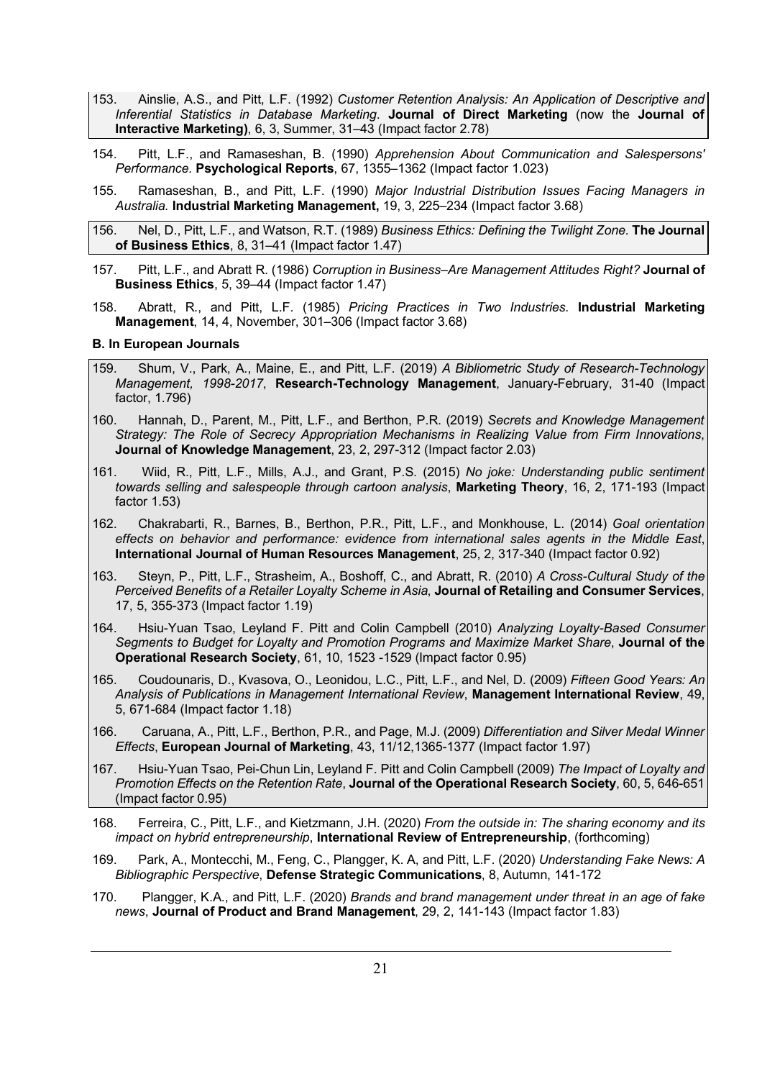- 153. Ainslie, A.S., and Pitt, L.F. (1992) *Customer Retention Analysis: An Application of Descriptive and Inferential Statistics in Database Marketing*. **Journal of Direct Marketing** (now the **Journal of Interactive Marketing)**, 6, 3, Summer, 31–43 (Impact factor 2.78)
- 154. Pitt, L.F., and Ramaseshan, B. (1990) *Apprehension About Communication and Salespersons' Performance.* **Psychological Reports**, 67, 1355–1362 (Impact factor 1.023)
- 155. Ramaseshan, B., and Pitt, L.F. (1990) *Major Industrial Distribution Issues Facing Managers in Australia.* **Industrial Marketing Management,** 19, 3, 225–234 (Impact factor 3.68)

156. Nel, D., Pitt, L.F., and Watson, R.T. (1989) *Business Ethics: Defining the Twilight Zone.* **The Journal**  of Business Ethics, 8, 31-41 (Impact factor 1.47)

- 157. Pitt, L.F., and Abratt R. (1986) *Corruption in Business–Are Management Attitudes Right?* **Journal of Business Ethics**, 5, 39–44 (Impact factor 1.47)
- 158. Abratt, R., and Pitt, L.F. (1985) *Pricing Practices in Two Industries.* **Industrial Marketing Management**, 14, 4, November, 301–306 (Impact factor 3.68)

#### **B. In European Journals**

- 159. Shum, V., Park, A., Maine, E., and Pitt, L.F. (2019) *A Bibliometric Study of Research-Technology Management, 1998-2017*, **Research-Technology Management**, January-February, 31-40 (Impact factor, 1.796)
- 160. Hannah, D., Parent, M., Pitt, L.F., and Berthon, P.R. (2019) *Secrets and Knowledge Management Strategy: The Role of Secrecy Appropriation Mechanisms in Realizing Value from Firm Innovations*, **Journal of Knowledge Management**, 23, 2, 297-312 (Impact factor 2.03)
- 161. Wiid, R., Pitt, L.F., Mills, A.J., and Grant, P.S. (2015) *No joke: Understanding public sentiment towards selling and salespeople through cartoon analysis*, **Marketing Theory**, 16, 2, 171-193 (Impact factor 1.53)
- 162. Chakrabarti, R., Barnes, B., Berthon, P.R., Pitt, L.F., and Monkhouse, L. (2014) *Goal orientation effects on behavior and performance: evidence from international sales agents in the Middle East*, **International Journal of Human Resources Management**, 25, 2, 317-340 (Impact factor 0.92)
- 163. Steyn, P., Pitt, L.F., Strasheim, A., Boshoff, C., and Abratt, R. (2010) *A Cross-Cultural Study of the Perceived Benefits of a Retailer Loyalty Scheme in Asia*, **Journal of Retailing and Consumer Services**, 17, 5, 355-373 (Impact factor 1.19)
- 164. Hsiu-Yuan Tsao, Leyland F. Pitt and Colin Campbell (2010) *Analyzing Loyalty-Based Consumer Segments to Budget for Loyalty and Promotion Programs and Maximize Market Share*, **Journal of the Operational Research Society**, 61, 10, 1523 -1529 (Impact factor 0.95)
- 165. Coudounaris, D., Kvasova, O., Leonidou, L.C., Pitt, L.F., and Nel, D. (2009) *Fifteen Good Years: An Analysis of Publications in Management International Review*, **Management International Review**, 49, 5, 671-684 (Impact factor 1.18)
- 166. Caruana, A., Pitt, L.F., Berthon, P.R., and Page, M.J. (2009) *Differentiation and Silver Medal Winner Effects*, **European Journal of Marketing**, 43, 11/12,1365-1377 (Impact factor 1.97)
- 167. Hsiu-Yuan Tsao, Pei-Chun Lin, Leyland F. Pitt and Colin Campbell (2009) *The Impact of Loyalty and Promotion Effects on the Retention Rate*, **Journal of the Operational Research Society**, 60, 5, 646-651 (Impact factor 0.95)
- 168. Ferreira, C., Pitt, L.F., and Kietzmann, J.H. (2020) *From the outside in: The sharing economy and its impact on hybrid entrepreneurship*, **International Review of Entrepreneurship**, (forthcoming)
- 169. Park, A., Montecchi, M., Feng, C., Plangger, K. A, and Pitt, L.F. (2020) *Understanding Fake News: A Bibliographic Perspective*, **Defense Strategic Communications**, 8, Autumn, 141-172
- 170. Plangger, K.A., and Pitt, L.F. (2020) *Brands and brand management under threat in an age of fake news*, **Journal of Product and Brand Management**, 29, 2, 141-143 (Impact factor 1.83)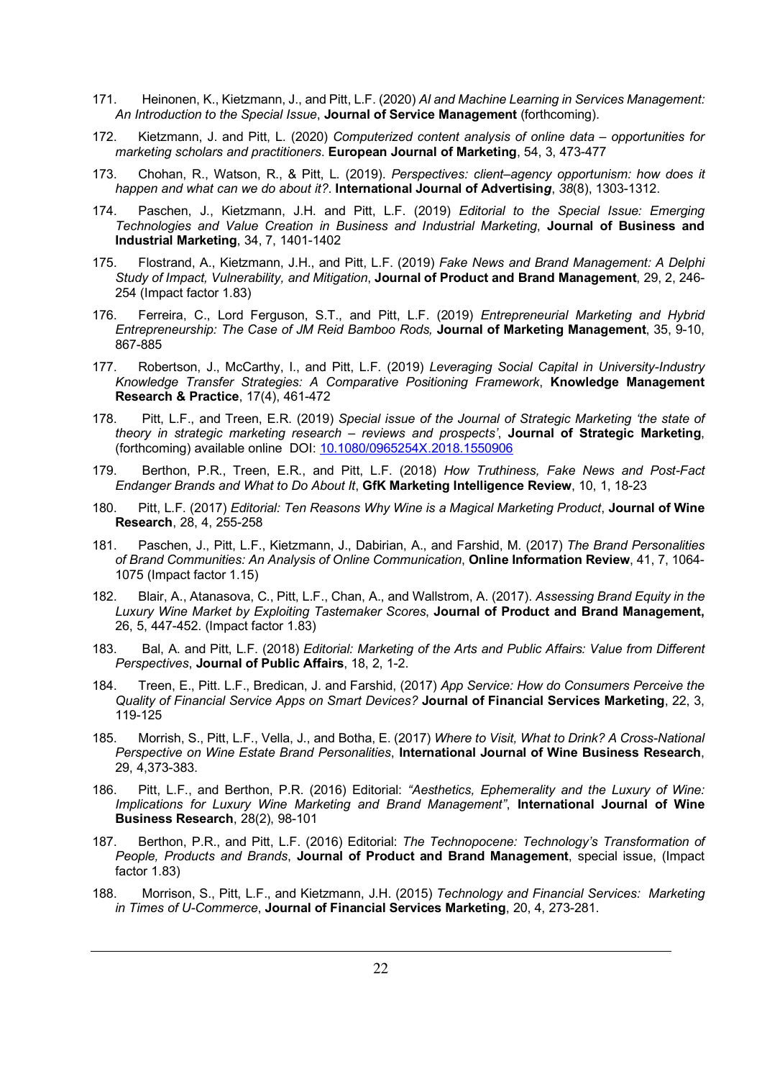- 171. Heinonen, K., Kietzmann, J., and Pitt, L.F. (2020) *AI and Machine Learning in Services Management: An Introduction to the Special Issue*, **Journal of Service Management** (forthcoming).
- 172. Kietzmann, J. and Pitt, L. (2020) *Computerized content analysis of online data – opportunities for marketing scholars and practitioners*. **European Journal of Marketing**, 54, 3, 473-477
- 173. Chohan, R., Watson, R., & Pitt, L. (2019). *Perspectives: client–agency opportunism: how does it happen and what can we do about it?*. **International Journal of Advertisin***g*, *38*(8), 1303-1312.
- 174. Paschen, J., Kietzmann, J.H. and Pitt, L.F. (2019) *Editorial to the Special Issue: Emerging Technologies and Value Creation in Business and Industrial Marketing*, **Journal of Business and Industrial Marketing**, 34, 7, 1401-1402
- 175. Flostrand, A., Kietzmann, J.H., and Pitt, L.F. (2019) *Fake News and Brand Management: A Delphi Study of Impact, Vulnerability, and Mitigation*, **Journal of Product and Brand Management**, 29, 2, 246- 254 (Impact factor 1.83)
- 176. Ferreira, C., Lord Ferguson, S.T., and Pitt, L.F. (2019) *Entrepreneurial Marketing and Hybrid Entrepreneurship: The Case of JM Reid Bamboo Rods,* **Journal of Marketing Management**, 35, 9-10, 867-885
- 177. Robertson, J., McCarthy, I., and Pitt, L.F. (2019) *Leveraging Social Capital in University-Industry Knowledge Transfer Strategies: A Comparative Positioning Framework*, **Knowledge Management Research & Practice**, 17(4), 461-472
- 178. Pitt, L.F., and Treen, E.R. (2019) *Special issue of the Journal of Strategic Marketing 'the state of theory in strategic marketing research – reviews and prospects'*, **Journal of Strategic Marketing**, (forthcoming) available online DOI: 10.1080/0965254X.2018.1550906
- 179. Berthon, P.R., Treen, E.R., and Pitt, L.F. (2018) *How Truthiness, Fake News and Post-Fact Endanger Brands and What to Do About It*, **GfK Marketing Intelligence Review**, 10, 1, 18-23
- 180. Pitt, L.F. (2017) *Editorial: Ten Reasons Why Wine is a Magical Marketing Product*, **Journal of Wine Research**, 28, 4, 255-258
- 181. Paschen, J., Pitt, L.F., Kietzmann, J., Dabirian, A., and Farshid, M. (2017) *The Brand Personalities of Brand Communities: An Analysis of Online Communication*, **Online Information Review**, 41, 7, 1064- 1075 (Impact factor 1.15)
- 182. Blair, A., Atanasova, C., Pitt, L.F., Chan, A., and Wallstrom, A. (2017). *Assessing Brand Equity in the Luxury Wine Market by Exploiting Tastemaker Scores*, **Journal of Product and Brand Management,**  26, 5, 447-452. (Impact factor 1.83)
- 183. Bal, A. and Pitt, L.F. (2018) *Editorial: Marketing of the Arts and Public Affairs: Value from Different Perspectives*, **Journal of Public Affairs**, 18, 2, 1-2.
- 184. Treen, E., Pitt. L.F., Bredican, J. and Farshid, (2017) *App Service: How do Consumers Perceive the Quality of Financial Service Apps on Smart Devices?* **Journal of Financial Services Marketing**, 22, 3, 119-125
- 185. Morrish, S., Pitt, L.F., Vella, J., and Botha, E. (2017) *Where to Visit, What to Drink? A Cross-National Perspective on Wine Estate Brand Personalities*, **International Journal of Wine Business Research**, 29, 4,373-383.
- 186. Pitt, L.F., and Berthon, P.R. (2016) Editorial: *"Aesthetics, Ephemerality and the Luxury of Wine: Implications for Luxury Wine Marketing and Brand Management"*, **International Journal of Wine Business Research**, 28(2), 98-101
- 187. Berthon, P.R., and Pitt, L.F. (2016) Editorial: *The Technopocene: Technology's Transformation of People, Products and Brands*, **Journal of Product and Brand Management**, special issue, (Impact factor 1.83)
- 188. Morrison, S., Pitt, L.F., and Kietzmann, J.H. (2015) *Technology and Financial Services: Marketing in Times of U-Commerce*, **Journal of Financial Services Marketing**, 20, 4, 273-281.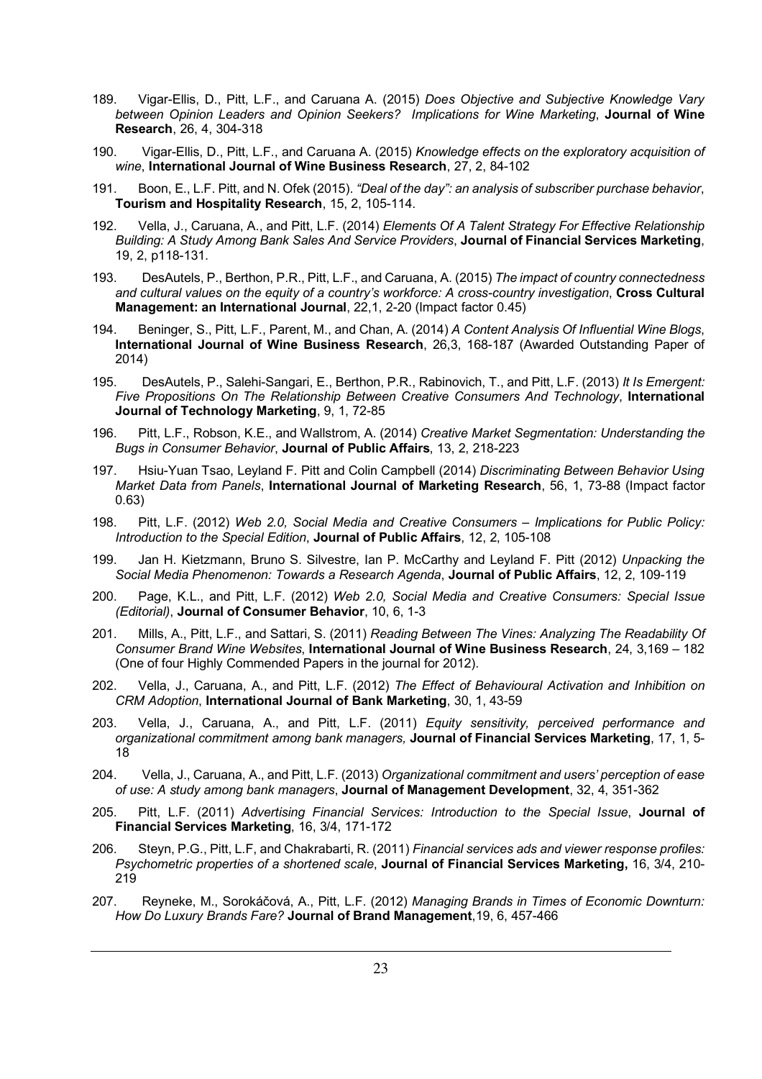- 189. Vigar-Ellis, D., Pitt, L.F., and Caruana A. (2015) *Does Objective and Subjective Knowledge Vary between Opinion Leaders and Opinion Seekers? Implications for Wine Marketing*, **Journal of Wine Research**, 26, 4, 304-318
- 190. Vigar-Ellis, D., Pitt, L.F., and Caruana A. (2015) *Knowledge effects on the exploratory acquisition of wine*, **International Journal of Wine Business Research**, 27, 2, 84-102
- 191. Boon, E., L.F. Pitt, and N. Ofek (2015). *"Deal of the day": an analysis of subscriber purchase behavior*, **Tourism and Hospitality Research**, 15, 2, 105-114.
- 192. Vella, J., Caruana, A., and Pitt, L.F. (2014) *Elements Of A Talent Strategy For Effective Relationship Building: A Study Among Bank Sales And Service Providers*, **Journal of Financial Services Marketing**, 19, 2, p118-131.
- 193. DesAutels, P., Berthon, P.R., Pitt, L.F., and Caruana, A. (2015) *The impact of country connectedness and cultural values on the equity of a country's workforce: A cross-country investigation*, **Cross Cultural Management: an International Journal**, 22,1, 2-20 (Impact factor 0.45)
- 194. Beninger, S., Pitt, L.F., Parent, M., and Chan, A. (2014) *A Content Analysis Of Influential Wine Blogs*, **International Journal of Wine Business Research**, 26,3, 168-187 (Awarded Outstanding Paper of 2014)
- 195. DesAutels, P., Salehi-Sangari, E., Berthon, P.R., Rabinovich, T., and Pitt, L.F. (2013) *It Is Emergent: Five Propositions On The Relationship Between Creative Consumers And Technology*, **International Journal of Technology Marketing**, 9, 1, 72-85
- 196. Pitt, L.F., Robson, K.E., and Wallstrom, A. (2014) *Creative Market Segmentation: Understanding the Bugs in Consumer Behavior*, **Journal of Public Affairs**, 13, 2, 218-223
- 197. Hsiu-Yuan Tsao, Leyland F. Pitt and Colin Campbell (2014) *Discriminating Between Behavior Using Market Data from Panels*, **International Journal of Marketing Research**, 56, 1, 73-88 (Impact factor 0.63)
- 198. Pitt, L.F. (2012) *Web 2.0, Social Media and Creative Consumers – Implications for Public Policy: Introduction to the Special Edition*, **Journal of Public Affairs**, 12, 2, 105-108
- 199. Jan H. Kietzmann, Bruno S. Silvestre, Ian P. McCarthy and Leyland F. Pitt (2012) *Unpacking the Social Media Phenomenon: Towards a Research Agenda*, **Journal of Public Affairs**, 12, 2, 109-119
- 200. Page, K.L., and Pitt, L.F. (2012) *Web 2.0, Social Media and Creative Consumers: Special Issue (Editorial)*, **Journal of Consumer Behavior**, 10, 6, 1-3
- 201. Mills, A., Pitt, L.F., and Sattari, S. (2011) *Reading Between The Vines: Analyzing The Readability Of Consumer Brand Wine Websites*, **International Journal of Wine Business Research**, 24, 3,169 – 182 (One of four Highly Commended Papers in the journal for 2012).
- 202. Vella, J., Caruana, A., and Pitt, L.F. (2012) *The Effect of Behavioural Activation and Inhibition on CRM Adoption*, **International Journal of Bank Marketing**, 30, 1, 43-59
- 203. Vella, J., Caruana, A., and Pitt, L.F. (2011) *Equity sensitivity, perceived performance and organizational commitment among bank managers,* **Journal of Financial Services Marketing**, 17, 1, 5- 18
- 204. Vella, J., Caruana, A., and Pitt, L.F. (2013) *Organizational commitment and users' perception of ease of use: A study among bank managers*, **Journal of Management Development**, 32, 4, 351-362
- 205. Pitt, L.F. (2011) *Advertising Financial Services: Introduction to the Special Issue*, **Journal of Financial Services Marketing**, 16, 3/4, 171-172
- 206. Steyn, P.G., Pitt, L.F, and Chakrabarti, R. (2011) *Financial services ads and viewer response profiles: Psychometric properties of a shortened scale*, **Journal of Financial Services Marketing,** 16, 3/4, 210- 219
- 207. Reyneke, M., Sorokáčová, A., Pitt, L.F. (2012) *Managing Brands in Times of Economic Downturn: How Do Luxury Brands Fare?* **Journal of Brand Management**,19, 6, 457-466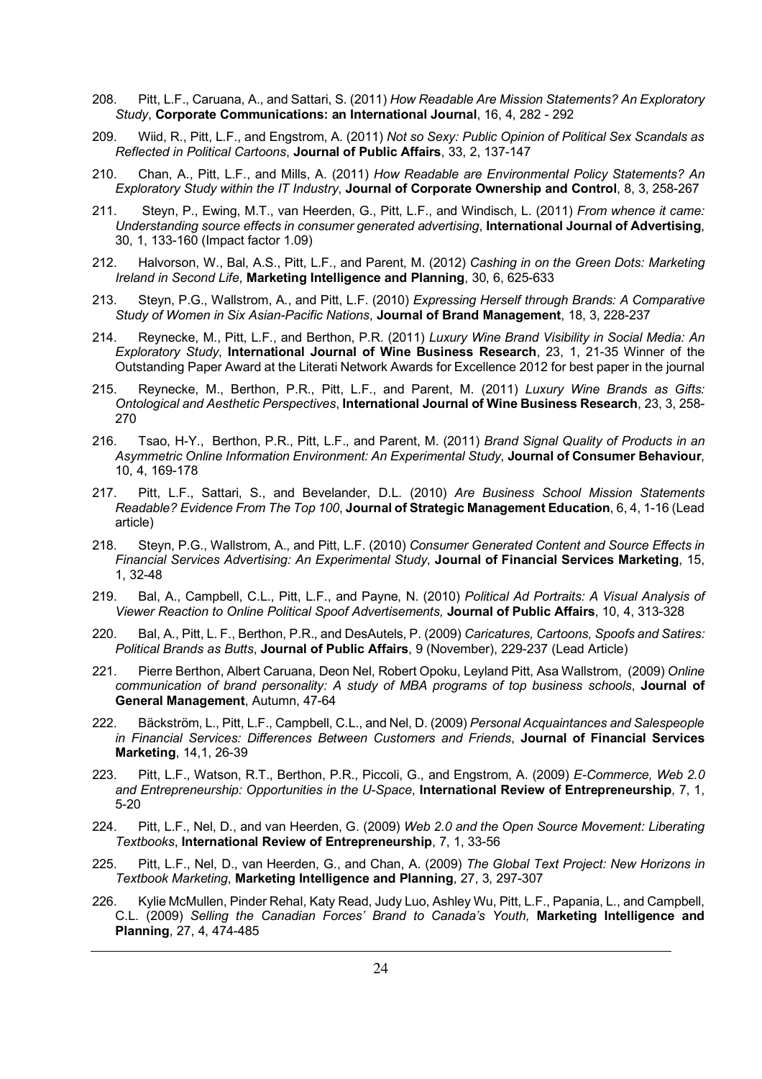- 208. Pitt, L.F., Caruana, A., and Sattari, S. (2011) *How Readable Are Mission Statements? An Exploratory Study*, **Corporate Communications: an International Journal**, 16, 4, 282 - 292
- 209. Wiid, R., Pitt, L.F., and Engstrom, A. (2011) *Not so Sexy: Public Opinion of Political Sex Scandals as Reflected in Political Cartoons*, **Journal of Public Affairs**, 33, 2, 137-147
- 210. Chan, A., Pitt, L.F., and Mills, A. (2011) *How Readable are Environmental Policy Statements? An Exploratory Study within the IT Industry*, **Journal of Corporate Ownership and Control**, 8, 3, 258-267
- 211. Steyn, P., Ewing, M.T., van Heerden, G., Pitt, L.F., and Windisch, L. (2011) *From whence it came: Understanding source effects in consumer generated advertising*, **International Journal of Advertising**, 30, 1, 133-160 (Impact factor 1.09)
- 212. Halvorson, W., Bal, A.S., Pitt, L.F., and Parent, M. (2012) *Cashing in on the Green Dots: Marketing Ireland in Second Life*, **Marketing Intelligence and Planning**, 30, 6, 625-633
- 213. Steyn, P.G., Wallstrom, A., and Pitt, L.F. (2010) *Expressing Herself through Brands: A Comparative Study of Women in Six Asian-Pacific Nations*, **Journal of Brand Management**, 18, 3, 228-237
- 214. Reynecke, M., Pitt, L.F., and Berthon, P.R. (2011) *Luxury Wine Brand Visibility in Social Media: An Exploratory Study*, **International Journal of Wine Business Research**, 23, 1, 21-35 Winner of the Outstanding Paper Award at the Literati Network Awards for Excellence 2012 for best paper in the journal
- 215. Reynecke, M., Berthon, P.R., Pitt, L.F., and Parent, M. (2011) *Luxury Wine Brands as Gifts: Ontological and Aesthetic Perspectives*, **International Journal of Wine Business Research**, 23, 3, 258- 270
- 216. Tsao, H-Y., Berthon, P.R., Pitt, L.F., and Parent, M. (2011) *Brand Signal Quality of Products in an Asymmetric Online Information Environment: An Experimental Study*, **Journal of Consumer Behaviour**, 10, 4, 169-178
- 217. Pitt, L.F., Sattari, S., and Bevelander, D.L. (2010) *Are Business School Mission Statements Readable? Evidence From The Top 100*, **Journal of Strategic Management Education**, 6, 4, 1-16 (Lead article)
- 218. Steyn, P.G., Wallstrom, A., and Pitt, L.F. (2010) *Consumer Generated Content and Source Effects in Financial Services Advertising: An Experimental Study*, **Journal of Financial Services Marketing**, 15, 1, 32-48
- 219. Bal, A., Campbell, C.L., Pitt, L.F., and Payne, N. (2010) *Political Ad Portraits: A Visual Analysis of Viewer Reaction to Online Political Spoof Advertisements,* **Journal of Public Affairs**, 10, 4, 313-328
- 220. Bal, A., Pitt, L. F., Berthon, P.R., and DesAutels, P. (2009) *Caricatures, Cartoons, Spoofs and Satires: Political Brands as Butts*, **Journal of Public Affairs**, 9 (November), 229-237 (Lead Article)
- 221. Pierre Berthon, Albert Caruana, Deon Nel, Robert Opoku, Leyland Pitt, Asa Wallstrom, (2009) *Online communication of brand personality: A study of MBA programs of top business schools*, **Journal of General Management**, Autumn, 47-64
- 222. Bäckström, L., Pitt, L.F., Campbell, C.L., and Nel, D. (2009) *Personal Acquaintances and Salespeople in Financial Services: Differences Between Customers and Friends*, **Journal of Financial Services Marketing**, 14,1, 26-39
- 223. Pitt, L.F., Watson, R.T., Berthon, P.R., Piccoli, G., and Engstrom, A. (2009) *E-Commerce, Web 2.0 and Entrepreneurship: Opportunities in the U-Space*, **International Review of Entrepreneurship**, 7, 1, 5-20
- 224. Pitt, L.F., Nel, D., and van Heerden, G. (2009) *Web 2.0 and the Open Source Movement: Liberating Textbooks*, **International Review of Entrepreneurship**, 7, 1, 33-56
- 225. Pitt, L.F., Nel, D., van Heerden, G., and Chan, A. (2009) *The Global Text Project: New Horizons in Textbook Marketing*, **Marketing Intelligence and Planning**, 27, 3, 297-307
- 226. Kylie McMullen, Pinder Rehal, Katy Read, Judy Luo, Ashley Wu, Pitt, L.F., Papania, L., and Campbell, C.L. (2009) *Selling the Canadian Forces' Brand to Canada's Youth,* **Marketing Intelligence and Planning**, 27, 4, 474-485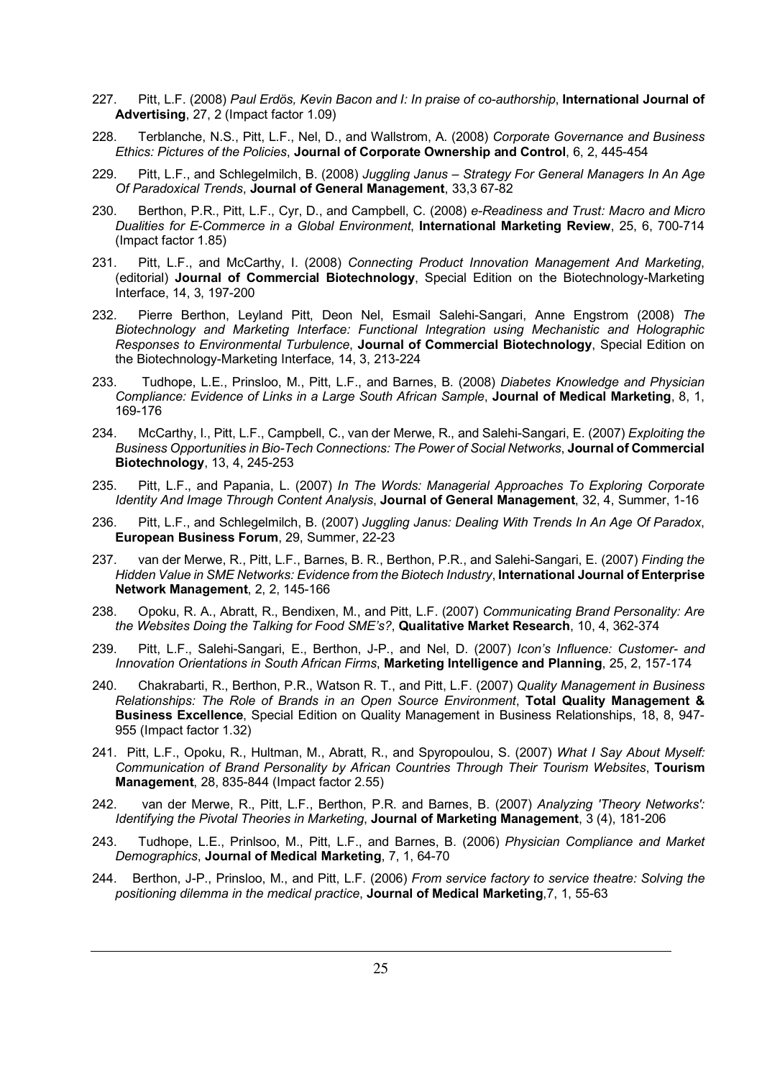- 227. Pitt, L.F. (2008) *Paul Erdös, Kevin Bacon and I: In praise of co-authorship*, **International Journal of Advertising**, 27, 2 (Impact factor 1.09)
- 228. Terblanche, N.S., Pitt, L.F., Nel, D., and Wallstrom, A. (2008) *Corporate Governance and Business Ethics: Pictures of the Policies*, **Journal of Corporate Ownership and Control**, 6, 2, 445-454
- 229. Pitt, L.F., and Schlegelmilch, B. (2008) *Juggling Janus – Strategy For General Managers In An Age Of Paradoxical Trends*, **Journal of General Management**, 33,3 67-82
- 230. Berthon, P.R., Pitt, L.F., Cyr, D., and Campbell, C. (2008) *e-Readiness and Trust: Macro and Micro Dualities for E-Commerce in a Global Environment*, **International Marketing Review**, 25, 6, 700-714 (Impact factor 1.85)
- 231. Pitt, L.F., and McCarthy, I. (2008) *Connecting Product Innovation Management And Marketing*, (editorial) **Journal of Commercial Biotechnology**, Special Edition on the Biotechnology-Marketing Interface, 14, 3, 197-200
- 232. Pierre Berthon, Leyland Pitt, Deon Nel, Esmail Salehi-Sangari, Anne Engstrom (2008) *The Biotechnology and Marketing Interface: Functional Integration using Mechanistic and Holographic Responses to Environmental Turbulence*, **Journal of Commercial Biotechnology**, Special Edition on the Biotechnology-Marketing Interface, 14, 3, 213-224
- 233. Tudhope, L.E., Prinsloo, M., Pitt, L.F., and Barnes, B. (2008) *Diabetes Knowledge and Physician Compliance: Evidence of Links in a Large South African Sample*, **Journal of Medical Marketing**, 8, 1, 169-176
- 234. McCarthy, I., Pitt, L.F., Campbell, C., van der Merwe, R., and Salehi-Sangari, E. (2007) *Exploiting the Business Opportunities in Bio-Tech Connections: The Power of Social Networks*, **Journal of Commercial Biotechnology**, 13, 4, 245-253
- 235. Pitt, L.F., and Papania, L. (2007) *In The Words: Managerial Approaches To Exploring Corporate Identity And Image Through Content Analysis*, **Journal of General Management**, 32, 4, Summer, 1-16
- 236. Pitt, L.F., and Schlegelmilch, B. (2007) *Juggling Janus: Dealing With Trends In An Age Of Paradox*, **European Business Forum**, 29, Summer, 22-23
- 237. van der Merwe, R., Pitt, L.F., Barnes, B. R., Berthon, P.R., and Salehi-Sangari, E. (2007) *Finding the Hidden Value in SME Networks: Evidence from the Biotech Industry*, **International Journal of Enterprise Network Management**, 2, 2, 145-166
- 238. Opoku, R. A., Abratt, R., Bendixen, M., and Pitt, L.F. (2007) *Communicating Brand Personality: Are the Websites Doing the Talking for Food SME's?*, **Qualitative Market Research**, 10, 4, 362-374
- 239. Pitt, L.F., Salehi-Sangari, E., Berthon, J-P., and Nel, D. (2007) *Icon's Influence: Customer- and Innovation Orientations in South African Firms*, **Marketing Intelligence and Planning**, 25, 2, 157-174
- 240. Chakrabarti, R., Berthon, P.R., Watson R. T., and Pitt, L.F. (2007) *Quality Management in Business Relationships: The Role of Brands in an Open Source Environment*, **Total Quality Management & Business Excellence**, Special Edition on Quality Management in Business Relationships, 18, 8, 947- 955 (Impact factor 1.32)
- 241. Pitt, L.F., Opoku, R., Hultman, M., Abratt, R., and Spyropoulou, S. (2007) *What I Say About Myself: Communication of Brand Personality by African Countries Through Their Tourism Websites*, **Tourism Management**, 28, 835-844 (Impact factor 2.55)
- 242. van der Merwe, R., Pitt, L.F., Berthon, P.R. and Barnes, B. (2007) *Analyzing 'Theory Networks': Identifying the Pivotal Theories in Marketing*, **Journal of Marketing Management**, 3 (4), 181-206
- 243. Tudhope, L.E., Prinlsoo, M., Pitt, L.F., and Barnes, B. (2006) *Physician Compliance and Market Demographics*, **Journal of Medical Marketing**, 7, 1, 64-70
- 244. Berthon, J-P., Prinsloo, M., and Pitt, L.F. (2006) *From service factory to service theatre: Solving the positioning dilemma in the medical practice*, **Journal of Medical Marketing**,7, 1, 55-63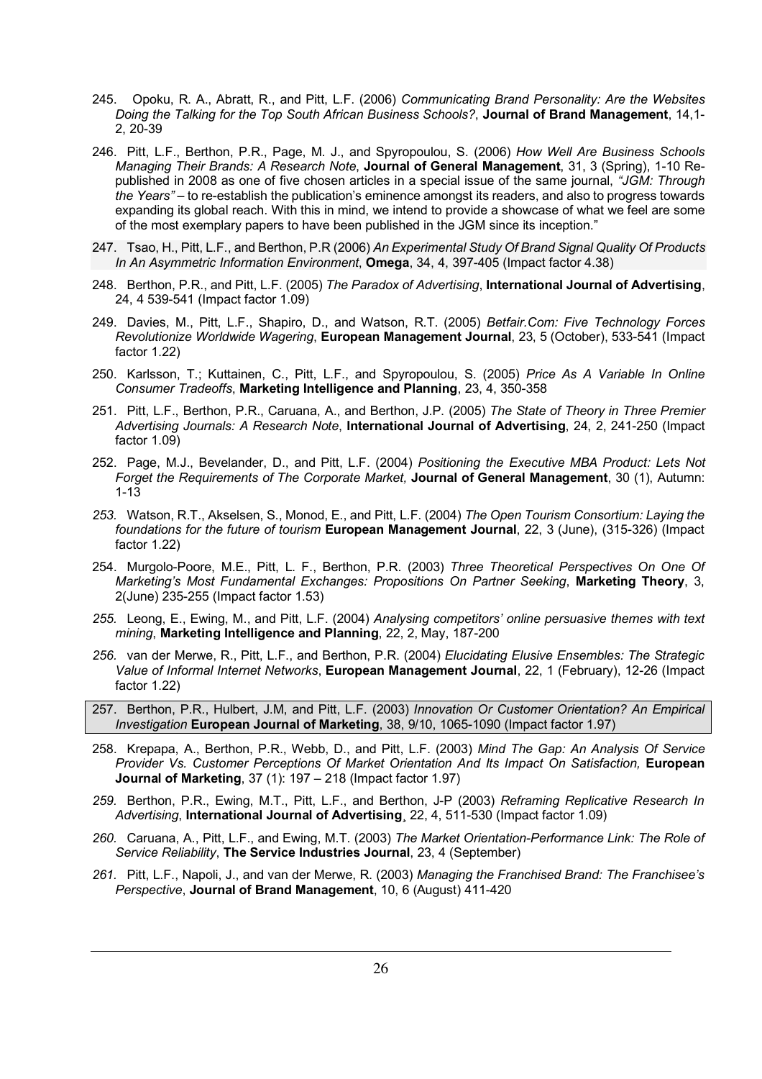- 245. Opoku, R. A., Abratt, R., and Pitt, L.F. (2006) *Communicating Brand Personality: Are the Websites Doing the Talking for the Top South African Business Schools?*, **Journal of Brand Management**, 14,1- 2, 20-39
- 246. Pitt, L.F., Berthon, P.R., Page, M. J., and Spyropoulou, S. (2006) *How Well Are Business Schools Managing Their Brands: A Research Note*, **Journal of General Management**, 31, 3 (Spring), 1-10 Republished in 2008 as one of five chosen articles in a special issue of the same journal, *"JGM: Through the Years"* – to re-establish the publication's eminence amongst its readers, and also to progress towards expanding its global reach. With this in mind, we intend to provide a showcase of what we feel are some of the most exemplary papers to have been published in the JGM since its inception."
- 247. Tsao, H., Pitt, L.F., and Berthon, P.R (2006) *An Experimental Study Of Brand Signal Quality Of Products In An Asymmetric Information Environment*, **Omega**, 34, 4, 397-405 (Impact factor 4.38)
- 248. Berthon, P.R., and Pitt, L.F. (2005) *The Paradox of Advertising*, **International Journal of Advertising**, 24, 4 539-541 (Impact factor 1.09)
- 249. Davies, M., Pitt, L.F., Shapiro, D., and Watson, R.T. (2005) *Betfair.Com: Five Technology Forces Revolutionize Worldwide Wagering*, **European Management Journal**, 23, 5 (October), 533-541 (Impact factor 1.22)
- 250. Karlsson, T.; Kuttainen, C., Pitt, L.F., and Spyropoulou, S. (2005) *Price As A Variable In Online Consumer Tradeoffs*, **Marketing Intelligence and Planning**, 23, 4, 350-358
- 251. Pitt, L.F., Berthon, P.R., Caruana, A., and Berthon, J.P. (2005) *The State of Theory in Three Premier Advertising Journals: A Research Note*, **International Journal of Advertising**, 24, 2, 241-250 (Impact factor 1.09)
- 252. Page, M.J., Bevelander, D., and Pitt, L.F. (2004) *Positioning the Executive MBA Product: Lets Not Forget the Requirements of The Corporate Market,* **Journal of General Management**, 30 (1), Autumn: 1-13
- *253.* Watson, R.T., Akselsen, S., Monod, E., and Pitt, L.F. (2004) *The Open Tourism Consortium: Laying the foundations for the future of tourism* **European Management Journal**, 22, 3 (June), (315-326) (Impact factor 1.22)
- 254. Murgolo-Poore, M.E., Pitt, L. F., Berthon, P.R. (2003) *Three Theoretical Perspectives On One Of Marketing's Most Fundamental Exchanges: Propositions On Partner Seeking*, **Marketing Theory**, 3, 2(June) 235-255 (Impact factor 1.53)
- *255.* Leong, E., Ewing, M., and Pitt, L.F. (2004) *Analysing competitors' online persuasive themes with text mining*, **Marketing Intelligence and Planning**, 22, 2, May, 187-200
- *256.* van der Merwe, R., Pitt, L.F., and Berthon, P.R. (2004) *Elucidating Elusive Ensembles: The Strategic Value of Informal Internet Networks*, **European Management Journal**, 22, 1 (February), 12-26 (Impact factor 1.22)
- 257. Berthon, P.R., Hulbert, J.M, and Pitt, L.F. (2003) *Innovation Or Customer Orientation? An Empirical Investigation* **European Journal of Marketing**, 38, 9/10, 1065-1090 (Impact factor 1.97)
- 258. Krepapa, A., Berthon, P.R., Webb, D., and Pitt, L.F. (2003) *Mind The Gap: An Analysis Of Service Provider Vs. Customer Perceptions Of Market Orientation And Its Impact On Satisfaction,* **European Journal of Marketing**, 37 (1): 197 – 218 (Impact factor 1.97)
- *259.* Berthon, P.R., Ewing, M.T., Pitt, L.F., and Berthon, J-P (2003) *Reframing Replicative Research In Advertising*, **International Journal of Advertising**¸ 22, 4, 511-530 (Impact factor 1.09)
- *260.* Caruana, A., Pitt, L.F., and Ewing, M.T. (2003) *The Market Orientation-Performance Link: The Role of Service Reliability*, **The Service Industries Journal**, 23, 4 (September)
- *261.* Pitt, L.F., Napoli, J., and van der Merwe, R. (2003) *Managing the Franchised Brand: The Franchisee's Perspective*, **Journal of Brand Management**, 10, 6 (August) 411-420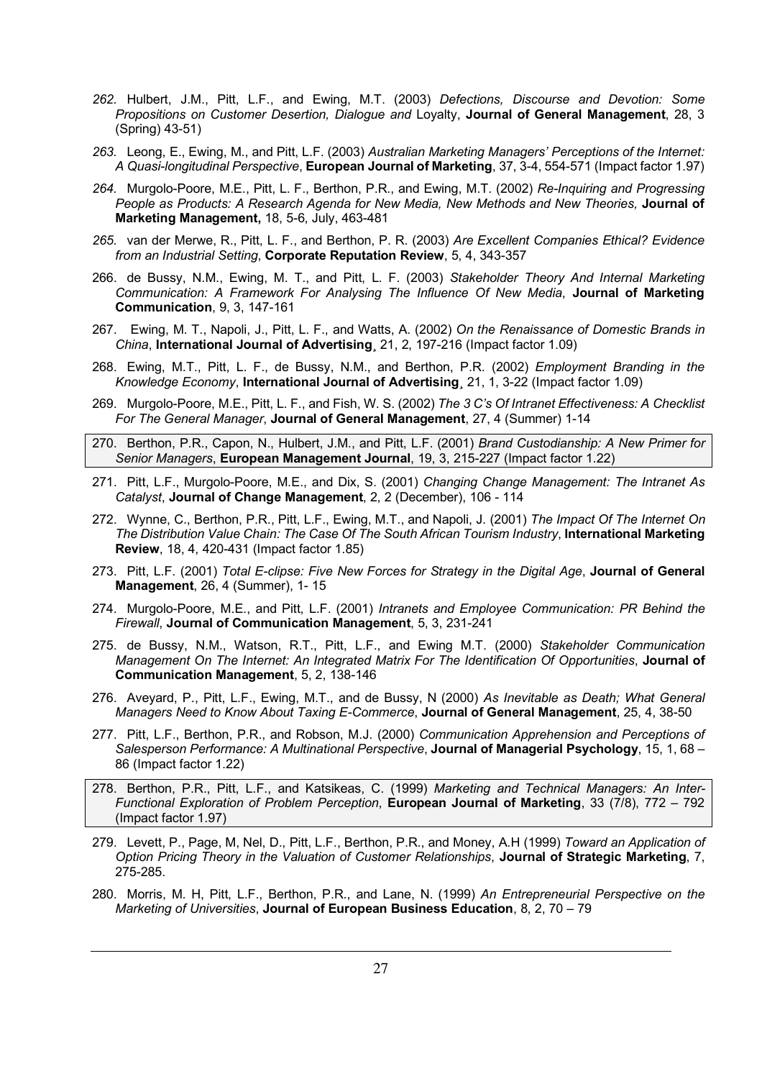- *262.* Hulbert, J.M., Pitt, L.F., and Ewing, M.T. (2003) *Defections, Discourse and Devotion: Some Propositions on Customer Desertion, Dialogue and* Loyalty, **Journal of General Management**, 28, 3 (Spring) 43-51)
- *263.* Leong, E., Ewing, M., and Pitt, L.F. (2003) *Australian Marketing Managers' Perceptions of the Internet: A Quasi-longitudinal Perspective*, **European Journal of Marketing**, 37, 3-4, 554-571 (Impact factor 1.97)
- *264.* Murgolo-Poore, M.E., Pitt, L. F., Berthon, P.R., and Ewing, M.T. (2002) *Re-Inquiring and Progressing People as Products: A Research Agenda for New Media, New Methods and New Theories,* **Journal of Marketing Management,** 18, 5-6, July, 463-481
- *265.* van der Merwe, R., Pitt, L. F., and Berthon, P. R. (2003) *Are Excellent Companies Ethical? Evidence from an Industrial Setting*, **Corporate Reputation Review**, 5, 4, 343-357
- 266. de Bussy, N.M., Ewing, M. T., and Pitt, L. F. (2003) *Stakeholder Theory And Internal Marketing Communication: A Framework For Analysing The Influence Of New Media*, **Journal of Marketing Communication**, 9, 3, 147-161
- 267. Ewing, M. T., Napoli, J., Pitt, L. F., and Watts, A. (2002) *On the Renaissance of Domestic Brands in China*, **International Journal of Advertising**¸ 21, 2, 197-216 (Impact factor 1.09)
- 268. Ewing, M.T., Pitt, L. F., de Bussy, N.M., and Berthon, P.R. (2002) *Employment Branding in the Knowledge Economy*, **International Journal of Advertising**¸ 21, 1, 3-22 (Impact factor 1.09)
- 269. Murgolo-Poore, M.E., Pitt, L. F., and Fish, W. S. (2002) *The 3 C's Of Intranet Effectiveness: A Checklist For The General Manager*, **Journal of General Management**, 27, 4 (Summer) 1-14
- 270. Berthon, P.R., Capon, N., Hulbert, J.M., and Pitt, L.F. (2001) *Brand Custodianship: A New Primer for Senior Managers*, **European Management Journal**, 19, 3, 215-227 (Impact factor 1.22)
- 271. Pitt, L.F., Murgolo-Poore, M.E., and Dix, S. (2001) *Changing Change Management: The Intranet As Catalyst*, **Journal of Change Management**, 2, 2 (December), 106 - 114
- 272. Wynne, C., Berthon, P.R., Pitt, L.F., Ewing, M.T., and Napoli, J. (2001) *The Impact Of The Internet On The Distribution Value Chain: The Case Of The South African Tourism Industry*, **International Marketing Review**, 18, 4, 420-431 (Impact factor 1.85)
- 273. Pitt, L.F. (2001) *Total E-clipse: Five New Forces for Strategy in the Digital Age*, **Journal of General Management**, 26, 4 (Summer), 1- 15
- 274. Murgolo-Poore, M.E., and Pitt, L.F. (2001) *Intranets and Employee Communication: PR Behind the Firewall*, **Journal of Communication Management**, 5, 3, 231-241
- 275. de Bussy, N.M., Watson, R.T., Pitt, L.F., and Ewing M.T. (2000) *Stakeholder Communication Management On The Internet: An Integrated Matrix For The Identification Of Opportunities*, **Journal of Communication Management**, 5, 2, 138-146
- 276. Aveyard, P., Pitt, L.F., Ewing, M.T., and de Bussy, N (2000) *As Inevitable as Death; What General Managers Need to Know About Taxing E-Commerce*, **Journal of General Management**, 25, 4, 38-50
- 277. Pitt, L.F., Berthon, P.R., and Robson, M.J. (2000) *Communication Apprehension and Perceptions of Salesperson Performance: A Multinational Perspective*, **Journal of Managerial Psychology**, 15, 1, 68 – 86 (Impact factor 1.22)
- 278. Berthon, P.R., Pitt, L.F., and Katsikeas, C. (1999) *Marketing and Technical Managers: An Inter-Functional Exploration of Problem Perception*, **European Journal of Marketing**, 33 (7/8), 772 – 792 (Impact factor 1.97)
- 279. Levett, P., Page, M, Nel, D., Pitt, L.F., Berthon, P.R., and Money, A.H (1999) *Toward an Application of Option Pricing Theory in the Valuation of Customer Relationships*, **Journal of Strategic Marketing**, 7, 275-285.
- 280. Morris, M. H, Pitt, L.F., Berthon, P.R., and Lane, N. (1999) *An Entrepreneurial Perspective on the Marketing of Universities*, **Journal of European Business Education**, 8, 2, 70 – 79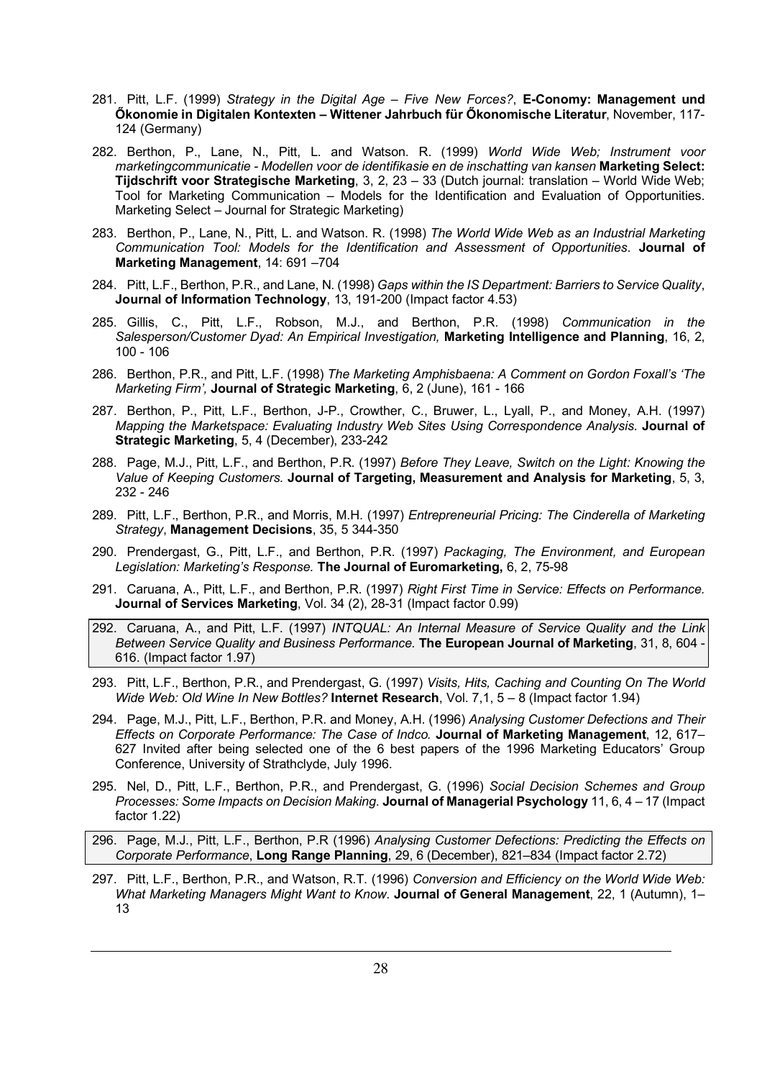- 281. Pitt, L.F. (1999) *Strategy in the Digital Age – Five New Forces?*, **E-Conomy: Management und Őkonomie in Digitalen Kontexten – Wittener Jahrbuch für Őkonomische Literatur**, November, 117- 124 (Germany)
- 282. Berthon, P., Lane, N., Pitt, L. and Watson. R. (1999) *World Wide Web; Instrument voor marketingcommunicatie - Modellen voor de identifikasie en de inschatting van kansen* **Marketing Select: Tijdschrift voor Strategische Marketing**, 3, 2, 23 – 33 (Dutch journal: translation – World Wide Web; Tool for Marketing Communication – Models for the Identification and Evaluation of Opportunities. Marketing Select – Journal for Strategic Marketing)
- 283. Berthon, P., Lane, N., Pitt, L. and Watson. R. (1998) *The World Wide Web as an Industrial Marketing Communication Tool: Models for the Identification and Assessment of Opportunities*. **Journal of Marketing Management**, 14: 691 –704
- 284. Pitt, L.F., Berthon, P.R., and Lane, N. (1998) *Gaps within the IS Department: Barriers to Service Quality*, **Journal of Information Technology**, 13, 191-200 (Impact factor 4.53)
- 285. Gillis, C., Pitt, L.F., Robson, M.J., and Berthon, P.R. (1998) *Communication in the Salesperson/Customer Dyad: An Empirical Investigation,* **Marketing Intelligence and Planning**, 16, 2, 100 - 106
- 286. Berthon, P.R., and Pitt, L.F. (1998) *The Marketing Amphisbaena: A Comment on Gordon Foxall's 'The Marketing Firm',* **Journal of Strategic Marketing**, 6, 2 (June), 161 - 166
- 287. Berthon, P., Pitt, L.F., Berthon, J-P., Crowther, C., Bruwer, L., Lyall, P., and Money, A.H. (1997) *Mapping the Marketspace: Evaluating Industry Web Sites Using Correspondence Analysis.* Journal of **Strategic Marketing**, 5, 4 (December), 233-242
- 288. Page, M.J., Pitt, L.F., and Berthon, P.R. (1997) *Before They Leave, Switch on the Light: Knowing the Value of Keeping Customers.* **Journal of Targeting, Measurement and Analysis for Marketing**, 5, 3, 232 - 246
- 289. Pitt, L.F., Berthon, P.R., and Morris, M.H. (1997) *Entrepreneurial Pricing: The Cinderella of Marketing Strategy*, **Management Decisions**, 35, 5 344-350
- 290. Prendergast, G., Pitt, L.F., and Berthon, P.R. (1997) *Packaging, The Environment, and European Legislation: Marketing's Response.* **The Journal of Euromarketing,** 6, 2, 75-98
- 291. Caruana, A., Pitt, L.F., and Berthon, P.R. (1997) *Right First Time in Service: Effects on Performance.*  **Journal of Services Marketing**, Vol. 34 (2), 28-31 (Impact factor 0.99)
- 292. Caruana, A., and Pitt, L.F. (1997) *INTQUAL: An Internal Measure of Service Quality and the Link Between Service Quality and Business Performance.* **The European Journal of Marketing**, 31, 8, 604 - 616. (Impact factor 1.97)
- 293. Pitt, L.F., Berthon, P.R., and Prendergast, G. (1997) *Visits, Hits, Caching and Counting On The World Wide Web: Old Wine In New Bottles?* **Internet Research**, Vol. 7,1, 5 – 8 (Impact factor 1.94)
- 294. Page, M.J., Pitt, L.F., Berthon, P.R. and Money, A.H. (1996) *Analysing Customer Defections and Their Effects on Corporate Performance: The Case of Indco.* **Journal of Marketing Management**, 12, 617– 627 Invited after being selected one of the 6 best papers of the 1996 Marketing Educators' Group Conference, University of Strathclyde, July 1996.
- 295. Nel, D., Pitt, L.F., Berthon, P.R., and Prendergast, G. (1996) *Social Decision Schemes and Group Processes: Some Impacts on Decision Making*. **Journal of Managerial Psychology** 11, 6, 4 – 17 (Impact factor 1.22)

296. Page, M.J., Pitt, L.F., Berthon, P.R (1996) *Analysing Customer Defections: Predicting the Effects on Corporate Performance*, **Long Range Planning**, 29, 6 (December), 821–834 (Impact factor 2.72)

297. Pitt, L.F., Berthon, P.R., and Watson, R.T. (1996) *Conversion and Efficiency on the World Wide Web: What Marketing Managers Might Want to Know*. **Journal of General Management**, 22, 1 (Autumn), 1– 13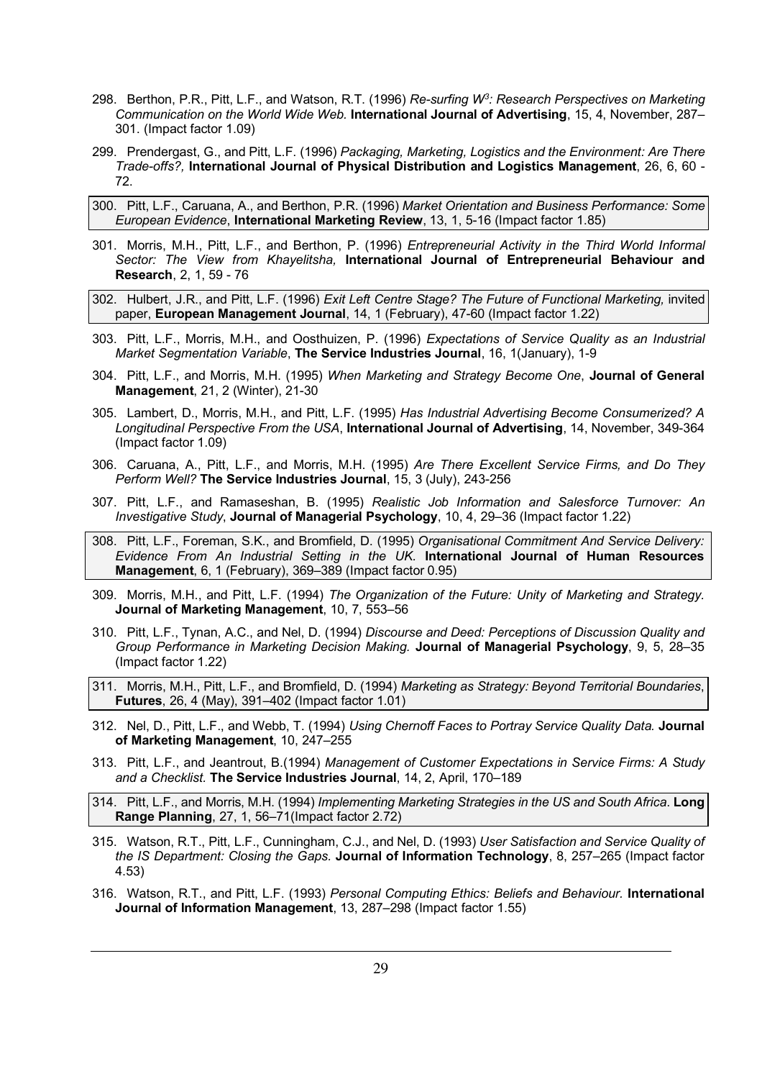- 298. Berthon, P.R., Pitt, L.F., and Watson, R.T. (1996) *Re-surfing W3 : Research Perspectives on Marketing Communication on the World Wide Web.* **International Journal of Advertising**, 15, 4, November, 287– 301. (Impact factor 1.09)
- 299. Prendergast, G., and Pitt, L.F. (1996) *Packaging, Marketing, Logistics and the Environment: Are There Trade-offs?,* **International Journal of Physical Distribution and Logistics Management**, 26, 6, 60 - 72.

300. Pitt, L.F., Caruana, A., and Berthon, P.R. (1996) *Market Orientation and Business Performance: Some European Evidence*, **International Marketing Review**, 13, 1, 5-16 (Impact factor 1.85)

301. Morris, M.H., Pitt, L.F., and Berthon, P. (1996) *Entrepreneurial Activity in the Third World Informal Sector: The View from Khayelitsha,* **International Journal of Entrepreneurial Behaviour and Research**, 2, 1, 59 - 76

302. Hulbert, J.R., and Pitt, L.F. (1996) *Exit Left Centre Stage? The Future of Functional Marketing,* invited paper, **European Management Journal**, 14, 1 (February), 47-60 (Impact factor 1.22)

- 303. Pitt, L.F., Morris, M.H., and Oosthuizen, P. (1996) *Expectations of Service Quality as an Industrial Market Segmentation Variable*, **The Service Industries Journal**, 16, 1(January), 1-9
- 304. Pitt, L.F., and Morris, M.H. (1995) *When Marketing and Strategy Become One*, **Journal of General Management**, 21, 2 (Winter), 21-30
- 305. Lambert, D., Morris, M.H., and Pitt, L.F. (1995) *Has Industrial Advertising Become Consumerized? A Longitudinal Perspective From the USA*, **International Journal of Advertising**, 14, November, 349-364 (Impact factor 1.09)
- 306. Caruana, A., Pitt, L.F., and Morris, M.H. (1995) *Are There Excellent Service Firms, and Do They Perform Well?* **The Service Industries Journal**, 15, 3 (July), 243-256
- 307. Pitt, L.F., and Ramaseshan, B. (1995) *Realistic Job Information and Salesforce Turnover: An Investigative Study*, **Journal of Managerial Psychology**, 10, 4, 29–36 (Impact factor 1.22)
- 308. Pitt, L.F., Foreman, S.K., and Bromfield, D. (1995) *Organisational Commitment And Service Delivery: Evidence From An Industrial Setting in the UK.* **International Journal of Human Resources Management**, 6, 1 (February), 369–389 (Impact factor 0.95)
- 309. Morris, M.H., and Pitt, L.F. (1994) *The Organization of the Future: Unity of Marketing and Strategy.* **Journal of Marketing Management**, 10, 7, 553–56
- 310. Pitt, L.F., Tynan, A.C., and Nel, D. (1994) *Discourse and Deed: Perceptions of Discussion Quality and Group Performance in Marketing Decision Making.* **Journal of Managerial Psychology**, 9, 5, 28–35 (Impact factor 1.22)
- 311. Morris, M.H., Pitt, L.F., and Bromfield, D. (1994) *Marketing as Strategy: Beyond Territorial Boundaries*, **Futures**, 26, 4 (May), 391–402 (Impact factor 1.01)
- 312. Nel, D., Pitt, L.F., and Webb, T. (1994) *Using Chernoff Faces to Portray Service Quality Data.* **Journal of Marketing Management**, 10, 247–255
- 313. Pitt, L.F., and Jeantrout, B.(1994) *Management of Customer Expectations in Service Firms: A Study and a Checklist.* **The Service Industries Journal**, 14, 2, April, 170–189
- 314. Pitt, L.F., and Morris, M.H. (1994) *Implementing Marketing Strategies in the US and South Africa*. **Long Range Planning**, 27, 1, 56–71(Impact factor 2.72)
- 315. Watson, R.T., Pitt, L.F., Cunningham, C.J., and Nel, D. (1993) *User Satisfaction and Service Quality of the IS Department: Closing the Gaps.* **Journal of Information Technology**, 8, 257–265 (Impact factor 4.53)
- 316. Watson, R.T., and Pitt, L.F. (1993) *Personal Computing Ethics: Beliefs and Behaviour.* **International Journal of Information Management**, 13, 287–298 (Impact factor 1.55)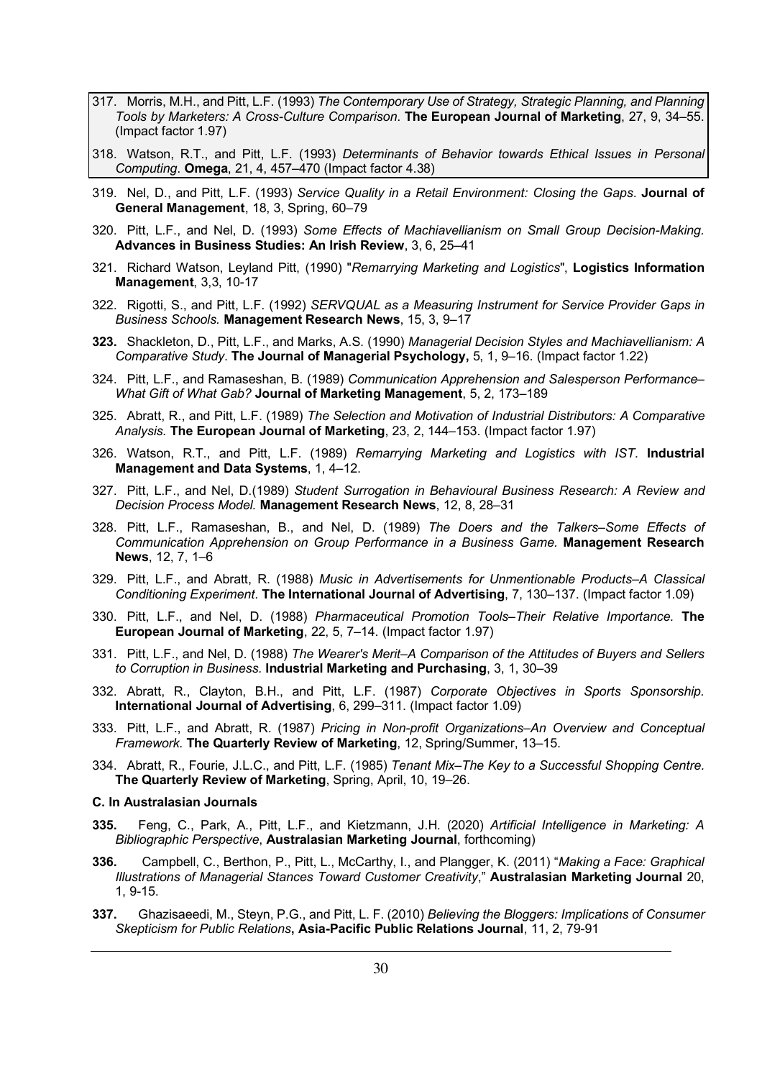- 317. Morris, M.H., and Pitt, L.F. (1993) *The Contemporary Use of Strategy, Strategic Planning, and Planning Tools by Marketers: A Cross-Culture Comparison*. **The European Journal of Marketing**, 27, 9, 34–55. (Impact factor 1.97)
- 318. Watson, R.T., and Pitt, L.F. (1993) *Determinants of Behavior towards Ethical Issues in Personal Computing*. **Omega**, 21, 4, 457–470 (Impact factor 4.38)
- 319. Nel, D., and Pitt, L.F. (1993) *Service Quality in a Retail Environment: Closing the Gaps*. **Journal of General Management**, 18, 3, Spring, 60–79
- 320. Pitt, L.F., and Nel, D. (1993) *Some Effects of Machiavellianism on Small Group Decision-Making.* **Advances in Business Studies: An Irish Review**, 3, 6, 25–41
- 321. Richard Watson, Leyland Pitt, (1990) "*Remarrying Marketing and Logistics*", **Logistics Information Management**, 3,3, 10-17
- 322. Rigotti, S., and Pitt, L.F. (1992) *SERVQUAL as a Measuring Instrument for Service Provider Gaps in Business Schools.* **Management Research News**, 15, 3, 9–17
- **323.** Shackleton, D., Pitt, L.F., and Marks, A.S. (1990) *Managerial Decision Styles and Machiavellianism: A Comparative Study*. **The Journal of Managerial Psychology,** 5, 1, 9–16. (Impact factor 1.22)
- 324. Pitt, L.F., and Ramaseshan, B. (1989) *Communication Apprehension and Salesperson Performance– What Gift of What Gab?* **Journal of Marketing Management**, 5, 2, 173–189
- 325. Abratt, R., and Pitt, L.F. (1989) *The Selection and Motivation of Industrial Distributors: A Comparative Analysis.* **The European Journal of Marketing**, 23, 2, 144–153. (Impact factor 1.97)
- 326. Watson, R.T., and Pitt, L.F. (1989) *Remarrying Marketing and Logistics with IST.* **Industrial Management and Data Systems**, 1, 4–12.
- 327. Pitt, L.F., and Nel, D.(1989) *Student Surrogation in Behavioural Business Research: A Review and Decision Process Model.* **Management Research News**, 12, 8, 28–31
- 328. Pitt, L.F., Ramaseshan, B., and Nel, D. (1989) *The Doers and the Talkers–Some Effects of Communication Apprehension on Group Performance in a Business Game.* **Management Research News**, 12, 7, 1–6
- 329. Pitt, L.F., and Abratt, R. (1988) *Music in Advertisements for Unmentionable Products–A Classical Conditioning Experiment*. **The International Journal of Advertising**, 7, 130–137. (Impact factor 1.09)
- 330. Pitt, L.F., and Nel, D. (1988) *Pharmaceutical Promotion Tools–Their Relative Importance.* **The European Journal of Marketing**, 22, 5, 7–14. (Impact factor 1.97)
- 331. Pitt, L.F., and Nel, D. (1988) *The Wearer's Merit–A Comparison of the Attitudes of Buyers and Sellers to Corruption in Business.* **Industrial Marketing and Purchasing**, 3, 1, 30–39
- 332. Abratt, R., Clayton, B.H., and Pitt, L.F. (1987) *Corporate Objectives in Sports Sponsorship.*  **International Journal of Advertising**, 6, 299–311. (Impact factor 1.09)
- 333. Pitt, L.F., and Abratt, R. (1987) *Pricing in Non-profit Organizations–An Overview and Conceptual Framework.* **The Quarterly Review of Marketing**, 12, Spring/Summer, 13–15.
- 334. Abratt, R., Fourie, J.L.C., and Pitt, L.F. (1985) *Tenant Mix–The Key to a Successful Shopping Centre.*  **The Quarterly Review of Marketing**, Spring, April, 10, 19–26.

#### **C. In Australasian Journals**

- **335.** Feng, C., Park, A., Pitt, L.F., and Kietzmann, J.H. (2020) *Artificial Intelligence in Marketing: A Bibliographic Perspective*, **Australasian Marketing Journal**, forthcoming)
- **336.** Campbell, C., Berthon, P., Pitt, L., McCarthy, I., and Plangger, K. (2011) "*Making a Face: Graphical Illustrations of Managerial Stances Toward Customer Creativity*," **Australasian Marketing Journal** 20, 1, 9-15.
- **337.** Ghazisaeedi, M., Steyn, P.G., and Pitt, L. F. (2010) *Believing the Bloggers: Implications of Consumer Skepticism for Public Relations***, Asia-Pacific Public Relations Journal**, 11, 2, 79-91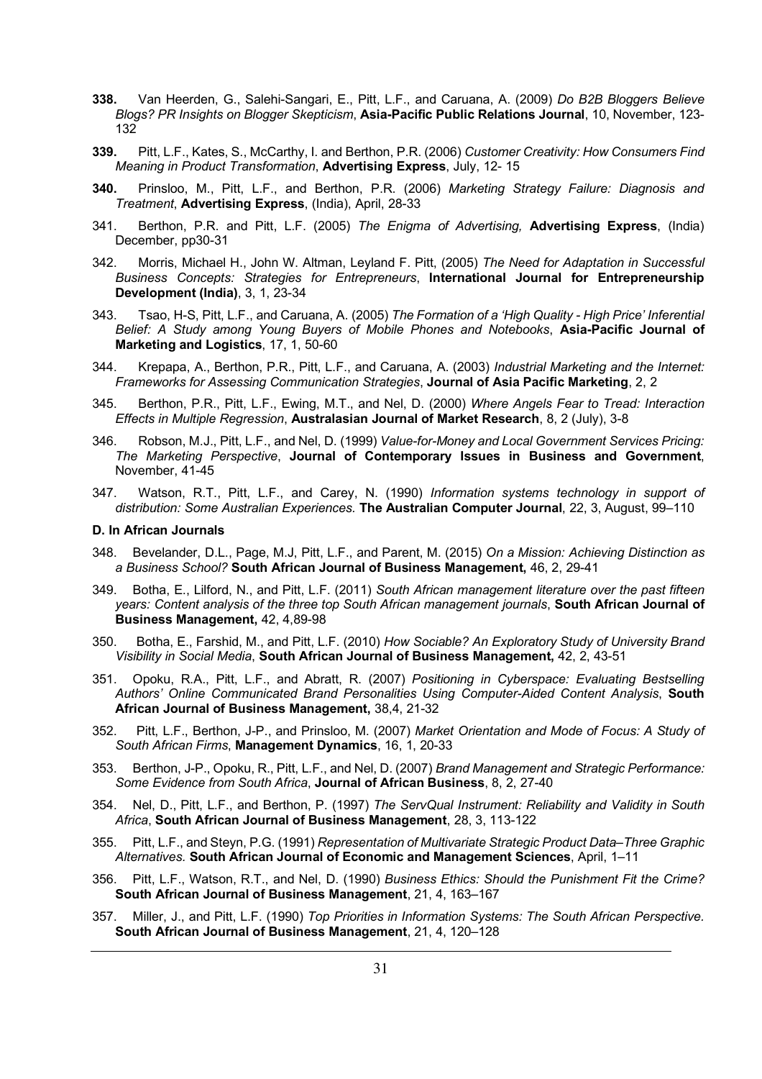- **338.** Van Heerden, G., Salehi-Sangari, E., Pitt, L.F., and Caruana, A. (2009) *Do B2B Bloggers Believe Blogs? PR Insights on Blogger Skepticism*, **Asia-Pacific Public Relations Journal**, 10, November, 123- 132
- **339.** Pitt, L.F., Kates, S., McCarthy, I. and Berthon, P.R. (2006) *Customer Creativity: How Consumers Find Meaning in Product Transformation*, **Advertising Express**, July, 12- 15
- **340.** Prinsloo, M., Pitt, L.F., and Berthon, P.R. (2006) *Marketing Strategy Failure: Diagnosis and Treatment*, **Advertising Express**, (India), April, 28-33
- 341. Berthon, P.R. and Pitt, L.F. (2005) *The Enigma of Advertising,* **Advertising Express**, (India) December, pp30-31
- 342. Morris, Michael H., John W. Altman, Leyland F. Pitt, (2005) *The Need for Adaptation in Successful Business Concepts: Strategies for Entrepreneurs*, **International Journal for Entrepreneurship Development (India)**, 3, 1, 23-34
- 343. Tsao, H-S, Pitt, L.F., and Caruana, A. (2005) *The Formation of a 'High Quality - High Price' Inferential Belief: A Study among Young Buyers of Mobile Phones and Notebooks*, **Asia-Pacific Journal of Marketing and Logistics**, 17, 1, 50-60
- 344. Krepapa, A., Berthon, P.R., Pitt, L.F., and Caruana, A. (2003) *Industrial Marketing and the Internet: Frameworks for Assessing Communication Strategies*, **Journal of Asia Pacific Marketing**, 2, 2
- 345. Berthon, P.R., Pitt, L.F., Ewing, M.T., and Nel, D. (2000) *Where Angels Fear to Tread: Interaction Effects in Multiple Regression*, **Australasian Journal of Market Research**, 8, 2 (July), 3-8
- 346. Robson, M.J., Pitt, L.F., and Nel, D. (1999) *Value-for-Money and Local Government Services Pricing: The Marketing Perspective*, **Journal of Contemporary Issues in Business and Government**, November, 41-45
- 347. Watson, R.T., Pitt, L.F., and Carey, N. (1990) *Information systems technology in support of distribution: Some Australian Experiences.* **The Australian Computer Journal**, 22, 3, August, 99–110

#### **D. In African Journals**

- 348. Bevelander, D.L., Page, M.J, Pitt, L.F., and Parent, M. (2015) *On a Mission: Achieving Distinction as a Business School?* **South African Journal of Business Management,** 46, 2, 29-41
- 349. Botha, E., Lilford, N., and Pitt, L.F. (2011) *South African management literature over the past fifteen years: Content analysis of the three top South African management journals*, **South African Journal of Business Management,** 42, 4,89-98
- 350. Botha, E., Farshid, M., and Pitt, L.F. (2010) *How Sociable? An Exploratory Study of University Brand Visibility in Social Media*, **South African Journal of Business Management,** 42, 2, 43-51
- 351. Opoku, R.A., Pitt, L.F., and Abratt, R. (2007) *Positioning in Cyberspace: Evaluating Bestselling Authors' Online Communicated Brand Personalities Using Computer-Aided Content Analysis*, **South African Journal of Business Management,** 38,4, 21-32
- 352. Pitt, L.F., Berthon, J-P., and Prinsloo, M. (2007) *Market Orientation and Mode of Focus: A Study of South African Firms*, **Management Dynamics**, 16, 1, 20-33
- 353. Berthon, J-P., Opoku, R., Pitt, L.F., and Nel, D. (2007) *Brand Management and Strategic Performance: Some Evidence from South Africa*, **Journal of African Business**, 8, 2, 27-40
- 354. Nel, D., Pitt, L.F., and Berthon, P. (1997) *The ServQual Instrument: Reliability and Validity in South Africa*, **South African Journal of Business Management**, 28, 3, 113-122
- 355. Pitt, L.F., and Steyn, P.G. (1991) *Representation of Multivariate Strategic Product Data–Three Graphic Alternatives.* **South African Journal of Economic and Management Sciences**, April, 1–11
- 356. Pitt, L.F., Watson, R.T., and Nel, D. (1990) *Business Ethics: Should the Punishment Fit the Crime?*  **South African Journal of Business Management**, 21, 4, 163–167
- 357. Miller, J., and Pitt, L.F. (1990) *Top Priorities in Information Systems: The South African Perspective.*  **South African Journal of Business Management**, 21, 4, 120–128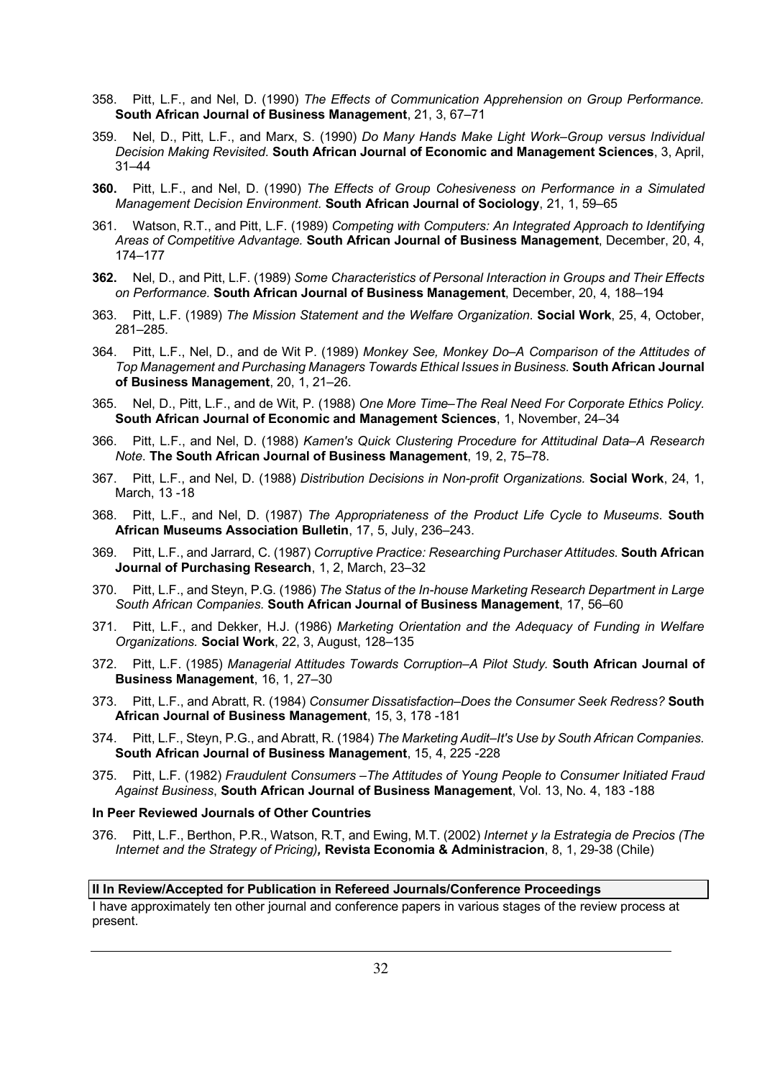- 358. Pitt, L.F., and Nel, D. (1990) *The Effects of Communication Apprehension on Group Performance.*  **South African Journal of Business Management**, 21, 3, 67–71
- 359. Nel, D., Pitt, L.F., and Marx, S. (1990) *Do Many Hands Make Light Work–Group versus Individual Decision Making Revisited*. **South African Journal of Economic and Management Sciences**, 3, April, 31–44
- **360.** Pitt, L.F., and Nel, D. (1990) *The Effects of Group Cohesiveness on Performance in a Simulated Management Decision Environment.* **South African Journal of Sociology**, 21, 1, 59–65
- 361. Watson, R.T., and Pitt, L.F. (1989) *Competing with Computers: An Integrated Approach to Identifying Areas of Competitive Advantage.* **South African Journal of Business Management**, December, 20, 4, 174–177
- **362.** Nel, D., and Pitt, L.F. (1989) *Some Characteristics of Personal Interaction in Groups and Their Effects on Performance.* **South African Journal of Business Management**, December, 20, 4, 188–194
- 363. Pitt, L.F. (1989) *The Mission Statement and the Welfare Organization*. **Social Work**, 25, 4, October, 281–285.
- 364. Pitt, L.F., Nel, D., and de Wit P. (1989) *Monkey See, Monkey Do–A Comparison of the Attitudes of Top Management and Purchasing Managers Towards Ethical Issues in Business.* **South African Journal of Business Management**, 20, 1, 21–26.
- 365. Nel, D., Pitt, L.F., and de Wit, P. (1988) *One More Time–The Real Need For Corporate Ethics Policy.*  **South African Journal of Economic and Management Sciences**, 1, November, 24–34
- 366. Pitt, L.F., and Nel, D. (1988) *Kamen's Quick Clustering Procedure for Attitudinal Data–A Research Note*. **The South African Journal of Business Management**, 19, 2, 75–78.
- 367. Pitt, L.F., and Nel, D. (1988) *Distribution Decisions in Non-profit Organizations.* **Social Work**, 24, 1, March, 13 -18
- 368. Pitt, L.F., and Nel, D. (1987) *The Appropriateness of the Product Life Cycle to Museums*. **South African Museums Association Bulletin**, 17, 5, July, 236–243.
- 369. Pitt, L.F., and Jarrard, C. (1987) *Corruptive Practice: Researching Purchaser Attitudes*. **South African Journal of Purchasing Research**, 1, 2, March, 23–32
- 370. Pitt, L.F., and Steyn, P.G. (1986) *The Status of the In-house Marketing Research Department in Large South African Companies.* **South African Journal of Business Management**, 17, 56–60
- 371. Pitt, L.F., and Dekker, H.J. (1986) *Marketing Orientation and the Adequacy of Funding in Welfare Organizations.* **Social Work**, 22, 3, August, 128–135
- 372. Pitt, L.F. (1985) *Managerial Attitudes Towards Corruption–A Pilot Study.* **South African Journal of Business Management**, 16, 1, 27–30
- 373. Pitt, L.F., and Abratt, R. (1984) *Consumer Dissatisfaction–Does the Consumer Seek Redress?* **South African Journal of Business Management**, 15, 3, 178 -181
- 374. Pitt, L.F., Steyn, P.G., and Abratt, R. (1984) *The Marketing Audit–It's Use by South African Companies.*  **South African Journal of Business Management**, 15, 4, 225 -228
- 375. Pitt, L.F. (1982) *Fraudulent Consumers –The Attitudes of Young People to Consumer Initiated Fraud Against Business*, **South African Journal of Business Management**, Vol. 13, No. 4, 183 -188

#### **In Peer Reviewed Journals of Other Countries**

376. Pitt, L.F., Berthon, P.R., Watson, R.T, and Ewing, M.T. (2002) *Internet y la Estrategia de Precios (The Internet and the Strategy of Pricing),* **Revista Economia & Administracion**, 8, 1, 29-38 (Chile)

#### **II In Review/Accepted for Publication in Refereed Journals/Conference Proceedings**

I have approximately ten other journal and conference papers in various stages of the review process at present.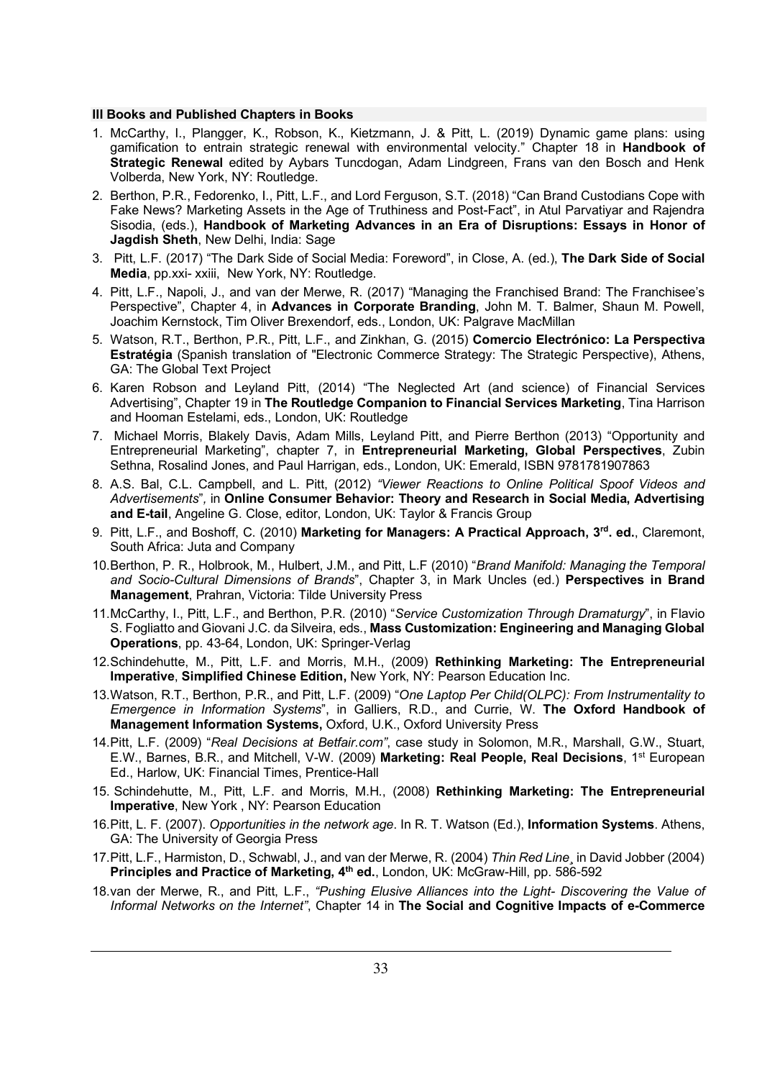#### **III Books and Published Chapters in Books**

- 1. McCarthy, I., Plangger, K., Robson, K., Kietzmann, J. & Pitt, L. (2019) Dynamic game plans: using gamification to entrain strategic renewal with environmental velocity." Chapter 18 in **Handbook of Strategic Renewal** edited by Aybars Tuncdogan, Adam Lindgreen, Frans van den Bosch and Henk Volberda, New York, NY: Routledge.
- 2. Berthon, P.R., Fedorenko, I., Pitt, L.F., and Lord Ferguson, S.T. (2018) "Can Brand Custodians Cope with Fake News? Marketing Assets in the Age of Truthiness and Post-Fact", in Atul Parvatiyar and Rajendra Sisodia, (eds.), **Handbook of Marketing Advances in an Era of Disruptions: Essays in Honor of Jagdish Sheth**, New Delhi, India: Sage
- 3. Pitt, L.F. (2017) "The Dark Side of Social Media: Foreword", in Close, A. (ed.), **The Dark Side of Social Media**, pp.xxi- xxiii, New York, NY: Routledge.
- 4. Pitt, L.F., Napoli, J., and van der Merwe, R. (2017) "Managing the Franchised Brand: The Franchisee's Perspective", Chapter 4, in **Advances in Corporate Branding**, John M. T. Balmer, Shaun M. Powell, Joachim Kernstock, Tim Oliver Brexendorf, eds., London, UK: Palgrave MacMillan
- 5. Watson, R.T., Berthon, P.R., Pitt, L.F., and Zinkhan, G. (2015) **Comercio Electrónico: La Perspectiva Estratégia** (Spanish translation of "Electronic Commerce Strategy: The Strategic Perspective), Athens, GA: The Global Text Project
- 6. Karen Robson and Leyland Pitt, (2014) "The Neglected Art (and science) of Financial Services Advertising", Chapter 19 in **The Routledge Companion to Financial Services Marketing**, Tina Harrison and Hooman Estelami, eds., London, UK: Routledge
- 7. Michael Morris, Blakely Davis, Adam Mills, Leyland Pitt, and Pierre Berthon (2013) "Opportunity and Entrepreneurial Marketing", chapter 7, in **Entrepreneurial Marketing, Global Perspectives**, Zubin Sethna, Rosalind Jones, and Paul Harrigan, eds., London, UK: Emerald, ISBN 9781781907863
- 8. A.S. Bal, C.L. Campbell, and L. Pitt, (2012) *"Viewer Reactions to Online Political Spoof Videos and Advertisements*"*,* in **Online Consumer Behavior: Theory and Research in Social Media, Advertising and E-tail**, Angeline G. Close, editor, London, UK: Taylor & Francis Group
- 9. Pitt, L.F., and Boshoff, C. (2010) **Marketing for Managers: A Practical Approach, 3rd. ed.**, Claremont, South Africa: Juta and Company
- 10.Berthon, P. R., Holbrook, M., Hulbert, J.M., and Pitt, L.F (2010) "*Brand Manifold: Managing the Temporal and Socio-Cultural Dimensions of Brands*", Chapter 3, in Mark Uncles (ed.) **Perspectives in Brand Management**, Prahran, Victoria: Tilde University Press
- 11.McCarthy, I., Pitt, L.F., and Berthon, P.R. (2010) "*Service Customization Through Dramaturgy*", in Flavio S. Fogliatto and Giovani J.C. da Silveira, eds., **Mass Customization: Engineering and Managing Global Operations**, pp. 43-64, London, UK: Springer-Verlag
- 12.Schindehutte, M., Pitt, L.F. and Morris, M.H., (2009) **Rethinking Marketing: The Entrepreneurial Imperative**, **Simplified Chinese Edition,** New York, NY: Pearson Education Inc.
- 13.Watson, R.T., Berthon, P.R., and Pitt, L.F. (2009) "*One Laptop Per Child(OLPC): From Instrumentality to Emergence in Information Systems*", in Galliers, R.D., and Currie, W. **The Oxford Handbook of Management Information Systems,** Oxford, U.K., Oxford University Press
- 14.Pitt, L.F. (2009) "*Real Decisions at Betfair.com"*, case study in Solomon, M.R., Marshall, G.W., Stuart, E.W., Barnes, B.R., and Mitchell, V-W. (2009) **Marketing: Real People, Real Decisions**, 1st European Ed., Harlow, UK: Financial Times, Prentice-Hall
- 15. Schindehutte, M., Pitt, L.F. and Morris, M.H., (2008) **Rethinking Marketing: The Entrepreneurial Imperative**, New York , NY: Pearson Education
- 16.Pitt, L. F. (2007). *Opportunities in the network age*. In R. T. Watson (Ed.), **Information Systems**. Athens, GA: The University of Georgia Press
- 17.Pitt, L.F., Harmiston, D., Schwabl, J., and van der Merwe, R. (2004) *Thin Red Line¸* in David Jobber (2004) **Principles and Practice of Marketing, 4th ed.**, London, UK: McGraw-Hill, pp. 586-592
- 18.van der Merwe, R., and Pitt, L.F., *"Pushing Elusive Alliances into the Light- Discovering the Value of Informal Networks on the Internet"*, Chapter 14 in **The Social and Cognitive Impacts of e-Commerce**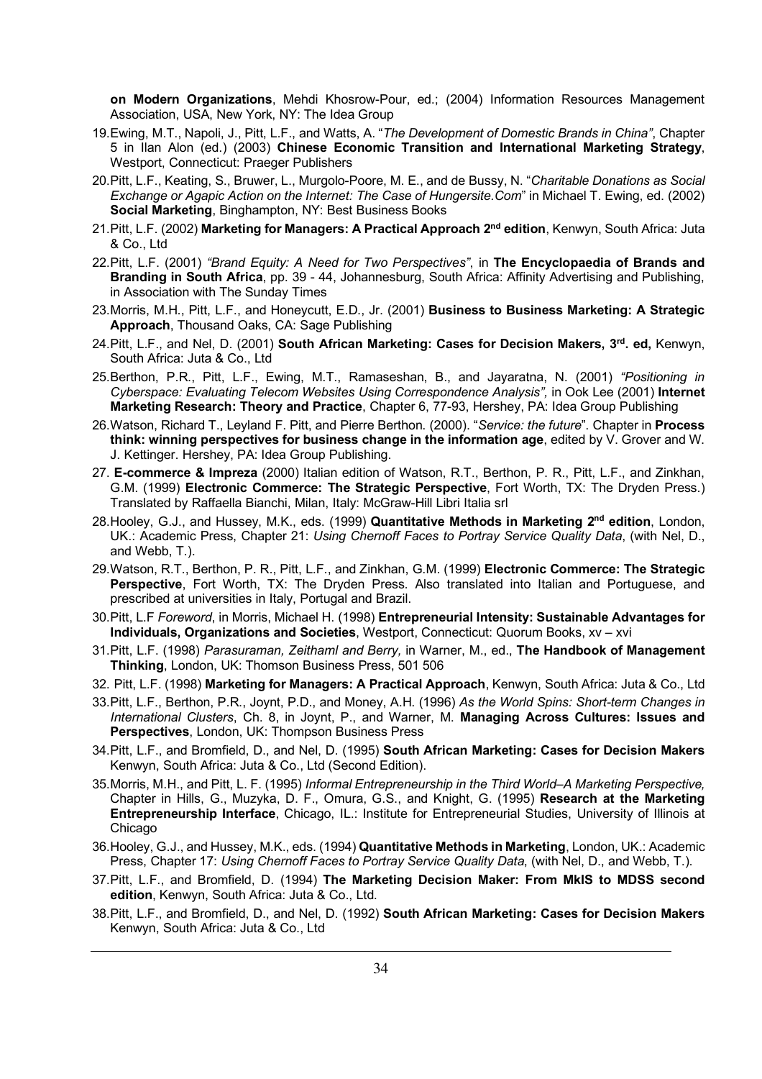**on Modern Organizations**, Mehdi Khosrow-Pour, ed.; (2004) Information Resources Management Association, USA, New York, NY: The Idea Group

- 19.Ewing, M.T., Napoli, J., Pitt, L.F., and Watts, A. "*The Development of Domestic Brands in China"*, Chapter 5 in Ilan Alon (ed.) (2003) **Chinese Economic Transition and International Marketing Strategy**, Westport, Connecticut: Praeger Publishers
- 20.Pitt, L.F., Keating, S., Bruwer, L., Murgolo-Poore, M. E., and de Bussy, N. "*Charitable Donations as Social Exchange or Agapic Action on the Internet: The Case of Hungersite.Com*" in Michael T. Ewing, ed. (2002) **Social Marketing**, Binghampton, NY: Best Business Books
- 21.Pitt, L.F. (2002) **Marketing for Managers: A Practical Approach 2nd edition**, Kenwyn, South Africa: Juta & Co., Ltd
- 22.Pitt, L.F. (2001) *"Brand Equity: A Need for Two Perspectives"*, in **The Encyclopaedia of Brands and Branding in South Africa**, pp. 39 - 44, Johannesburg, South Africa: Affinity Advertising and Publishing, in Association with The Sunday Times
- 23.Morris, M.H., Pitt, L.F., and Honeycutt, E.D., Jr. (2001) **Business to Business Marketing: A Strategic Approach**, Thousand Oaks, CA: Sage Publishing
- 24.Pitt, L.F., and Nel, D. (2001) **South African Marketing: Cases for Decision Makers, 3rd. ed,** Kenwyn, South Africa: Juta & Co., Ltd
- 25.Berthon, P.R., Pitt, L.F., Ewing, M.T., Ramaseshan, B., and Jayaratna, N. (2001) *"Positioning in Cyberspace: Evaluating Telecom Websites Using Correspondence Analysis",* in Ook Lee (2001) **Internet Marketing Research: Theory and Practice**, Chapter 6, 77-93, Hershey, PA: Idea Group Publishing
- 26.Watson, Richard T., Leyland F. Pitt, and Pierre Berthon. (2000). "*Service: the future*". Chapter in **Process think: winning perspectives for business change in the information age**, edited by V. Grover and W. J. Kettinger. Hershey, PA: Idea Group Publishing.
- 27. **E-commerce & Impreza** (2000) Italian edition of Watson, R.T., Berthon, P. R., Pitt, L.F., and Zinkhan, G.M. (1999) **Electronic Commerce: The Strategic Perspective**, Fort Worth, TX: The Dryden Press.) Translated by Raffaella Bianchi, Milan, Italy: McGraw-Hill Libri Italia srl
- 28.Hooley, G.J., and Hussey, M.K., eds. (1999) **Quantitative Methods in Marketing 2nd edition**, London, UK.: Academic Press, Chapter 21: *Using Chernoff Faces to Portray Service Quality Data*, (with Nel, D., and Webb, T.).
- 29.Watson, R.T., Berthon, P. R., Pitt, L.F., and Zinkhan, G.M. (1999) **Electronic Commerce: The Strategic Perspective**, Fort Worth, TX: The Dryden Press. Also translated into Italian and Portuguese, and prescribed at universities in Italy, Portugal and Brazil.
- 30.Pitt, L.F *Foreword*, in Morris, Michael H. (1998) **Entrepreneurial Intensity: Sustainable Advantages for Individuals, Organizations and Societies**, Westport, Connecticut: Quorum Books, xv – xvi
- 31.Pitt, L.F. (1998) *Parasuraman, Zeithaml and Berry,* in Warner, M., ed., **The Handbook of Management Thinking**, London, UK: Thomson Business Press, 501 506
- 32. Pitt, L.F. (1998) **Marketing for Managers: A Practical Approach**, Kenwyn, South Africa: Juta & Co., Ltd
- 33.Pitt, L.F., Berthon, P.R., Joynt, P.D., and Money, A.H. (1996) *As the World Spins: Short-term Changes in International Clusters*, Ch. 8, in Joynt, P., and Warner, M. **Managing Across Cultures: Issues and Perspectives**, London, UK: Thompson Business Press
- 34.Pitt, L.F., and Bromfield, D., and Nel, D. (1995) **South African Marketing: Cases for Decision Makers**  Kenwyn, South Africa: Juta & Co., Ltd (Second Edition).
- 35.Morris, M.H., and Pitt, L. F. (1995) *Informal Entrepreneurship in the Third World–A Marketing Perspective,*  Chapter in Hills, G., Muzyka, D. F., Omura, G.S., and Knight, G. (1995) **Research at the Marketing Entrepreneurship Interface**, Chicago, IL.: Institute for Entrepreneurial Studies, University of Illinois at Chicago
- 36.Hooley, G.J., and Hussey, M.K., eds. (1994) **Quantitative Methods in Marketing**, London, UK.: Academic Press, Chapter 17: *Using Chernoff Faces to Portray Service Quality Data*, (with Nel, D., and Webb, T.).
- 37.Pitt, L.F., and Bromfield, D. (1994) **The Marketing Decision Maker: From MkIS to MDSS second edition**, Kenwyn, South Africa: Juta & Co., Ltd.
- 38.Pitt, L.F., and Bromfield, D., and Nel, D. (1992) **South African Marketing: Cases for Decision Makers**  Kenwyn, South Africa: Juta & Co., Ltd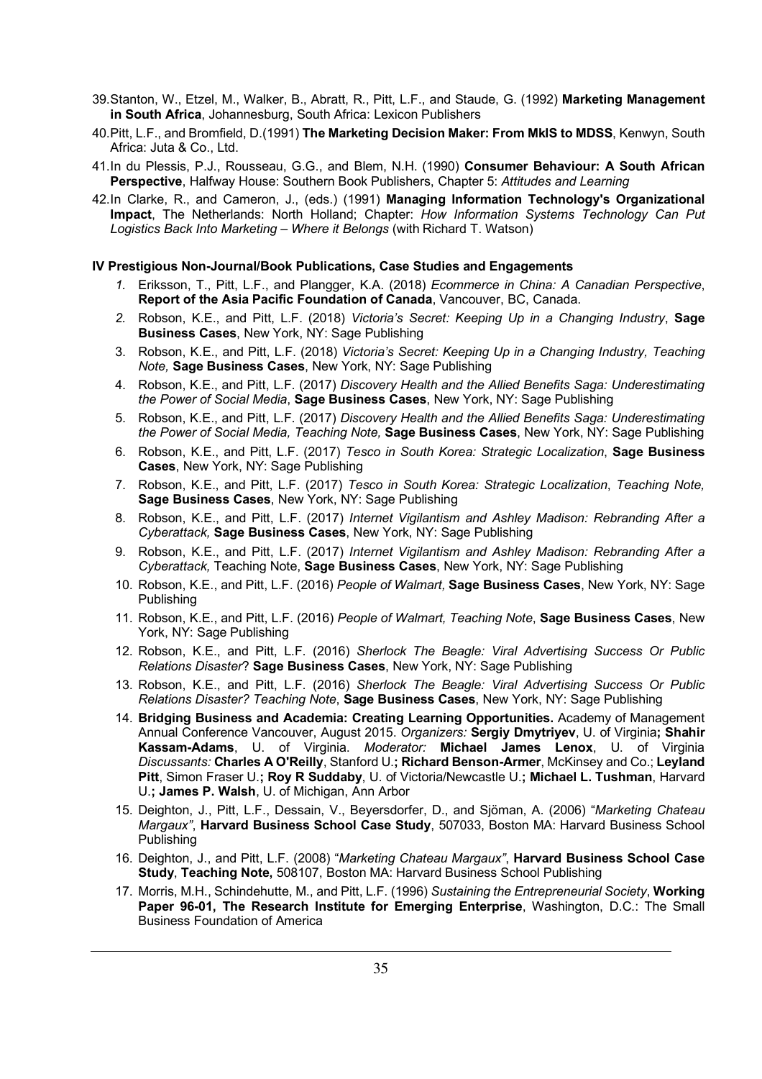- 39.Stanton, W., Etzel, M., Walker, B., Abratt, R., Pitt, L.F., and Staude, G. (1992) **Marketing Management in South Africa**, Johannesburg, South Africa: Lexicon Publishers
- 40.Pitt, L.F., and Bromfield, D.(1991) **The Marketing Decision Maker: From MkIS to MDSS**, Kenwyn, South Africa: Juta & Co., Ltd.
- 41.In du Plessis, P.J., Rousseau, G.G., and Blem, N.H. (1990) **Consumer Behaviour: A South African Perspective**, Halfway House: Southern Book Publishers, Chapter 5: *Attitudes and Learning*
- 42.In Clarke, R., and Cameron, J., (eds.) (1991) **Managing Information Technology's Organizational Impact**, The Netherlands: North Holland; Chapter: *How Information Systems Technology Can Put Logistics Back Into Marketing – Where it Belongs* (with Richard T. Watson)

#### **IV Prestigious Non-Journal/Book Publications, Case Studies and Engagements**

- *1.* Eriksson, T., Pitt, L.F., and Plangger, K.A. (2018) *Ecommerce in China: A Canadian Perspective*, **Report of the Asia Pacific Foundation of Canada**, Vancouver, BC, Canada.
- *2.* Robson, K.E., and Pitt, L.F. (2018) *Victoria's Secret: Keeping Up in a Changing Industry*, **Sage Business Cases**, New York, NY: Sage Publishing
- 3. Robson, K.E., and Pitt, L.F. (2018) *Victoria's Secret: Keeping Up in a Changing Industry, Teaching Note,* **Sage Business Cases**, New York, NY: Sage Publishing
- 4. Robson, K.E., and Pitt, L.F. (2017) *Discovery Health and the Allied Benefits Saga: Underestimating the Power of Social Media*, **Sage Business Cases**, New York, NY: Sage Publishing
- 5. Robson, K.E., and Pitt, L.F. (2017) *Discovery Health and the Allied Benefits Saga: Underestimating the Power of Social Media, Teaching Note,* **Sage Business Cases**, New York, NY: Sage Publishing
- 6. Robson, K.E., and Pitt, L.F. (2017) *Tesco in South Korea: Strategic Localization*, **Sage Business Cases**, New York, NY: Sage Publishing
- 7. Robson, K.E., and Pitt, L.F. (2017) *Tesco in South Korea: Strategic Localization*, *Teaching Note,*  **Sage Business Cases**, New York, NY: Sage Publishing
- 8. Robson, K.E., and Pitt, L.F. (2017) *Internet Vigilantism and Ashley Madison: Rebranding After a Cyberattack,* **Sage Business Cases**, New York, NY: Sage Publishing
- 9. Robson, K.E., and Pitt, L.F. (2017) *Internet Vigilantism and Ashley Madison: Rebranding After a Cyberattack,* Teaching Note, **Sage Business Cases**, New York, NY: Sage Publishing
- 10. Robson, K.E., and Pitt, L.F. (2016) *People of Walmart,* **Sage Business Cases**, New York, NY: Sage Publishing
- 11. Robson, K.E., and Pitt, L.F. (2016) *People of Walmart, Teaching Note*, **Sage Business Cases**, New York, NY: Sage Publishing
- 12. Robson, K.E., and Pitt, L.F. (2016) *Sherlock The Beagle: Viral Advertising Success Or Public Relations Disaster*? **Sage Business Cases**, New York, NY: Sage Publishing
- 13. Robson, K.E., and Pitt, L.F. (2016) *Sherlock The Beagle: Viral Advertising Success Or Public Relations Disaster? Teaching Note*, **Sage Business Cases**, New York, NY: Sage Publishing
- 14. **Bridging Business and Academia: Creating Learning Opportunities.** Academy of Management Annual Conference Vancouver, August 2015. *Organizers:* **Sergiy Dmytriyev**, U. of Virginia**; Shahir Kassam-Adams**, U. of Virginia. *Moderator:* **Michael James Lenox**, U. of Virginia *Discussants:* **Charles A O'Reilly**, Stanford U.**; Richard Benson-Armer**, McKinsey and Co.; **Leyland Pitt**, Simon Fraser U.**; Roy R Suddaby**, U. of Victoria/Newcastle U.**; Michael L. Tushman**, Harvard U.**; James P. Walsh**, U. of Michigan, Ann Arbor
- 15. Deighton, J., Pitt, L.F., Dessain, V., Beyersdorfer, D., and Sjöman, A. (2006) "*Marketing Chateau Margaux"*, **Harvard Business School Case Study**, 507033, Boston MA: Harvard Business School **Publishing**
- 16. Deighton, J., and Pitt, L.F. (2008) "*Marketing Chateau Margaux"*, **Harvard Business School Case Study**, **Teaching Note,** 508107, Boston MA: Harvard Business School Publishing
- 17. Morris, M.H., Schindehutte, M., and Pitt, L.F. (1996) *Sustaining the Entrepreneurial Society*, **Working Paper 96-01, The Research Institute for Emerging Enterprise**, Washington, D.C.: The Small Business Foundation of America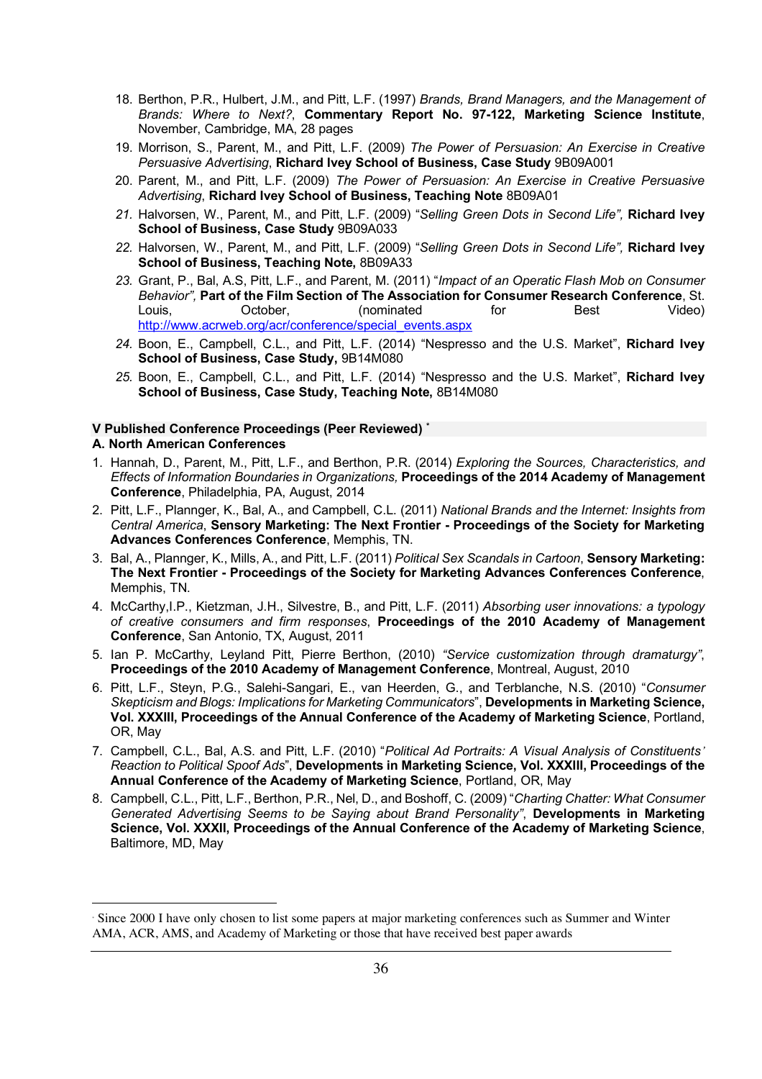- 18. Berthon, P.R., Hulbert, J.M., and Pitt, L.F. (1997) *Brands, Brand Managers, and the Management of Brands: Where to Next?*, **Commentary Report No. 97-122, Marketing Science Institute**, November, Cambridge, MA, 28 pages
- 19. Morrison, S., Parent, M., and Pitt, L.F. (2009) *The Power of Persuasion: An Exercise in Creative Persuasive Advertising*, **Richard Ivey School of Business, Case Study** 9B09A001
- 20. Parent, M., and Pitt, L.F. (2009) *The Power of Persuasion: An Exercise in Creative Persuasive Advertising*, **Richard Ivey School of Business, Teaching Note** 8B09A01
- *21.* Halvorsen, W., Parent, M., and Pitt, L.F. (2009) "*Selling Green Dots in Second Life",* **Richard Ivey School of Business, Case Study** 9B09A033
- *22.* Halvorsen, W., Parent, M., and Pitt, L.F. (2009) "*Selling Green Dots in Second Life",* **Richard Ivey School of Business, Teaching Note,** 8B09A33
- *23.* Grant, P., Bal, A.S, Pitt, L.F., and Parent, M. (2011) "*Impact of an Operatic Flash Mob on Consumer Behavior",* **Part of the Film Section of The Association for Consumer Research Conference**, St. Louis, October, (nominated for Best Video) http://www.acrweb.org/acr/conference/special\_events.aspx
- *24.* Boon, E., Campbell, C.L., and Pitt, L.F. (2014) "Nespresso and the U.S. Market", **Richard Ivey School of Business, Case Study,** 9B14M080
- *25.* Boon, E., Campbell, C.L., and Pitt, L.F. (2014) "Nespresso and the U.S. Market", **Richard Ivey School of Business, Case Study, Teaching Note,** 8B14M080

## **V Published Conference Proceedings (Peer Reviewed) \***

## **A. North American Conferences**

- 1. Hannah, D., Parent, M., Pitt, L.F., and Berthon, P.R. (2014) *Exploring the Sources, Characteristics, and Effects of Information Boundaries in Organizations,* **Proceedings of the 2014 Academy of Management Conference**, Philadelphia, PA, August, 2014
- 2. Pitt, L.F., Plannger, K., Bal, A., and Campbell, C.L. (2011) *National Brands and the Internet: Insights from Central America*, **Sensory Marketing: The Next Frontier - Proceedings of the Society for Marketing Advances Conferences Conference**, Memphis, TN.
- 3. Bal, A., Plannger, K., Mills, A., and Pitt, L.F. (2011) *Political Sex Scandals in Cartoon*, **Sensory Marketing: The Next Frontier - Proceedings of the Society for Marketing Advances Conferences Conference**, Memphis, TN.
- 4. McCarthy,I.P., Kietzman, J.H., Silvestre, B., and Pitt, L.F. (2011) *Absorbing user innovations: a typology of creative consumers and firm responses*, **Proceedings of the 2010 Academy of Management Conference**, San Antonio, TX, August, 2011
- 5. Ian P. McCarthy, Leyland Pitt, Pierre Berthon, (2010) *"Service customization through dramaturgy"*, **Proceedings of the 2010 Academy of Management Conference**, Montreal, August, 2010
- 6. Pitt, L.F., Steyn, P.G., Salehi-Sangari, E., van Heerden, G., and Terblanche, N.S. (2010) "*Consumer Skepticism and Blogs: Implications for Marketing Communicators*", **Developments in Marketing Science, Vol. XXXIII, Proceedings of the Annual Conference of the Academy of Marketing Science**, Portland, OR, May
- 7. Campbell, C.L., Bal, A.S. and Pitt, L.F. (2010) "*Political Ad Portraits: A Visual Analysis of Constituents' Reaction to Political Spoof Ads*", **Developments in Marketing Science, Vol. XXXIII, Proceedings of the Annual Conference of the Academy of Marketing Science**, Portland, OR, May
- 8. Campbell, C.L., Pitt, L.F., Berthon, P.R., Nel, D., and Boshoff, C. (2009) "*Charting Chatter: What Consumer Generated Advertising Seems to be Saying about Brand Personality"*, **Developments in Marketing Science, Vol. XXXII, Proceedings of the Annual Conference of the Academy of Marketing Science**, Baltimore, MD, May

 <sup>\*</sup> Since 2000 I have only chosen to list some papers at major marketing conferences such as Summer and Winter AMA, ACR, AMS, and Academy of Marketing or those that have received best paper awards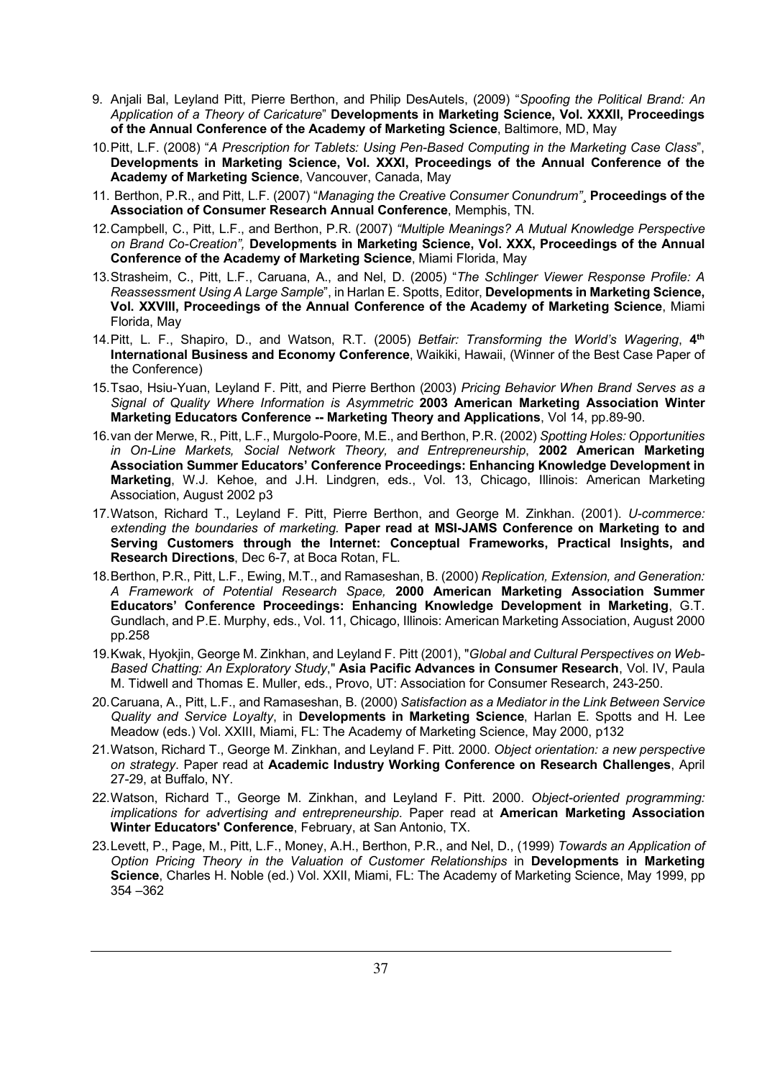- 9. Anjali Bal, Leyland Pitt, Pierre Berthon, and Philip DesAutels, (2009) "*Spoofing the Political Brand: An Application of a Theory of Caricature*" **Developments in Marketing Science, Vol. XXXII, Proceedings of the Annual Conference of the Academy of Marketing Science**, Baltimore, MD, May
- 10.Pitt, L.F. (2008) "*A Prescription for Tablets: Using Pen-Based Computing in the Marketing Case Class*", **Developments in Marketing Science, Vol. XXXI, Proceedings of the Annual Conference of the Academy of Marketing Science**, Vancouver, Canada, May
- 11. Berthon, P.R., and Pitt, L.F. (2007) "*Managing the Creative Consumer Conundrum"¸* **Proceedings of the Association of Consumer Research Annual Conference**, Memphis, TN.
- 12.Campbell, C., Pitt, L.F., and Berthon, P.R. (2007) *"Multiple Meanings? A Mutual Knowledge Perspective on Brand Co-Creation",* **Developments in Marketing Science, Vol. XXX, Proceedings of the Annual Conference of the Academy of Marketing Science**, Miami Florida, May
- 13.Strasheim, C., Pitt, L.F., Caruana, A., and Nel, D. (2005) "*The Schlinger Viewer Response Profile: A Reassessment Using A Large Sample*", in Harlan E. Spotts, Editor, **Developments in Marketing Science, Vol. XXVIII, Proceedings of the Annual Conference of the Academy of Marketing Science**, Miami Florida, May
- 14.Pitt, L. F., Shapiro, D., and Watson, R.T. (2005) *Betfair: Transforming the World's Wagering*, **4th International Business and Economy Conference**, Waikiki, Hawaii, (Winner of the Best Case Paper of the Conference)
- 15.Tsao, Hsiu-Yuan, Leyland F. Pitt, and Pierre Berthon (2003) *Pricing Behavior When Brand Serves as a Signal of Quality Where Information is Asymmetric* **2003 American Marketing Association Winter Marketing Educators Conference -- Marketing Theory and Applications**, Vol 14, pp.89-90.
- 16.van der Merwe, R., Pitt, L.F., Murgolo-Poore, M.E., and Berthon, P.R. (2002) *Spotting Holes: Opportunities in On-Line Markets, Social Network Theory, and Entrepreneurship*, **2002 American Marketing Association Summer Educators' Conference Proceedings: Enhancing Knowledge Development in Marketing**, W.J. Kehoe, and J.H. Lindgren, eds., Vol. 13, Chicago, Illinois: American Marketing Association, August 2002 p3
- 17.Watson, Richard T., Leyland F. Pitt, Pierre Berthon, and George M. Zinkhan. (2001). *U-commerce: extending the boundaries of marketing.* **Paper read at MSI-JAMS Conference on Marketing to and Serving Customers through the Internet: Conceptual Frameworks, Practical Insights, and Research Directions**, Dec 6-7, at Boca Rotan, FL.
- 18.Berthon, P.R., Pitt, L.F., Ewing, M.T., and Ramaseshan, B. (2000) *Replication, Extension, and Generation: A Framework of Potential Research Space,* **2000 American Marketing Association Summer Educators' Conference Proceedings: Enhancing Knowledge Development in Marketing**, G.T. Gundlach, and P.E. Murphy, eds., Vol. 11, Chicago, Illinois: American Marketing Association, August 2000 pp.258
- 19.Kwak, Hyokjin, George M. Zinkhan, and Leyland F. Pitt (2001), "*Global and Cultural Perspectives on Web-Based Chatting: An Exploratory Study*," **Asia Pacific Advances in Consumer Research**, Vol. IV, Paula M. Tidwell and Thomas E. Muller, eds., Provo, UT: Association for Consumer Research, 243-250.
- 20.Caruana, A., Pitt, L.F., and Ramaseshan, B. (2000) *Satisfaction as a Mediator in the Link Between Service Quality and Service Loyalty*, in **Developments in Marketing Science**, Harlan E. Spotts and H. Lee Meadow (eds.) Vol. XXIII, Miami, FL: The Academy of Marketing Science, May 2000, p132
- 21.Watson, Richard T., George M. Zinkhan, and Leyland F. Pitt. 2000. *Object orientation: a new perspective on strategy*. Paper read at **Academic Industry Working Conference on Research Challenges**, April 27-29, at Buffalo, NY.
- 22.Watson, Richard T., George M. Zinkhan, and Leyland F. Pitt. 2000. *Object-oriented programming: implications for advertising and entrepreneurship*. Paper read at **American Marketing Association Winter Educators' Conference**, February, at San Antonio, TX.
- 23.Levett, P., Page, M., Pitt, L.F., Money, A.H., Berthon, P.R., and Nel, D., (1999) *Towards an Application of Option Pricing Theory in the Valuation of Customer Relationships* in **Developments in Marketing Science**, Charles H. Noble (ed.) Vol. XXII, Miami, FL: The Academy of Marketing Science, May 1999, pp 354 –362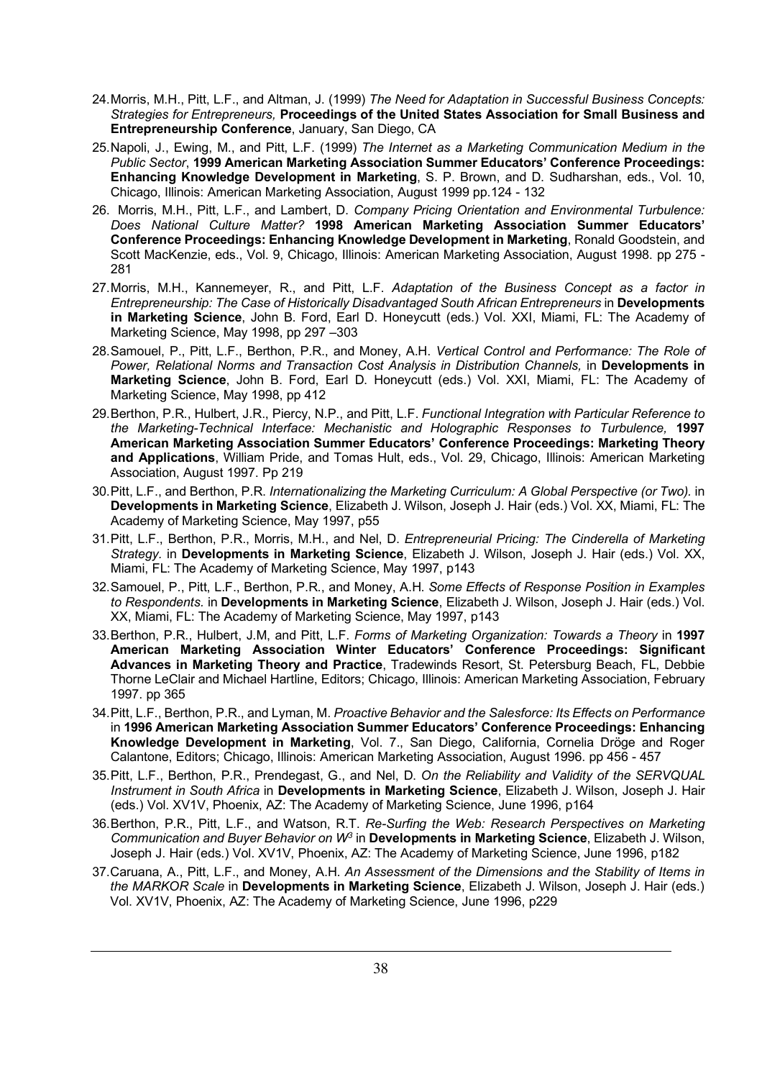- 24.Morris, M.H., Pitt, L.F., and Altman, J. (1999) *The Need for Adaptation in Successful Business Concepts: Strategies for Entrepreneurs,* **Proceedings of the United States Association for Small Business and Entrepreneurship Conference**, January, San Diego, CA
- 25.Napoli, J., Ewing, M., and Pitt, L.F. (1999) *The Internet as a Marketing Communication Medium in the Public Sector*, **1999 American Marketing Association Summer Educators' Conference Proceedings: Enhancing Knowledge Development in Marketing**, S. P. Brown, and D. Sudharshan, eds., Vol. 10, Chicago, Illinois: American Marketing Association, August 1999 pp.124 - 132
- 26. Morris, M.H., Pitt, L.F., and Lambert, D. *Company Pricing Orientation and Environmental Turbulence: Does National Culture Matter?* **1998 American Marketing Association Summer Educators' Conference Proceedings: Enhancing Knowledge Development in Marketing**, Ronald Goodstein, and Scott MacKenzie, eds., Vol. 9, Chicago, Illinois: American Marketing Association, August 1998. pp 275 - 281
- 27.Morris, M.H., Kannemeyer, R., and Pitt, L.F. *Adaptation of the Business Concept as a factor in Entrepreneurship: The Case of Historically Disadvantaged South African Entrepreneurs* in **Developments in Marketing Science**, John B. Ford, Earl D. Honeycutt (eds.) Vol. XXI, Miami, FL: The Academy of Marketing Science, May 1998, pp 297 –303
- 28.Samouel, P., Pitt, L.F., Berthon, P.R., and Money, A.H. *Vertical Control and Performance: The Role of*  **Power, Relational Norms and Transaction Cost Analysis in Distribution Channels, in Developments in Marketing Science**, John B. Ford, Earl D. Honeycutt (eds.) Vol. XXI, Miami, FL: The Academy of Marketing Science, May 1998, pp 412
- 29.Berthon, P.R., Hulbert, J.R., Piercy, N.P., and Pitt, L.F. *Functional Integration with Particular Reference to the Marketing-Technical Interface: Mechanistic and Holographic Responses to Turbulence,* **1997 American Marketing Association Summer Educators' Conference Proceedings: Marketing Theory and Applications**, William Pride, and Tomas Hult, eds., Vol. 29, Chicago, Illinois: American Marketing Association, August 1997. Pp 219
- 30.Pitt, L.F., and Berthon, P.R. *Internationalizing the Marketing Curriculum: A Global Perspective (or Two).* in **Developments in Marketing Science**, Elizabeth J. Wilson, Joseph J. Hair (eds.) Vol. XX, Miami, FL: The Academy of Marketing Science, May 1997, p55
- 31.Pitt, L.F., Berthon, P.R., Morris, M.H., and Nel, D. *Entrepreneurial Pricing: The Cinderella of Marketing Strategy.* in **Developments in Marketing Science**, Elizabeth J. Wilson, Joseph J. Hair (eds.) Vol. XX, Miami, FL: The Academy of Marketing Science, May 1997, p143
- 32.Samouel, P., Pitt, L.F., Berthon, P.R., and Money, A.H. *Some Effects of Response Position in Examples to Respondents.* in **Developments in Marketing Science**, Elizabeth J. Wilson, Joseph J. Hair (eds.) Vol. XX, Miami, FL: The Academy of Marketing Science, May 1997, p143
- 33.Berthon, P.R., Hulbert, J.M, and Pitt, L.F. *Forms of Marketing Organization: Towards a Theory* in **1997 American Marketing Association Winter Educators' Conference Proceedings: Significant Advances in Marketing Theory and Practice**, Tradewinds Resort, St. Petersburg Beach, FL, Debbie Thorne LeClair and Michael Hartline, Editors; Chicago, Illinois: American Marketing Association, February 1997. pp 365
- 34.Pitt, L.F., Berthon, P.R., and Lyman, M. *Proactive Behavior and the Salesforce: Its Effects on Performance*  in **1996 American Marketing Association Summer Educators' Conference Proceedings: Enhancing Knowledge Development in Marketing**, Vol. 7., San Diego, California, Cornelia Dröge and Roger Calantone, Editors; Chicago, Illinois: American Marketing Association, August 1996. pp 456 - 457
- 35.Pitt, L.F., Berthon, P.R., Prendegast, G., and Nel, D. *On the Reliability and Validity of the SERVQUAL Instrument in South Africa* in **Developments in Marketing Science**, Elizabeth J. Wilson, Joseph J. Hair (eds.) Vol. XV1V, Phoenix, AZ: The Academy of Marketing Science, June 1996, p164
- 36.Berthon, P.R., Pitt, L.F., and Watson, R.T. *Re-Surfing the Web: Research Perspectives on Marketing Communication and Buyer Behavior on W3* in **Developments in Marketing Science**, Elizabeth J. Wilson, Joseph J. Hair (eds.) Vol. XV1V, Phoenix, AZ: The Academy of Marketing Science, June 1996, p182
- 37.Caruana, A., Pitt, L.F., and Money, A.H. *An Assessment of the Dimensions and the Stability of Items in the MARKOR Scale* in **Developments in Marketing Science**, Elizabeth J. Wilson, Joseph J. Hair (eds.) Vol. XV1V, Phoenix, AZ: The Academy of Marketing Science, June 1996, p229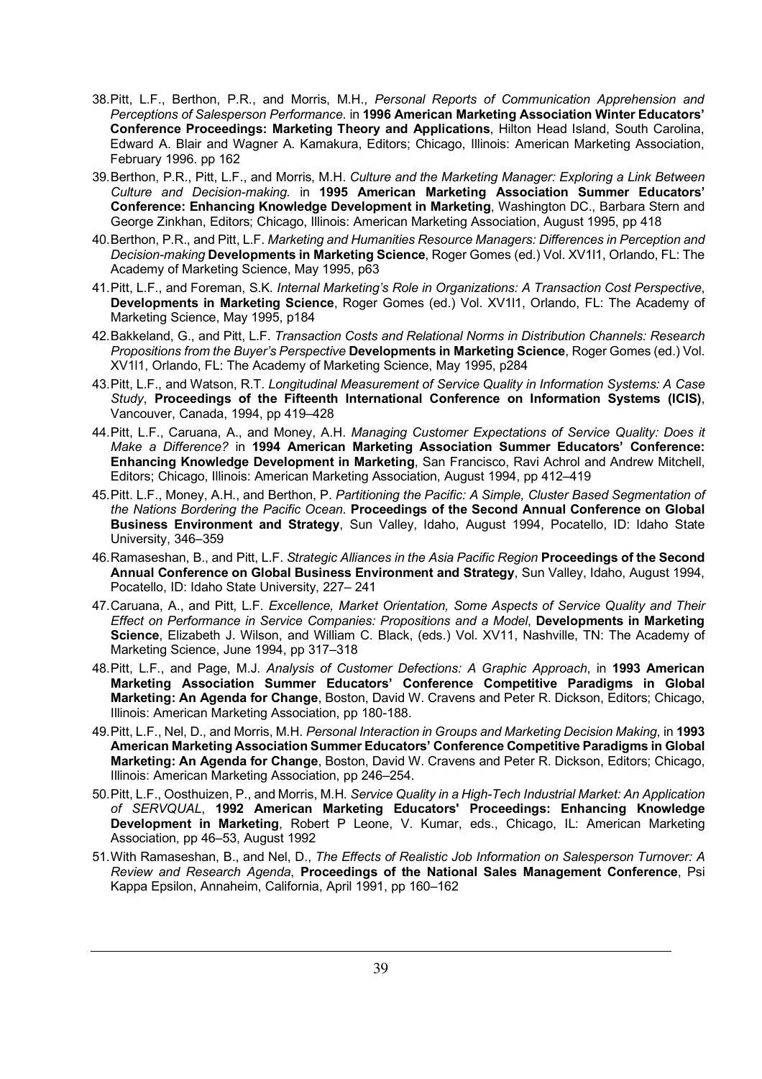- 38.Pitt, L.F., Berthon, P.R., and Morris, M.H., *Personal Reports of Communication Apprehension and Perceptions of Salesperson Performance*. in **1996 American Marketing Association Winter Educators' Conference Proceedings: Marketing Theory and Applications**, Hilton Head Island, South Carolina, Edward A. Blair and Wagner A. Kamakura, Editors; Chicago, Illinois: American Marketing Association, February 1996. pp 162
- 39.Berthon, P.R., Pitt, L.F., and Morris, M.H. *Culture and the Marketing Manager: Exploring a Link Between Culture and Decision-making.* in **1995 American Marketing Association Summer Educators' Conference: Enhancing Knowledge Development in Marketing**, Washington DC., Barbara Stern and George Zinkhan, Editors; Chicago, Illinois: American Marketing Association, August 1995, pp 418
- 40.Berthon, P.R., and Pitt, L.F. *Marketing and Humanities Resource Managers: Differences in Perception and Decision-making* **Developments in Marketing Science**, Roger Gomes (ed.) Vol. XV1l1, Orlando, FL: The Academy of Marketing Science, May 1995, p63
- 41.Pitt, L.F., and Foreman, S.K. *Internal Marketing's Role in Organizations: A Transaction Cost Perspective*, **Developments in Marketing Science**, Roger Gomes (ed.) Vol. XV1l1, Orlando, FL: The Academy of Marketing Science, May 1995, p184
- 42.Bakkeland, G., and Pitt, L.F. *Transaction Costs and Relational Norms in Distribution Channels: Research Propositions from the Buyer's Perspective* **Developments in Marketing Science**, Roger Gomes (ed.) Vol. XV1l1, Orlando, FL: The Academy of Marketing Science, May 1995, p284
- 43.Pitt, L.F., and Watson, R.T. *Longitudinal Measurement of Service Quality in Information Systems: A Case Study*, **Proceedings of the Fifteenth International Conference on Information Systems (ICIS)**, Vancouver, Canada, 1994, pp 419–428
- 44.Pitt, L.F., Caruana, A., and Money, A.H. *Managing Customer Expectations of Service Quality: Does it Make a Difference?* in **1994 American Marketing Association Summer Educators' Conference: Enhancing Knowledge Development in Marketing**, San Francisco, Ravi Achrol and Andrew Mitchell, Editors; Chicago, Illinois: American Marketing Association, August 1994, pp 412–419
- 45.Pitt. L.F., Money, A.H., and Berthon, P. *Partitioning the Pacific: A Simple, Cluster Based Segmentation of the Nations Bordering the Pacific Ocean*. **Proceedings of the Second Annual Conference on Global Business Environment and Strategy**, Sun Valley, Idaho, August 1994, Pocatello, ID: Idaho State University, 346–359
- 46.Ramaseshan, B., and Pitt, L.F. *Strategic Alliances in the Asia Pacific Region* **Proceedings of the Second Annual Conference on Global Business Environment and Strategy**, Sun Valley, Idaho, August 1994, Pocatello, ID: Idaho State University, 227– 241
- 47.Caruana, A., and Pitt, L.F. *Excellence, Market Orientation, Some Aspects of Service Quality and Their Effect on Performance in Service Companies: Propositions and a Model*, **Developments in Marketing Science**, Elizabeth J. Wilson, and William C. Black, (eds.) Vol. XV11, Nashville, TN: The Academy of Marketing Science, June 1994, pp 317–318
- 48.Pitt, L.F., and Page, M.J. *Analysis of Customer Defections: A Graphic Approach*, in **1993 American Marketing Association Summer Educators' Conference Competitive Paradigms in Global Marketing: An Agenda for Change**, Boston, David W. Cravens and Peter R. Dickson, Editors; Chicago, Illinois: American Marketing Association, pp 180-188.
- 49.Pitt, L.F., Nel, D., and Morris, M.H. *Personal Interaction in Groups and Marketing Decision Making*, in **1993 American Marketing Association Summer Educators' Conference Competitive Paradigms in Global Marketing: An Agenda for Change**, Boston, David W. Cravens and Peter R. Dickson, Editors; Chicago, Illinois: American Marketing Association, pp 246–254.
- 50.Pitt, L.F., Oosthuizen, P., and Morris, M.H. *Service Quality in a High-Tech Industrial Market: An Application of SERVQUAL*, **1992 American Marketing Educators' Proceedings: Enhancing Knowledge Development in Marketing**, Robert P Leone, V. Kumar, eds., Chicago, IL: American Marketing Association, pp 46–53, August 1992
- 51.With Ramaseshan, B., and Nel, D., *The Effects of Realistic Job Information on Salesperson Turnover: A Review and Research Agenda*, **Proceedings of the National Sales Management Conference**, Psi Kappa Epsilon, Annaheim, California, April 1991, pp 160–162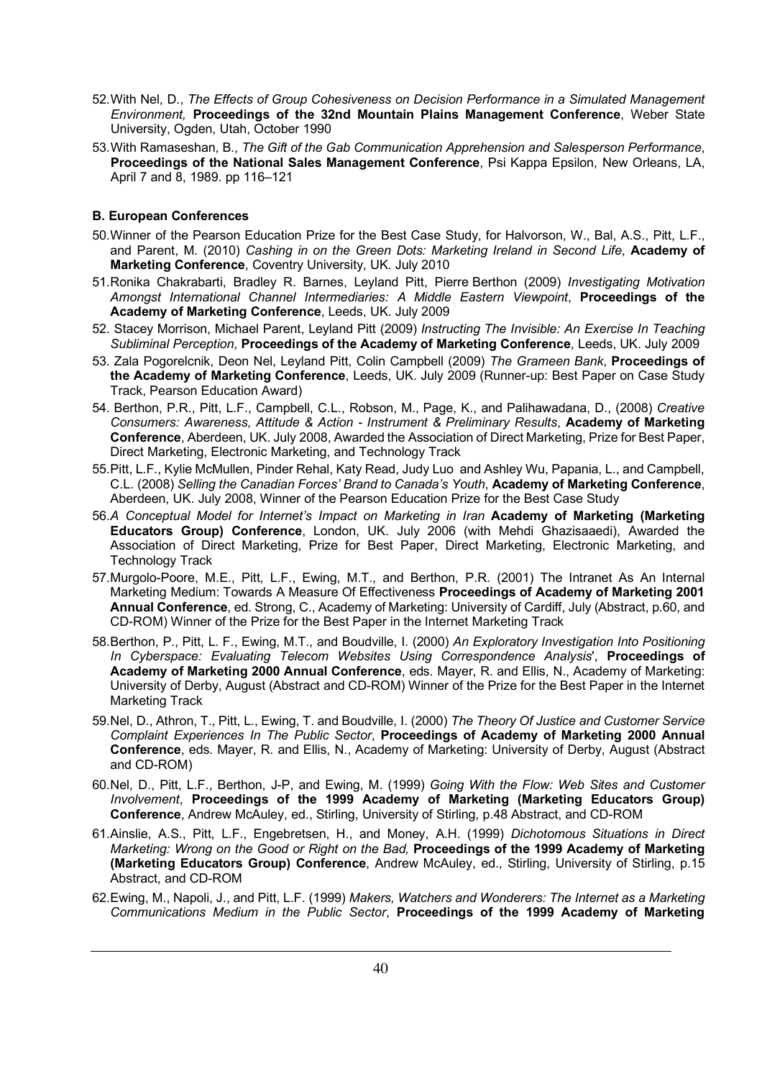- 52.With Nel, D., *The Effects of Group Cohesiveness on Decision Performance in a Simulated Management Environment,* **Proceedings of the 32nd Mountain Plains Management Conference**, Weber State University, Ogden, Utah, October 1990
- 53.With Ramaseshan, B., *The Gift of the Gab Communication Apprehension and Salesperson Performance*, **Proceedings of the National Sales Management Conference**, Psi Kappa Epsilon, New Orleans, LA, April 7 and 8, 1989. pp 116-121

## **B. European Conferences**

- 50.Winner of the Pearson Education Prize for the Best Case Study, for Halvorson, W., Bal, A.S., Pitt, L.F., and Parent, M. (2010) *Cashing in on the Green Dots: Marketing Ireland in Second Life*, **Academy of Marketing Conference**, Coventry University, UK. July 2010
- 51.Ronika Chakrabarti, Bradley R. Barnes, Leyland Pitt, Pierre Berthon (2009) *Investigating Motivation Amongst International Channel Intermediaries: A Middle Eastern Viewpoint*, **Proceedings of the Academy of Marketing Conference**, Leeds, UK. July 2009
- 52. Stacey Morrison, Michael Parent, Leyland Pitt (2009) *Instructing The Invisible: An Exercise In Teaching Subliminal Perception*, **Proceedings of the Academy of Marketing Conference**, Leeds, UK. July 2009
- 53. Zala Pogorelcnik, Deon Nel, Leyland Pitt, Colin Campbell (2009) *The Grameen Bank*, **Proceedings of the Academy of Marketing Conference**, Leeds, UK. July 2009 (Runner-up: Best Paper on Case Study Track, Pearson Education Award)
- 54. Berthon, P.R., Pitt, L.F., Campbell, C.L., Robson, M., Page, K., and Palihawadana, D., (2008) *Creative Consumers: Awareness, Attitude & Action - Instrument & Preliminary Results*, **Academy of Marketing Conference**, Aberdeen, UK. July 2008, Awarded the Association of Direct Marketing, Prize for Best Paper, Direct Marketing, Electronic Marketing, and Technology Track
- 55.Pitt, L.F., Kylie McMullen, Pinder Rehal, Katy Read, Judy Luo and Ashley Wu, Papania, L., and Campbell, C.L. (2008) *Selling the Canadian Forces' Brand to Canada's Youth*, **Academy of Marketing Conference**, Aberdeen, UK. July 2008, Winner of the Pearson Education Prize for the Best Case Study
- 56.*A Conceptual Model for Internet's Impact on Marketing in Iran* **Academy of Marketing (Marketing Educators Group) Conference**, London, UK. July 2006 (with Mehdi Ghazisaaedi), Awarded the Association of Direct Marketing, Prize for Best Paper, Direct Marketing, Electronic Marketing, and Technology Track
- 57.Murgolo-Poore, M.E., Pitt, L.F., Ewing, M.T., and Berthon, P.R. (2001) The Intranet As An Internal Marketing Medium: Towards A Measure Of Effectiveness **Proceedings of Academy of Marketing 2001 Annual Conference**, ed. Strong, C., Academy of Marketing: University of Cardiff, July (Abstract, p.60, and CD-ROM) Winner of the Prize for the Best Paper in the Internet Marketing Track
- 58.Berthon, P., Pitt, L. F., Ewing, M.T., and Boudville, I. (2000) *An Exploratory Investigation Into Positioning In Cyberspace: Evaluating Telecom Websites Using Correspondence Analysis*', **Proceedings of Academy of Marketing 2000 Annual Conference**, eds. Mayer, R. and Ellis, N., Academy of Marketing: University of Derby, August (Abstract and CD-ROM) Winner of the Prize for the Best Paper in the Internet Marketing Track
- 59.Nel, D., Athron, T., Pitt, L., Ewing, T. and Boudville, I. (2000) *The Theory Of Justice and Customer Service Complaint Experiences In The Public Sector*, **Proceedings of Academy of Marketing 2000 Annual Conference**, eds. Mayer, R. and Ellis, N., Academy of Marketing: University of Derby, August (Abstract and CD-ROM)
- 60.Nel, D., Pitt, L.F., Berthon, J-P, and Ewing, M. (1999) *Going With the Flow: Web Sites and Customer Involvement*, **Proceedings of the 1999 Academy of Marketing (Marketing Educators Group) Conference**, Andrew McAuley, ed., Stirling, University of Stirling, p.48 Abstract, and CD-ROM
- 61.Ainslie, A.S., Pitt, L.F., Engebretsen, H., and Money, A.H. (1999) *Dichotomous Situations in Direct Marketing: Wrong on the Good or Right on the Bad,* **Proceedings of the 1999 Academy of Marketing (Marketing Educators Group) Conference**, Andrew McAuley, ed., Stirling, University of Stirling, p.15 Abstract, and CD-ROM
- 62.Ewing, M., Napoli, J., and Pitt, L.F. (1999) *Makers, Watchers and Wonderers: The Internet as a Marketing Communications Medium in the Public Sector*, **Proceedings of the 1999 Academy of Marketing**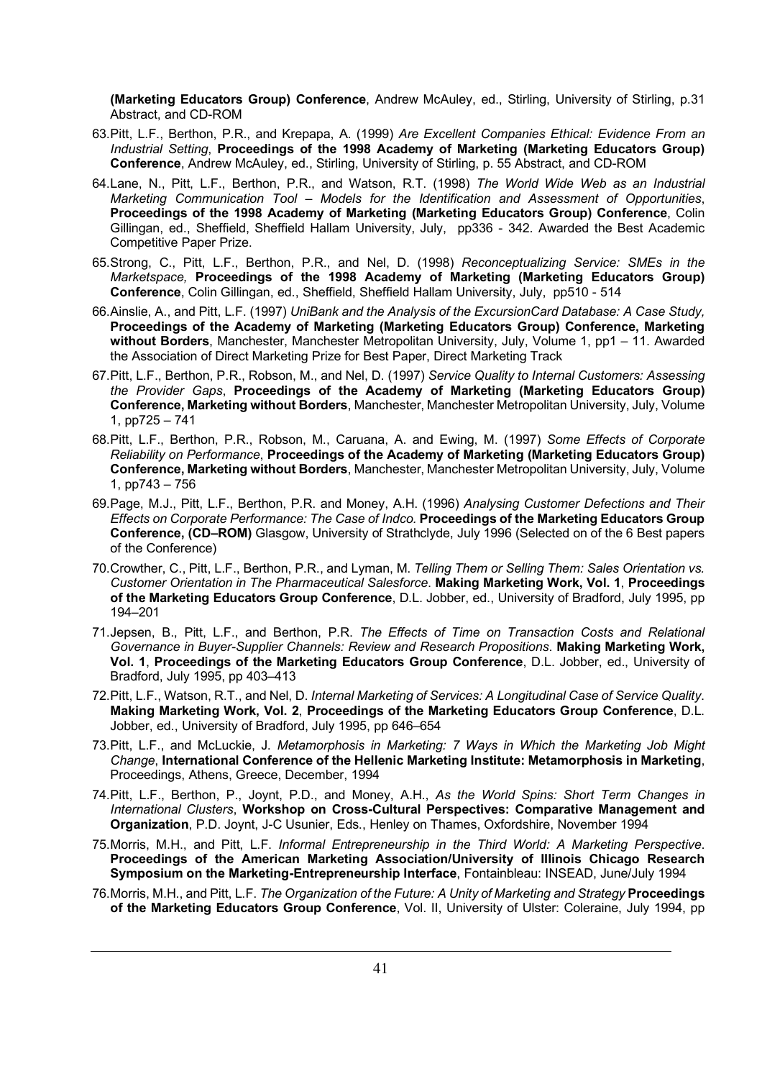**(Marketing Educators Group) Conference**, Andrew McAuley, ed., Stirling, University of Stirling, p.31 Abstract, and CD-ROM

- 63.Pitt, L.F., Berthon, P.R., and Krepapa, A. (1999) *Are Excellent Companies Ethical: Evidence From an Industrial Setting*, **Proceedings of the 1998 Academy of Marketing (Marketing Educators Group) Conference**, Andrew McAuley, ed., Stirling, University of Stirling, p. 55 Abstract, and CD-ROM
- 64.Lane, N., Pitt, L.F., Berthon, P.R., and Watson, R.T. (1998) *The World Wide Web as an Industrial Marketing Communication Tool – Models for the Identification and Assessment of Opportunities*, **Proceedings of the 1998 Academy of Marketing (Marketing Educators Group) Conference**, Colin Gillingan, ed., Sheffield, Sheffield Hallam University, July, pp336 - 342. Awarded the Best Academic Competitive Paper Prize.
- 65.Strong, C., Pitt, L.F., Berthon, P.R., and Nel, D. (1998) *Reconceptualizing Service: SMEs in the Marketspace,* **Proceedings of the 1998 Academy of Marketing (Marketing Educators Group) Conference**, Colin Gillingan, ed., Sheffield, Sheffield Hallam University, July, pp510 - 514
- 66.Ainslie, A., and Pitt, L.F. (1997) *UniBank and the Analysis of the ExcursionCard Database: A Case Study,*  **Proceedings of the Academy of Marketing (Marketing Educators Group) Conference, Marketing without Borders**, Manchester, Manchester Metropolitan University, July, Volume 1, pp1 – 11. Awarded the Association of Direct Marketing Prize for Best Paper, Direct Marketing Track
- 67.Pitt, L.F., Berthon, P.R., Robson, M., and Nel, D. (1997) *Service Quality to Internal Customers: Assessing the Provider Gaps*, **Proceedings of the Academy of Marketing (Marketing Educators Group) Conference, Marketing without Borders**, Manchester, Manchester Metropolitan University, July, Volume 1, pp725 – 741
- 68.Pitt, L.F., Berthon, P.R., Robson, M., Caruana, A. and Ewing, M. (1997) *Some Effects of Corporate Reliability on Performance*, **Proceedings of the Academy of Marketing (Marketing Educators Group) Conference, Marketing without Borders**, Manchester, Manchester Metropolitan University, July, Volume 1, pp743 – 756
- 69.Page, M.J., Pitt, L.F., Berthon, P.R. and Money, A.H. (1996) *Analysing Customer Defections and Their Effects on Corporate Performance: The Case of Indco.* **Proceedings of the Marketing Educators Group Conference, (CD–ROM)** Glasgow, University of Strathclyde, July 1996 (Selected on of the 6 Best papers of the Conference)
- 70.Crowther, C., Pitt, L.F., Berthon, P.R., and Lyman, M. *Telling Them or Selling Them: Sales Orientation vs. Customer Orientation in The Pharmaceutical Salesforce*. **Making Marketing Work, Vol. 1**, **Proceedings of the Marketing Educators Group Conference**, D.L. Jobber, ed., University of Bradford, July 1995, pp 194–201
- 71.Jepsen, B., Pitt, L.F., and Berthon, P.R. *The Effects of Time on Transaction Costs and Relational Governance in Buyer-Supplier Channels: Review and Research Propositions*. **Making Marketing Work, Vol. 1**, **Proceedings of the Marketing Educators Group Conference**, D.L. Jobber, ed., University of Bradford, July 1995, pp 403–413
- 72.Pitt, L.F., Watson, R.T., and Nel, D. *Internal Marketing of Services: A Longitudinal Case of Service Quality*. **Making Marketing Work, Vol. 2**, **Proceedings of the Marketing Educators Group Conference**, D.L. Jobber, ed., University of Bradford, July 1995, pp 646–654
- 73.Pitt, L.F., and McLuckie, J. *Metamorphosis in Marketing: 7 Ways in Which the Marketing Job Might Change*, **International Conference of the Hellenic Marketing Institute: Metamorphosis in Marketing**, Proceedings, Athens, Greece, December, 1994
- 74.Pitt, L.F., Berthon, P., Joynt, P.D., and Money, A.H., *As the World Spins: Short Term Changes in International Clusters*, **Workshop on Cross-Cultural Perspectives: Comparative Management and Organization**, P.D. Joynt, J-C Usunier, Eds., Henley on Thames, Oxfordshire, November 1994
- 75.Morris, M.H., and Pitt, L.F. *Informal Entrepreneurship in the Third World: A Marketing Perspective*. **Proceedings of the American Marketing Association/University of Illinois Chicago Research Symposium on the Marketing-Entrepreneurship Interface**, Fontainbleau: INSEAD, June/July 1994
- 76.Morris, M.H., and Pitt, L.F. *The Organization of the Future: A Unity of Marketing and Strategy* **Proceedings of the Marketing Educators Group Conference**, Vol. II, University of Ulster: Coleraine, July 1994, pp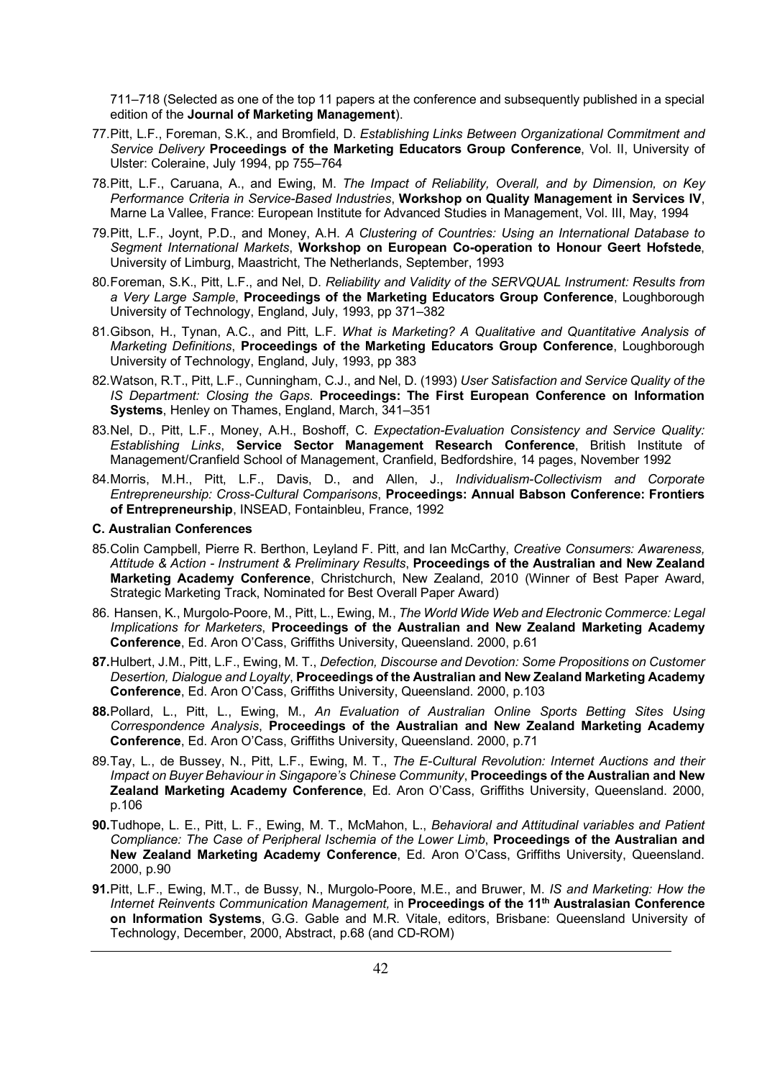711–718 (Selected as one of the top 11 papers at the conference and subsequently published in a special edition of the **Journal of Marketing Management**).

- 77.Pitt, L.F., Foreman, S.K., and Bromfield, D. *Establishing Links Between Organizational Commitment and Service Delivery* **Proceedings of the Marketing Educators Group Conference**, Vol. II, University of Ulster: Coleraine, July 1994, pp 755–764
- 78.Pitt, L.F., Caruana, A., and Ewing, M. *The Impact of Reliability, Overall, and by Dimension, on Key Performance Criteria in Service-Based Industries*, **Workshop on Quality Management in Services IV**, Marne La Vallee, France: European Institute for Advanced Studies in Management, Vol. III, May, 1994
- 79.Pitt, L.F., Joynt, P.D., and Money, A.H. *A Clustering of Countries: Using an International Database to Segment International Markets*, **Workshop on European Co-operation to Honour Geert Hofstede**, University of Limburg, Maastricht, The Netherlands, September, 1993
- 80.Foreman, S.K., Pitt, L.F., and Nel, D. *Reliability and Validity of the SERVQUAL Instrument: Results from a Very Large Sample*, **Proceedings of the Marketing Educators Group Conference**, Loughborough University of Technology, England, July, 1993, pp 371–382
- 81.Gibson, H., Tynan, A.C., and Pitt, L.F. *What is Marketing? A Qualitative and Quantitative Analysis of Marketing Definitions*, **Proceedings of the Marketing Educators Group Conference**, Loughborough University of Technology, England, July, 1993, pp 383
- 82.Watson, R.T., Pitt, L.F., Cunningham, C.J., and Nel, D. (1993) *User Satisfaction and Service Quality of the IS Department: Closing the Gaps*. **Proceedings: The First European Conference on Information Systems**, Henley on Thames, England, March, 341–351
- 83.Nel, D., Pitt, L.F., Money, A.H., Boshoff, C. *Expectation-Evaluation Consistency and Service Quality: Establishing Links*, **Service Sector Management Research Conference**, British Institute of Management/Cranfield School of Management, Cranfield, Bedfordshire, 14 pages, November 1992
- 84.Morris, M.H., Pitt, L.F., Davis, D., and Allen, J., *Individualism-Collectivism and Corporate Entrepreneurship: Cross-Cultural Comparisons*, **Proceedings: Annual Babson Conference: Frontiers of Entrepreneurship**, INSEAD, Fontainbleu, France, 1992

#### **C. Australian Conferences**

- 85.Colin Campbell, Pierre R. Berthon, Leyland F. Pitt, and Ian McCarthy, *Creative Consumers: Awareness, Attitude & Action - Instrument & Preliminary Results*, **Proceedings of the Australian and New Zealand Marketing Academy Conference**, Christchurch, New Zealand, 2010 (Winner of Best Paper Award, Strategic Marketing Track, Nominated for Best Overall Paper Award)
- 86. Hansen, K., Murgolo-Poore, M., Pitt, L., Ewing, M., *The World Wide Web and Electronic Commerce: Legal Implications for Marketers*, **Proceedings of the Australian and New Zealand Marketing Academy Conference**, Ed. Aron O'Cass, Griffiths University, Queensland. 2000, p.61
- **87.**Hulbert, J.M., Pitt, L.F., Ewing, M. T., *Defection, Discourse and Devotion: Some Propositions on Customer Desertion, Dialogue and Loyalty*, **Proceedings of the Australian and New Zealand Marketing Academy Conference**, Ed. Aron O'Cass, Griffiths University, Queensland. 2000, p.103
- **88.**Pollard, L., Pitt, L., Ewing, M., *An Evaluation of Australian Online Sports Betting Sites Using Correspondence Analysis*, **Proceedings of the Australian and New Zealand Marketing Academy Conference**, Ed. Aron O'Cass, Griffiths University, Queensland. 2000, p.71
- 89.Tay, L., de Bussey, N., Pitt, L.F., Ewing, M. T., *The E-Cultural Revolution: Internet Auctions and their Impact on Buyer Behaviour in Singapore's Chinese Community*, **Proceedings of the Australian and New Zealand Marketing Academy Conference**, Ed. Aron O'Cass, Griffiths University, Queensland. 2000, p.106
- **90.**Tudhope, L. E., Pitt, L. F., Ewing, M. T., McMahon, L., *Behavioral and Attitudinal variables and Patient Compliance: The Case of Peripheral Ischemia of the Lower Limb*, **Proceedings of the Australian and New Zealand Marketing Academy Conference**, Ed. Aron O'Cass, Griffiths University, Queensland. 2000, p.90
- **91.**Pitt, L.F., Ewing, M.T., de Bussy, N., Murgolo-Poore, M.E., and Bruwer, M. *IS and Marketing: How the Internet Reinvents Communication Management,* in **Proceedings of the 11th Australasian Conference on Information Systems**, G.G. Gable and M.R. Vitale, editors, Brisbane: Queensland University of Technology, December, 2000, Abstract, p.68 (and CD-ROM)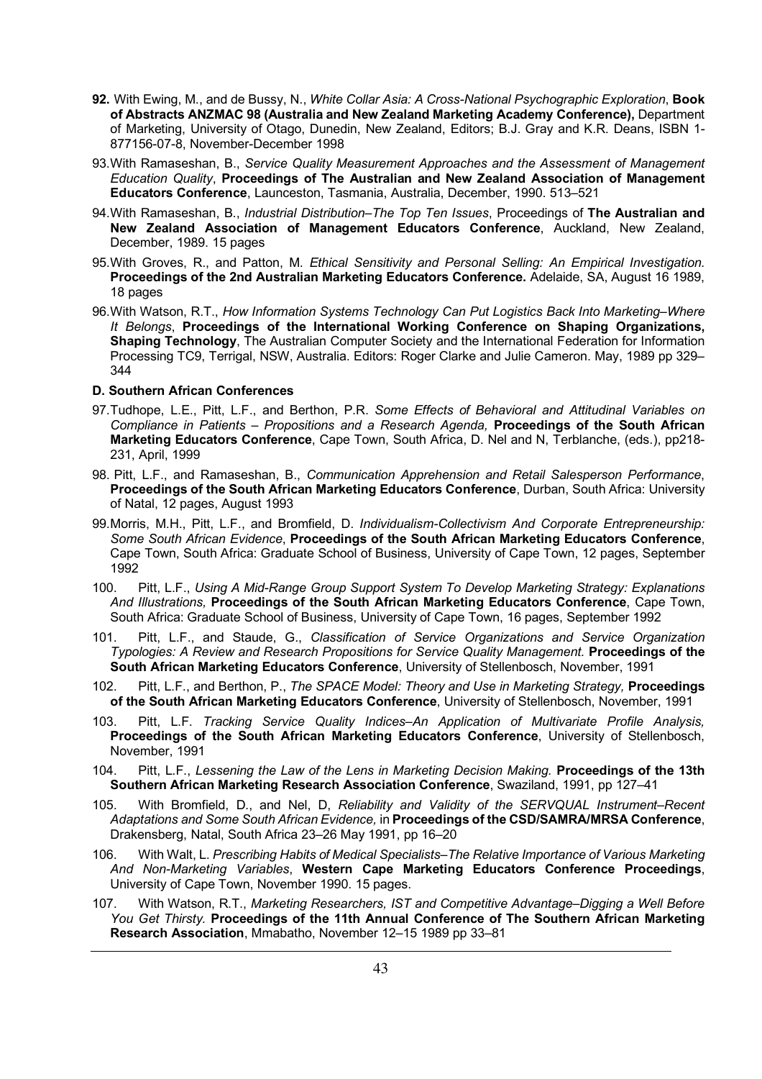- **92.** With Ewing, M., and de Bussy, N., *White Collar Asia: A Cross-National Psychographic Exploration*, **Book of Abstracts ANZMAC 98 (Australia and New Zealand Marketing Academy Conference),** Department of Marketing, University of Otago, Dunedin, New Zealand, Editors; B.J. Gray and K.R. Deans, ISBN 1- 877156-07-8, November-December 1998
- 93.With Ramaseshan, B., *Service Quality Measurement Approaches and the Assessment of Management Education Quality*, **Proceedings of The Australian and New Zealand Association of Management Educators Conference**, Launceston, Tasmania, Australia, December, 1990. 513–521
- 94.With Ramaseshan, B., *Industrial Distribution–The Top Ten Issues*, Proceedings of **The Australian and New Zealand Association of Management Educators Conference**, Auckland, New Zealand, December, 1989. 15 pages
- 95.With Groves, R., and Patton, M. *Ethical Sensitivity and Personal Selling: An Empirical Investigation.*  **Proceedings of the 2nd Australian Marketing Educators Conference.** Adelaide, SA, August 16 1989, 18 pages
- 96.With Watson, R.T., *How Information Systems Technology Can Put Logistics Back Into Marketing–Where It Belongs*, **Proceedings of the International Working Conference on Shaping Organizations, Shaping Technology**, The Australian Computer Society and the International Federation for Information Processing TC9, Terrigal, NSW, Australia. Editors: Roger Clarke and Julie Cameron. May, 1989 pp 329– 344

#### **D. Southern African Conferences**

- 97.Tudhope, L.E., Pitt, L.F., and Berthon, P.R. *Some Effects of Behavioral and Attitudinal Variables on Compliance in Patients – Propositions and a Research Agenda,* **Proceedings of the South African Marketing Educators Conference**, Cape Town, South Africa, D. Nel and N, Terblanche, (eds.), pp218- 231, April, 1999
- 98. Pitt, L.F., and Ramaseshan, B., *Communication Apprehension and Retail Salesperson Performance*, **Proceedings of the South African Marketing Educators Conference**, Durban, South Africa: University of Natal, 12 pages, August 1993
- 99.Morris, M.H., Pitt, L.F., and Bromfield, D. *Individualism-Collectivism And Corporate Entrepreneurship: Some South African Evidence*, **Proceedings of the South African Marketing Educators Conference**, Cape Town, South Africa: Graduate School of Business, University of Cape Town, 12 pages, September 1992
- 100. Pitt, L.F., *Using A Mid-Range Group Support System To Develop Marketing Strategy: Explanations And Illustrations,* **Proceedings of the South African Marketing Educators Conference**, Cape Town, South Africa: Graduate School of Business, University of Cape Town, 16 pages, September 1992
- 101. Pitt, L.F., and Staude, G., *Classification of Service Organizations and Service Organization Typologies: A Review and Research Propositions for Service Quality Management.* **Proceedings of the South African Marketing Educators Conference**, University of Stellenbosch, November, 1991
- 102. Pitt, L.F., and Berthon, P., *The SPACE Model: Theory and Use in Marketing Strategy,* **Proceedings of the South African Marketing Educators Conference**, University of Stellenbosch, November, 1991
- 103. Pitt, L.F. *Tracking Service Quality Indices–An Application of Multivariate Profile Analysis,*  **Proceedings of the South African Marketing Educators Conference**, University of Stellenbosch, November, 1991
- 104. Pitt, L.F., *Lessening the Law of the Lens in Marketing Decision Making.* **Proceedings of the 13th Southern African Marketing Research Association Conference**, Swaziland, 1991, pp 127–41
- 105. With Bromfield, D., and Nel, D, *Reliability and Validity of the SERVQUAL Instrument–Recent Adaptations and Some South African Evidence,* in **Proceedings of the CSD/SAMRA/MRSA Conference**, Drakensberg, Natal, South Africa 23–26 May 1991, pp 16–20
- 106. With Walt, L. *Prescribing Habits of Medical Specialists–The Relative Importance of Various Marketing And Non-Marketing Variables*, **Western Cape Marketing Educators Conference Proceedings**, University of Cape Town, November 1990. 15 pages.
- 107. With Watson, R.T., *Marketing Researchers, IST and Competitive Advantage–Digging a Well Before You Get Thirsty.* **Proceedings of the 11th Annual Conference of The Southern African Marketing Research Association**, Mmabatho, November 12–15 1989 pp 33–81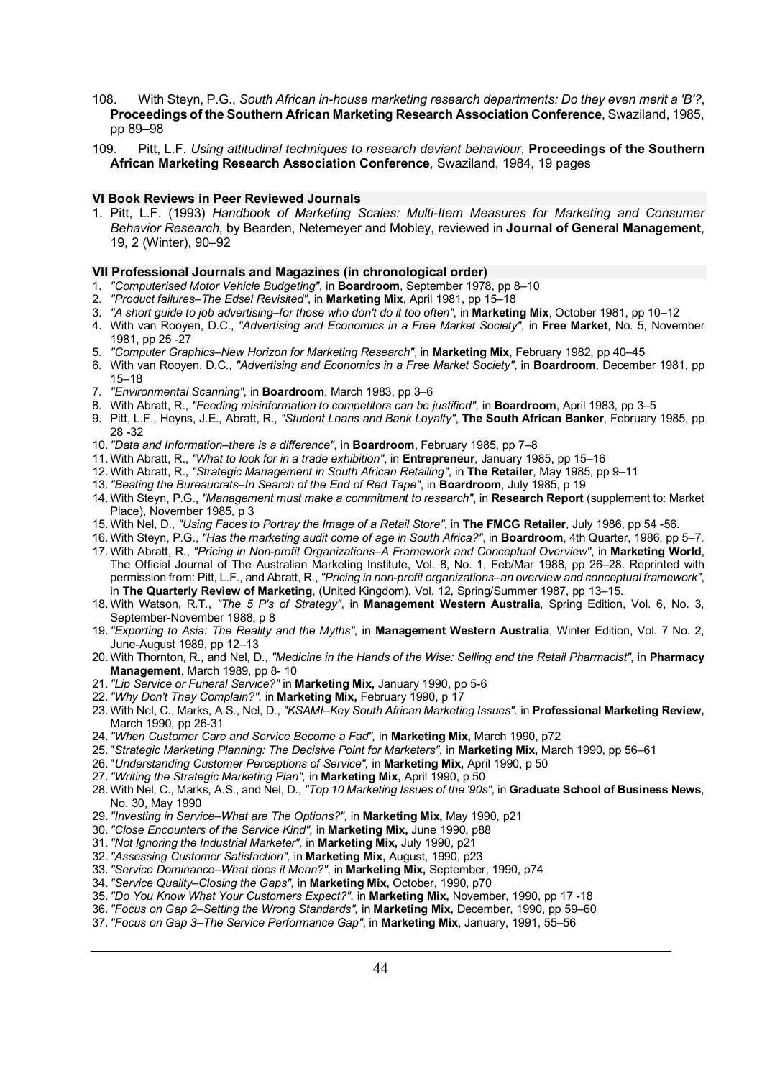- 108. With Steyn, P.G., *South African in-house marketing research departments: Do they even merit a 'B'?*, **Proceedings of the Southern African Marketing Research Association Conference**, Swaziland, 1985, pp 89–98
- 109. Pitt, L.F. *Using attitudinal techniques to research deviant behaviour*, **Proceedings of the Southern African Marketing Research Association Conference**, Swaziland, 1984, 19 pages

#### **VI Book Reviews in Peer Reviewed Journals**

1. Pitt, L.F. (1993) *Handbook of Marketing Scales: Multi-Item Measures for Marketing and Consumer Behavior Research*, by Bearden, Netemeyer and Mobley, reviewed in **Journal of General Management**, 19, 2 (Winter), 90–92

#### **VII Professional Journals and Magazines (in chronological order)**

- 1. *"Computerised Motor Vehicle Budgeting"*, in **Boardroom**, September 1978, pp 8–10
- 2. *"Product failures–The Edsel Revisited"*, in **Marketing Mix**, April 1981, pp 15–18
- 3. *"A short guide to job advertising–for those who don't do it too often"*, in **Marketing Mix**, October 1981, pp 10–12
- 4. With van Rooyen, D.C., *"Advertising and Economics in a Free Market Society"*, in **Free Market**, No. 5, November 1981, pp 25 -27
- 5. *"Computer Graphics–New Horizon for Marketing Research"*, in **Marketing Mix**, February 1982, pp 40–45
- 6. With van Rooyen, D.C., *"Advertising and Economics in a Free Market Society"*, in **Boardroom**, December 1981, pp 15–18
- 7. *"Environmental Scanning"*, in **Boardroom**, March 1983, pp 3–6
- 8. With Abratt, R., *"Feeding misinformation to competitors can be justified"*, in **Boardroom**, April 1983, pp 3–5
- 9. Pitt, L.F., Heyns, J.E., Abratt, R., *"Student Loans and Bank Loyalty"*, **The South African Banker**, February 1985, pp 28 -32
- 10.*"Data and Information–there is a difference"*, in **Boardroom**, February 1985, pp 7–8
- 11. With Abratt, R., *"What to look for in a trade exhibition"*, in **Entrepreneur**, January 1985, pp 15–16
- 12. With Abratt, R., *"Strategic Management in South African Retailing"*, in **The Retailer**, May 1985, pp 9–11
- 13.*"Beating the Bureaucrats–In Search of the End of Red Tape"*, in **Boardroom**, July 1985, p 19
- 14. With Steyn, P.G., *"Management must make a commitment to research"*, in **Research Report** (supplement to: Market Place), November 1985, p 3
- 15. With Nel, D., *"Using Faces to Portray the Image of a Retail Store"*, in **The FMCG Retailer**, July 1986, pp 54 -56.
- 16. With Steyn, P.G., *"Has the marketing audit come of age in South Africa?"*, in **Boardroom**, 4th Quarter, 1986, pp 5–7.
- 17. With Abratt, R., *"Pricing in Non-profit Organizations–A Framework and Conceptual Overview"*, in **Marketing World**, The Official Journal of The Australian Marketing Institute, Vol. 8, No. 1, Feb/Mar 1988, pp 26–28. Reprinted with permission from: Pitt, L.F., and Abratt, R., *"Pricing in non-profit organizations–an overview and conceptual framework"*, in **The Quarterly Review of Marketing**, (United Kingdom), Vol. 12, Spring/Summer 1987, pp 13–15.
- 18. With Watson, R.T., *"The 5 P's of Strategy"*, in **Management Western Australia**, Spring Edition, Vol. 6, No. 3, September-November 1988, p 8
- 19.*"Exporting to Asia: The Reality and the Myths"*, in **Management Western Australia**, Winter Edition, Vol. 7 No. 2, June-August 1989, pp 12–13
- 20. With Thornton, R., and Nel, D., *"Medicine in the Hands of the Wise: Selling and the Retail Pharmacist"*, in **Pharmacy Management**, March 1989, pp 8- 10
- 21.*"Lip Service or Funeral Service?"* in **Marketing Mix,** January 1990, pp 5-6
- 22.*"Why Don't They Complain?".* in **Marketing Mix,** February 1990, p 17
- 23. With Nel, C., Marks, A.S., Nel, D., *"KSAMI–Key South African Marketing Issues".* in **Professional Marketing Review,**  March 1990, pp 26-31
- 24.*"When Customer Care and Service Become a Fad",* in **Marketing Mix,** March 1990, p72
- 25."*Strategic Marketing Planning: The Decisive Point for Marketers",* in **Marketing Mix,** March 1990, pp 56–61
- 26."*Understanding Customer Perceptions of Service",* in **Marketing Mix,** April 1990, p 50
- 27.*"Writing the Strategic Marketing Plan",* in **Marketing Mix,** April 1990, p 50
- 28. With Nel, C., Marks, A.S., and Nel, D., *"Top 10 Marketing Issues of the '90s",* in **Graduate School of Business News**, No. 30, May 1990
- 29.*"Investing in Service–What are The Options?",* in **Marketing Mix,** May 1990, p21
- 30.*"Close Encounters of the Service Kind",* in **Marketing Mix,** June 1990, p88
- 31.*"Not Ignoring the Industrial Marketer",* in **Marketing Mix,** July 1990, p21
- 32.*"Assessing Customer Satisfaction",* in **Marketing Mix,** August, 1990, p23
- 33.*"Service Dominance–What does it Mean?"*, in **Marketing Mix,** September, 1990, p74
- 34.*"Service Quality–Closing the Gaps",* in **Marketing Mix,** October, 1990, p70
- 35.*"Do You Know What Your Customers Expect?"*, in **Marketing Mix,** November, 1990, pp 17 -18
- 36.*"Focus on Gap 2–Setting the Wrong Standards",* in **Marketing Mix,** December, 1990, pp 59–60
- 37.*"Focus on Gap 3–The Service Performance Gap"*, in **Marketing Mix**, January, 1991, 55–56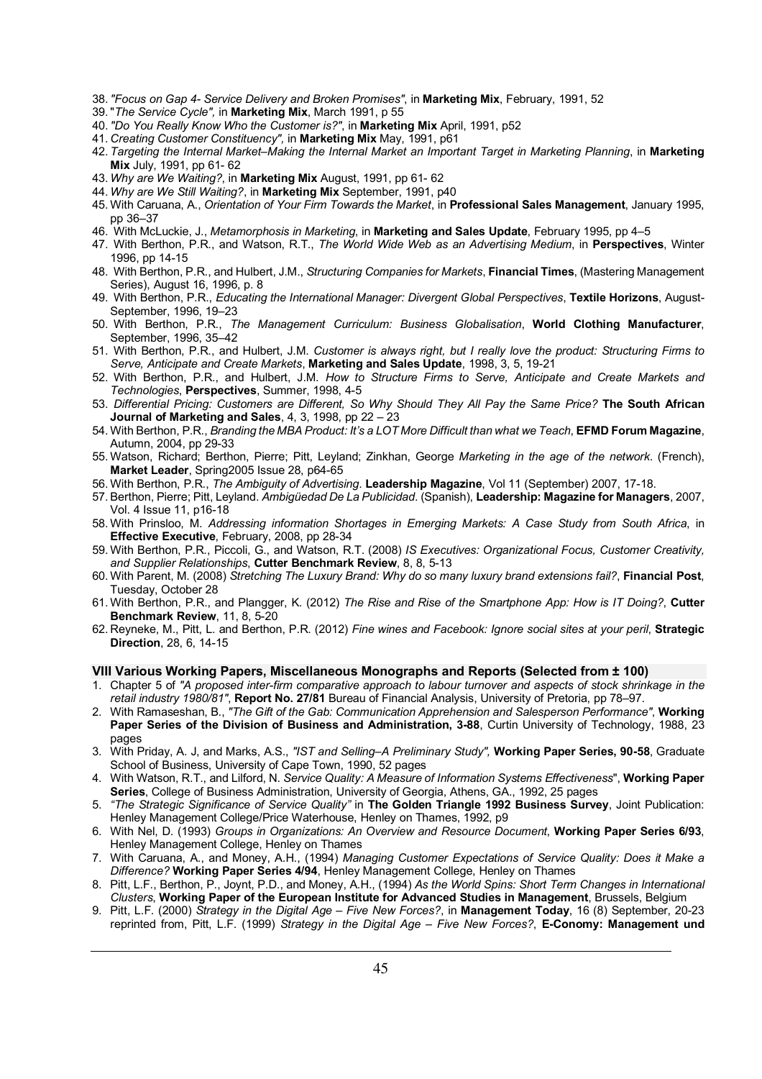- 38.*"Focus on Gap 4- Service Delivery and Broken Promises"*, in **Marketing Mix**, February, 1991, 52
- 39."*The Service Cycle",* in **Marketing Mix**, March 1991, p 55
- 40.*"Do You Really Know Who the Customer is?"*, in **Marketing Mix** April, 1991, p52
- 41. *Creating Customer Constituency",* in **Marketing Mix** May, 1991, p61
- 42. *Targeting the Internal Market–Making the Internal Market an Important Target in Marketing Planning*, in **Marketing Mix** July, 1991, pp 61- 62
- 43. *Why are We Waiting?*, in **Marketing Mix** August, 1991, pp 61- 62
- 44. *Why are We Still Waiting?*, in **Marketing Mix** September, 1991, p40
- 45. With Caruana, A., *Orientation of Your Firm Towards the Market*, in **Professional Sales Management**, January 1995, pp 36–37
- 46. With McLuckie, J., *Metamorphosis in Marketing*, in **Marketing and Sales Update**, February 1995, pp 4–5
- 47. With Berthon, P.R., and Watson, R.T., *The World Wide Web as an Advertising Medium*, in **Perspectives**, Winter 1996, pp 14-15
- 48. With Berthon, P.R., and Hulbert, J.M., *Structuring Companies for Markets*, **Financial Times**, (Mastering Management Series), August 16, 1996, p. 8
- 49. With Berthon, P.R., *Educating the International Manager: Divergent Global Perspectives*, **Textile Horizons**, August-September, 1996, 19–23
- 50. With Berthon, P.R., *The Management Curriculum: Business Globalisation*, **World Clothing Manufacturer**, September, 1996, 35–42
- 51. With Berthon, P.R., and Hulbert, J.M. *Customer is always right, but I really love the product: Structuring Firms to Serve, Anticipate and Create Markets*, **Marketing and Sales Update**, 1998, 3, 5, 19-21
- 52. With Berthon, P.R., and Hulbert, J.M. *How to Structure Firms to Serve, Anticipate and Create Markets and Technologies*, **Perspectives**, Summer, 1998, 4-5
- 53. *Differential Pricing: Customers are Different, So Why Should They All Pay the Same Price?* **The South African Journal of Marketing and Sales**, 4, 3, 1998, pp 22 – 23
- 54. With Berthon, P.R., *Branding the MBA Product: It's a LOT More Difficult than what we Teach*, **EFMD Forum Magazine**, Autumn, 2004, pp 29-33
- 55. Watson, Richard; Berthon, Pierre; Pitt, Leyland; Zinkhan, George *Marketing in the age of the network*. (French), **Market Leader**, Spring2005 Issue 28, p64-65
- 56. With Berthon, P.R., *The Ambiguity of Advertising*. **Leadership Magazine**, Vol 11 (September) 2007, 17-18.
- 57. Berthon, Pierre; Pitt, Leyland. *Ambigüedad De La Publicidad*. (Spanish), **Leadership: Magazine for Managers**, 2007, Vol. 4 Issue 11, p16-18
- 58. With Prinsloo, M. *Addressing information Shortages in Emerging Markets: A Case Study from South Africa*, in **Effective Executive**, February, 2008, pp 28-34
- 59. With Berthon, P.R., Piccoli, G., and Watson, R.T. (2008) *IS Executives: Organizational Focus, Customer Creativity, and Supplier Relationships*, **Cutter Benchmark Review**, 8, 8, 5-13
- 60. With Parent, M. (2008) *Stretching The Luxury Brand: Why do so many luxury brand extensions fail?*, **Financial Post**, Tuesday, October 28
- 61. With Berthon, P.R., and Plangger, K. (2012) *The Rise and Rise of the Smartphone App: How is IT Doing?*, **Cutter Benchmark Review**, 11, 8, 5-20
- 62. Reyneke, M., Pitt, L. and Berthon, P.R. (2012) *Fine wines and Facebook: Ignore social sites at your peril*, **Strategic Direction**, 28, 6, 14-15

#### **VIII Various Working Papers, Miscellaneous Monographs and Reports (Selected from ± 100)**

- 1. Chapter 5 of *"A proposed inter-firm comparative approach to labour turnover and aspects of stock shrinkage in the retail industry 1980/81"*, **Report No. 27/81** Bureau of Financial Analysis, University of Pretoria, pp 78–97.
- 2. With Ramaseshan, B., *"The Gift of the Gab: Communication Apprehension and Salesperson Performance"*, **Working Paper Series of the Division of Business and Administration, 3-88**, Curtin University of Technology, 1988, 23 pages
- 3. With Priday, A. J, and Marks, A.S., *"IST and Selling–A Preliminary Study",* **Working Paper Series, 90-58**, Graduate School of Business, University of Cape Town, 1990, 52 pages
- 4. With Watson, R.T., and Lilford, N. *Service Quality: A Measure of Information Systems Effectiveness*", **Working Paper Series**, College of Business Administration, University of Georgia, Athens, GA., 1992, 25 pages
- 5. *"The Strategic Significance of Service Quality"* in **The Golden Triangle 1992 Business Survey**, Joint Publication: Henley Management College/Price Waterhouse, Henley on Thames, 1992, p9
- 6. With Nel, D. (1993) *Groups in Organizations: An Overview and Resource Document*, **Working Paper Series 6/93**, Henley Management College, Henley on Thames
- 7. With Caruana, A., and Money, A.H., (1994) *Managing Customer Expectations of Service Quality: Does it Make a Difference?* **Working Paper Series 4/94**, Henley Management College, Henley on Thames
- 8. Pitt, L.F., Berthon, P., Joynt, P.D., and Money, A.H., (1994) *As the World Spins: Short Term Changes in International Clusters*, **Working Paper of the European Institute for Advanced Studies in Management**, Brussels, Belgium
- 9. Pitt, L.F. (2000) *Strategy in the Digital Age – Five New Forces?*, in **Management Today**, 16 (8) September, 20-23 reprinted from, Pitt, L.F. (1999) *Strategy in the Digital Age – Five New Forces?*, **E-Conomy: Management und**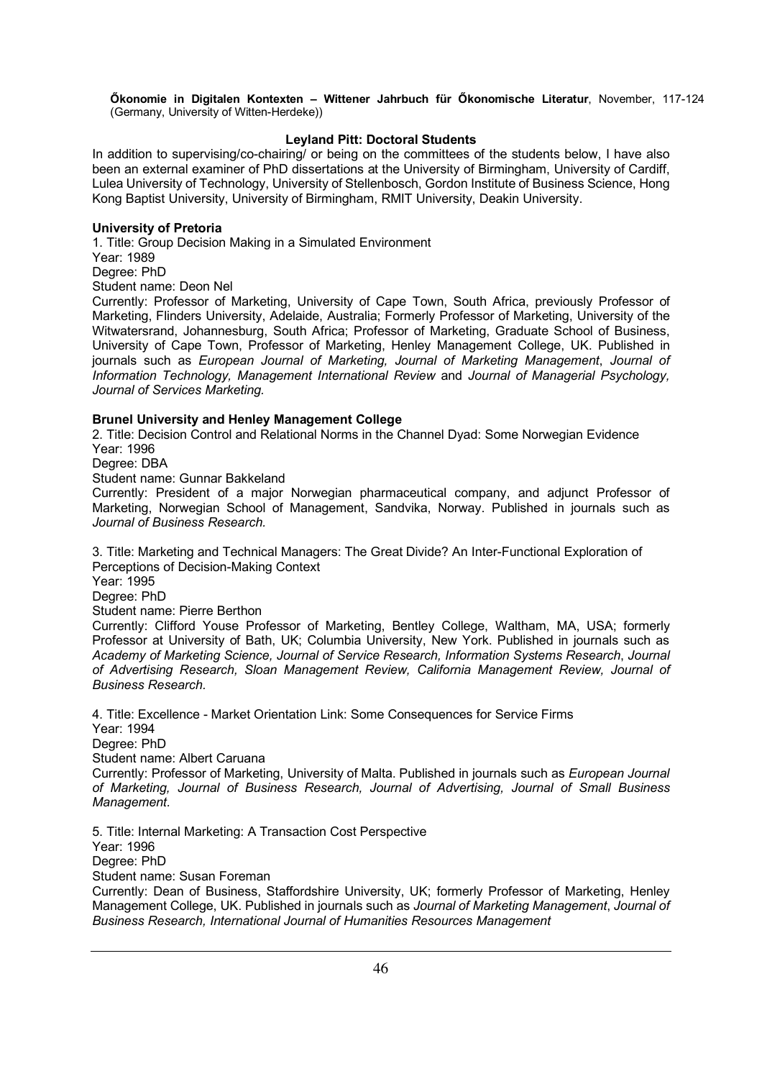**Őkonomie in Digitalen Kontexten – Wittener Jahrbuch für Őkonomische Literatur**, November, 117-124 (Germany, University of Witten-Herdeke))

# **Leyland Pitt: Doctoral Students**

In addition to supervising/co-chairing/ or being on the committees of the students below, I have also been an external examiner of PhD dissertations at the University of Birmingham, University of Cardiff, Lulea University of Technology, University of Stellenbosch, Gordon Institute of Business Science, Hong Kong Baptist University, University of Birmingham, RMIT University, Deakin University.

#### **University of Pretoria**

1. Title: Group Decision Making in a Simulated Environment Year: 1989 Degree: PhD Student name: Deon Nel

Currently: Professor of Marketing, University of Cape Town, South Africa, previously Professor of Marketing, Flinders University, Adelaide, Australia; Formerly Professor of Marketing, University of the Witwatersrand, Johannesburg, South Africa; Professor of Marketing, Graduate School of Business, University of Cape Town, Professor of Marketing, Henley Management College, UK. Published in journals such as *European Journal of Marketing, Journal of Marketing Management*, *Journal of Information Technology, Management International Review* and *Journal of Managerial Psychology, Journal of Services Marketing.*

## **Brunel University and Henley Management College**

2. Title: Decision Control and Relational Norms in the Channel Dyad: Some Norwegian Evidence Year: 1996

Degree: DBA

Student name: Gunnar Bakkeland

Currently: President of a major Norwegian pharmaceutical company, and adjunct Professor of Marketing, Norwegian School of Management, Sandvika, Norway. Published in journals such as *Journal of Business Research.*

3. Title: Marketing and Technical Managers: The Great Divide? An Inter-Functional Exploration of Perceptions of Decision-Making Context Year: 1995 Degree: PhD Student name: Pierre Berthon

Currently: Clifford Youse Professor of Marketing, Bentley College, Waltham, MA, USA; formerly Professor at University of Bath, UK; Columbia University, New York. Published in journals such as *Academy of Marketing Science, Journal of Service Research, Information Systems Research*, *Journal of Advertising Research, Sloan Management Review, California Management Review, Journal of Business Research.*

4. Title: Excellence - Market Orientation Link: Some Consequences for Service Firms Year: 1994

Degree: PhD

Student name: Albert Caruana

Currently: Professor of Marketing, University of Malta. Published in journals such as *European Journal of Marketing, Journal of Business Research, Journal of Advertising, Journal of Small Business Management.*

5. Title: Internal Marketing: A Transaction Cost Perspective Year: 1996 Degree: PhD Student name: Susan Foreman

Currently: Dean of Business, Staffordshire University, UK; formerly Professor of Marketing, Henley Management College, UK. Published in journals such as *Journal of Marketing Management*, *Journal of Business Research, International Journal of Humanities Resources Management*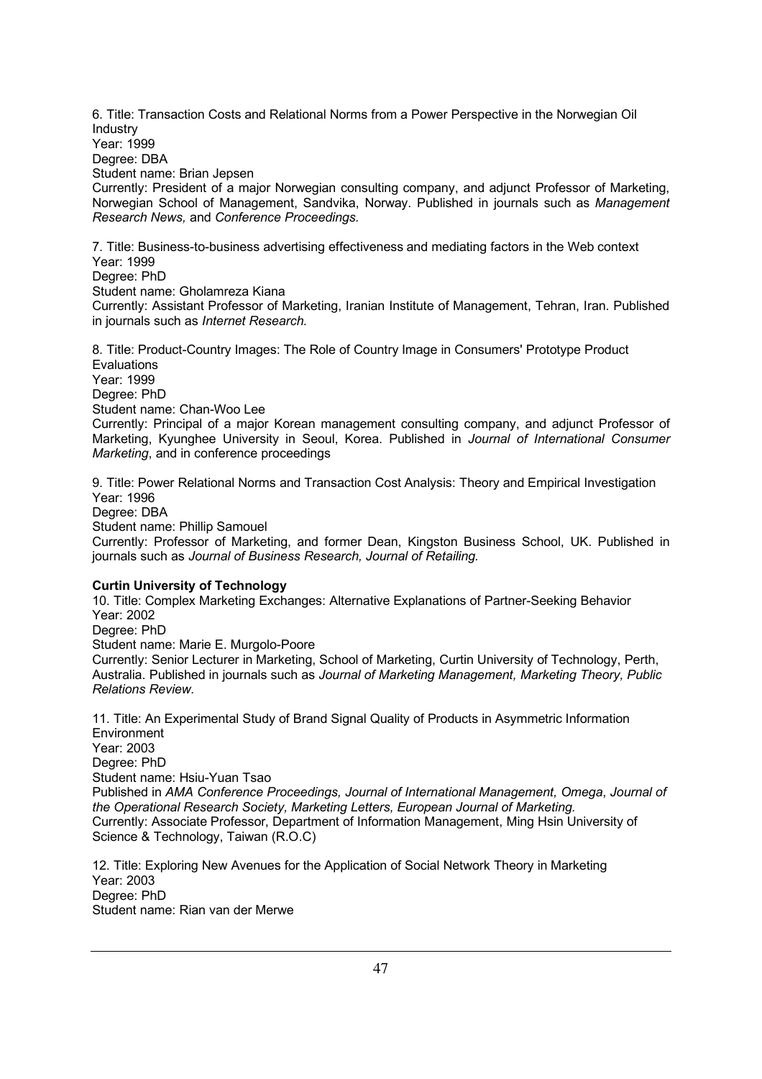6. Title: Transaction Costs and Relational Norms from a Power Perspective in the Norwegian Oil Industry Year: 1999 Degree: DBA Student name: Brian Jepsen Currently: President of a major Norwegian consulting company, and adjunct Professor of Marketing, Norwegian School of Management, Sandvika, Norway. Published in journals such as *Management Research News,* and *Conference Proceedings.*

7. Title: Business-to-business advertising effectiveness and mediating factors in the Web context Year: 1999 Degree: PhD Student name: Gholamreza Kiana

Currently: Assistant Professor of Marketing, Iranian Institute of Management, Tehran, Iran. Published in journals such as *Internet Research.*

8. Title: Product-Country Images: The Role of Country Image in Consumers' Prototype Product Evaluations Year: 1999 Degree: PhD Student name: Chan-Woo Lee Currently: Principal of a major Korean management consulting company, and adjunct Professor of Marketing, Kyunghee University in Seoul, Korea. Published in *Journal of International Consumer Marketing*, and in conference proceedings

9. Title: Power Relational Norms and Transaction Cost Analysis: Theory and Empirical Investigation Year: 1996 Degree: DBA

Student name: Phillip Samouel

Currently: Professor of Marketing, and former Dean, Kingston Business School, UK. Published in journals such as *Journal of Business Research, Journal of Retailing.*

## **Curtin University of Technology**

10. Title: Complex Marketing Exchanges: Alternative Explanations of Partner-Seeking Behavior Year: 2002

Degree: PhD

Student name: Marie E. Murgolo-Poore

Currently: Senior Lecturer in Marketing, School of Marketing, Curtin University of Technology, Perth, Australia. Published in journals such as *Journal of Marketing Management, Marketing Theory, Public Relations Review.*

11. Title: An Experimental Study of Brand Signal Quality of Products in Asymmetric Information **Environment** Year: 2003 Degree: PhD Student name: Hsiu-Yuan Tsao Published in *AMA Conference Proceedings, Journal of International Management, Omega*, *Journal of the Operational Research Society, Marketing Letters, European Journal of Marketing.* Currently: Associate Professor, Department of Information Management, Ming Hsin University of Science & Technology, Taiwan (R.O.C)

12. Title: Exploring New Avenues for the Application of Social Network Theory in Marketing Year: 2003 Degree: PhD Student name: Rian van der Merwe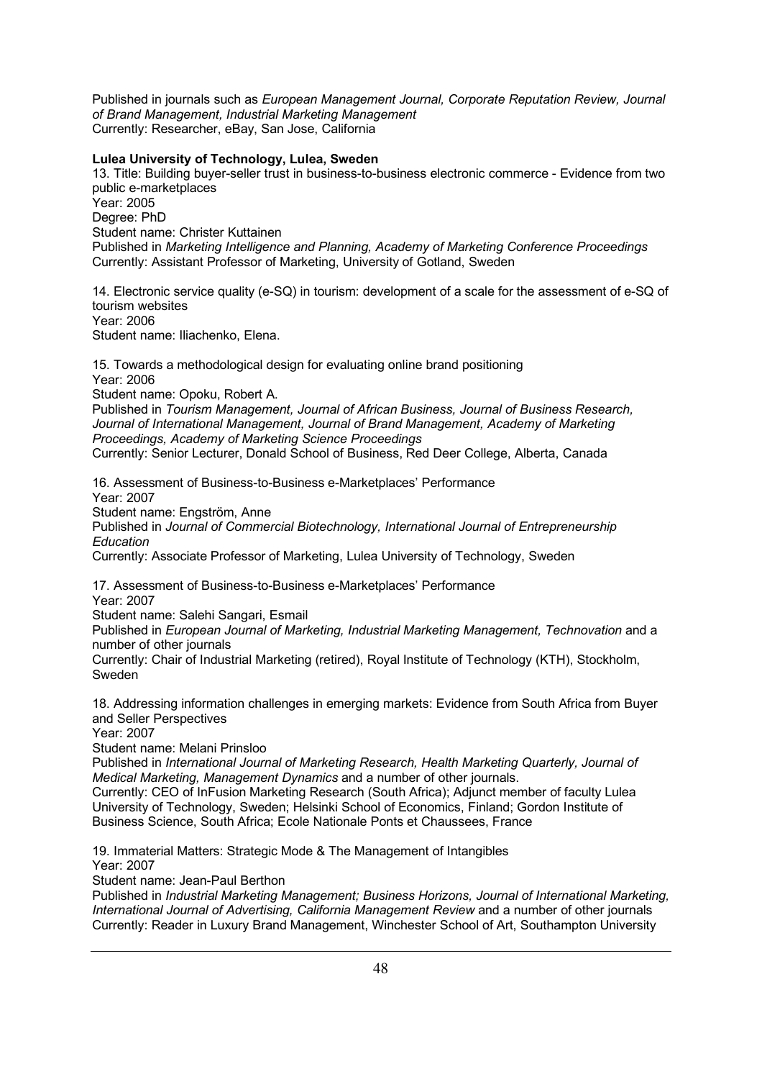Published in journals such as *European Management Journal, Corporate Reputation Review, Journal of Brand Management, Industrial Marketing Management* Currently: Researcher, eBay, San Jose, California

#### **Lulea University of Technology, Lulea, Sweden**

13. Title: Building buyer-seller trust in business-to-business electronic commerce - Evidence from two public e-marketplaces Year: 2005 Degree: PhD Student name: Christer Kuttainen Published in *Marketing Intelligence and Planning, Academy of Marketing Conference Proceedings* Currently: Assistant Professor of Marketing, University of Gotland, Sweden

14. Electronic service quality (e-SQ) in tourism: development of a scale for the assessment of e-SQ of tourism websites Year: 2006

Student name: Iliachenko, Elena.

15. Towards a methodological design for evaluating online brand positioning Year: 2006 Student name: Opoku, Robert A.

Published in *Tourism Management, Journal of African Business, Journal of Business Research, Journal of International Management, Journal of Brand Management, Academy of Marketing Proceedings, Academy of Marketing Science Proceedings* Currently: Senior Lecturer, Donald School of Business, Red Deer College, Alberta, Canada

16. Assessment of Business-to-Business e-Marketplaces' Performance Year: 2007

Student name: Engström, Anne

Published in *Journal of Commercial Biotechnology, International Journal of Entrepreneurship Education* 

Currently: Associate Professor of Marketing, Lulea University of Technology, Sweden

17. Assessment of Business-to-Business e-Marketplaces' Performance

Year: 2007

Student name: Salehi Sangari, Esmail

Published in *European Journal of Marketing, Industrial Marketing Management, Technovation* and a number of other journals

Currently: Chair of Industrial Marketing (retired), Royal Institute of Technology (KTH), Stockholm, Sweden

18. Addressing information challenges in emerging markets: Evidence from South Africa from Buyer and Seller Perspectives

Year: 2007

Student name: Melani Prinsloo

Published in *International Journal of Marketing Research, Health Marketing Quarterly, Journal of Medical Marketing, Management Dynamics* and a number of other journals.

Currently: CEO of InFusion Marketing Research (South Africa); Adjunct member of faculty Lulea University of Technology, Sweden; Helsinki School of Economics, Finland; Gordon Institute of Business Science, South Africa; Ecole Nationale Ponts et Chaussees, France

19. Immaterial Matters: Strategic Mode & The Management of Intangibles

Year: 2007

Student name: Jean-Paul Berthon

Published in *Industrial Marketing Management; Business Horizons, Journal of International Marketing, International Journal of Advertising, California Management Review* and a number of other journals Currently: Reader in Luxury Brand Management, Winchester School of Art, Southampton University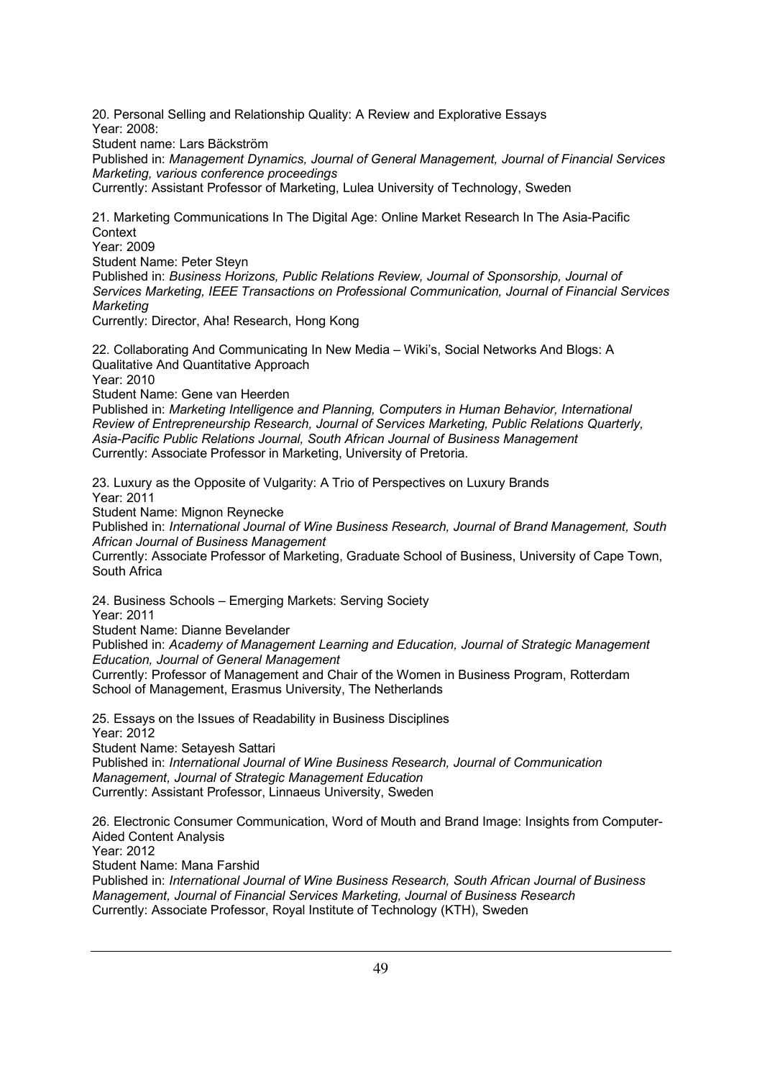20. Personal Selling and Relationship Quality: A Review and Explorative Essays Year: 2008:

Student name: Lars Bäckström

Published in: *Management Dynamics, Journal of General Management, Journal of Financial Services Marketing, various conference proceedings*

Currently: Assistant Professor of Marketing, Lulea University of Technology, Sweden

21. Marketing Communications In The Digital Age: Online Market Research In The Asia-Pacific **Context** 

Year: 2009

Student Name: Peter Steyn

Published in: *Business Horizons, Public Relations Review, Journal of Sponsorship, Journal of Services Marketing, IEEE Transactions on Professional Communication, Journal of Financial Services Marketing* 

Currently: Director, Aha! Research, Hong Kong

22. Collaborating And Communicating In New Media – Wiki's, Social Networks And Blogs: A Qualitative And Quantitative Approach

Year: 2010

Student Name: Gene van Heerden

Published in: *Marketing Intelligence and Planning, Computers in Human Behavior, International Review of Entrepreneurship Research, Journal of Services Marketing, Public Relations Quarterly, Asia-Pacific Public Relations Journal, South African Journal of Business Management*  Currently: Associate Professor in Marketing, University of Pretoria.

23. Luxury as the Opposite of Vulgarity: A Trio of Perspectives on Luxury Brands Year: 2011

Student Name: Mignon Reynecke

Published in: *International Journal of Wine Business Research, Journal of Brand Management, South African Journal of Business Management* 

Currently: Associate Professor of Marketing, Graduate School of Business, University of Cape Town, South Africa

24. Business Schools – Emerging Markets: Serving Society Year: 2011

Student Name: Dianne Bevelander

Published in: *Academy of Management Learning and Education, Journal of Strategic Management Education, Journal of General Management*

Currently: Professor of Management and Chair of the Women in Business Program, Rotterdam School of Management, Erasmus University, The Netherlands

25. Essays on the Issues of Readability in Business Disciplines Year: 2012 Student Name: Setayesh Sattari Published in: *International Journal of Wine Business Research, Journal of Communication Management, Journal of Strategic Management Education*  Currently: Assistant Professor, Linnaeus University, Sweden

26. Electronic Consumer Communication, Word of Mouth and Brand Image: Insights from Computer-Aided Content Analysis

Year: 2012

Student Name: Mana Farshid

Published in: *International Journal of Wine Business Research, South African Journal of Business Management, Journal of Financial Services Marketing, Journal of Business Research* Currently: Associate Professor, Royal Institute of Technology (KTH), Sweden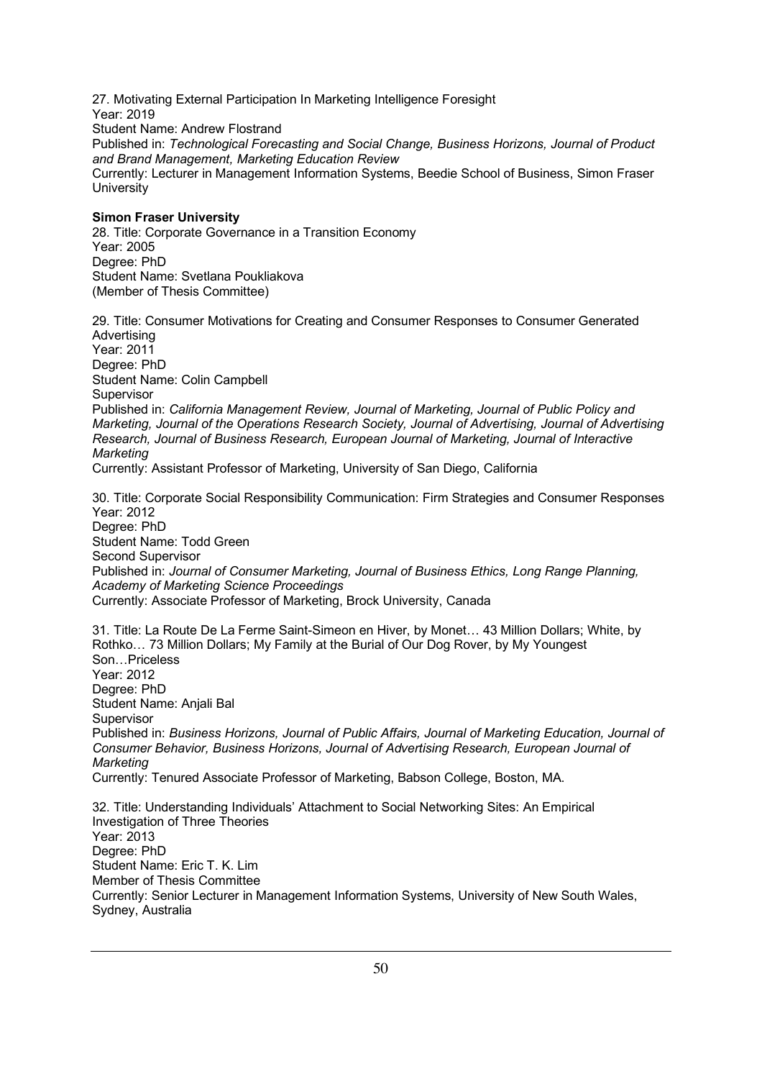27. Motivating External Participation In Marketing Intelligence Foresight Year: 2019 Student Name: Andrew Flostrand Published in: *Technological Forecasting and Social Change, Business Horizons, Journal of Product and Brand Management, Marketing Education Review* Currently: Lecturer in Management Information Systems, Beedie School of Business, Simon Fraser **University** 

#### **Simon Fraser University**

28. Title: Corporate Governance in a Transition Economy Year: 2005 Degree: PhD Student Name: Svetlana Poukliakova (Member of Thesis Committee)

29. Title: Consumer Motivations for Creating and Consumer Responses to Consumer Generated Advertising Year: 2011 Degree: PhD Student Name: Colin Campbell Supervisor Published in: *California Management Review, Journal of Marketing, Journal of Public Policy and Marketing, Journal of the Operations Research Society, Journal of Advertising, Journal of Advertising Research, Journal of Business Research, European Journal of Marketing, Journal of Interactive Marketing* 

Currently: Assistant Professor of Marketing, University of San Diego, California

30. Title: Corporate Social Responsibility Communication: Firm Strategies and Consumer Responses Year: 2012 Degree: PhD Student Name: Todd Green Second Supervisor Published in: *Journal of Consumer Marketing, Journal of Business Ethics, Long Range Planning, Academy of Marketing Science Proceedings* Currently: Associate Professor of Marketing, Brock University, Canada

31. Title: La Route De La Ferme Saint-Simeon en Hiver, by Monet… 43 Million Dollars; White, by Rothko… 73 Million Dollars; My Family at the Burial of Our Dog Rover, by My Youngest Son…Priceless Year: 2012 Degree: PhD Student Name: Anjali Bal Supervisor Published in: *Business Horizons, Journal of Public Affairs, Journal of Marketing Education, Journal of Consumer Behavior, Business Horizons, Journal of Advertising Research, European Journal of Marketing*  Currently: Tenured Associate Professor of Marketing, Babson College, Boston, MA.

32. Title: Understanding Individuals' Attachment to Social Networking Sites: An Empirical Investigation of Three Theories Year: 2013 Degree: PhD Student Name: Eric T. K. Lim Member of Thesis Committee Currently: Senior Lecturer in Management Information Systems, University of New South Wales, Sydney, Australia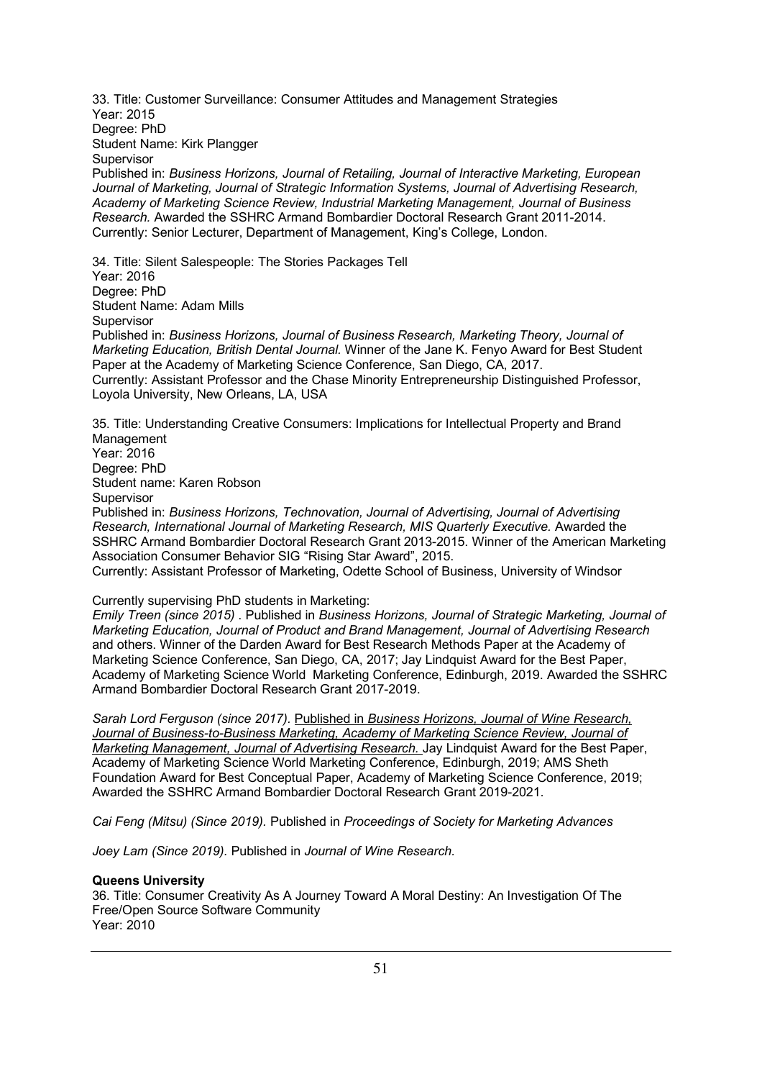33. Title: Customer Surveillance: Consumer Attitudes and Management Strategies Year: 2015 Degree: PhD Student Name: Kirk Plangger Supervisor

Published in: *Business Horizons, Journal of Retailing, Journal of Interactive Marketing, European Journal of Marketing, Journal of Strategic Information Systems, Journal of Advertising Research, Academy of Marketing Science Review, Industrial Marketing Management, Journal of Business Research.* Awarded the SSHRC Armand Bombardier Doctoral Research Grant 2011-2014. Currently: Senior Lecturer, Department of Management, King's College, London.

34. Title: Silent Salespeople: The Stories Packages Tell Year: 2016 Degree: PhD Student Name: Adam Mills Supervisor Published in: *Business Horizons, Journal of Business Research, Marketing Theory, Journal of Marketing Education, British Dental Journal.* Winner of the Jane K. Fenyo Award for Best Student Paper at the Academy of Marketing Science Conference, San Diego, CA, 2017. Currently: Assistant Professor and the Chase Minority Entrepreneurship Distinguished Professor, Loyola University, New Orleans, LA, USA

35. Title: Understanding Creative Consumers: Implications for Intellectual Property and Brand Management

Year: 2016 Degree: PhD Student name: Karen Robson Supervisor Published in: *Business Horizons, Technovation, Journal of Advertising, Journal of Advertising Research, International Journal of Marketing Research, MIS Quarterly Executive.* Awarded the SSHRC Armand Bombardier Doctoral Research Grant 2013-2015. Winner of the American Marketing Association Consumer Behavior SIG "Rising Star Award", 2015.

Currently: Assistant Professor of Marketing, Odette School of Business, University of Windsor

Currently supervising PhD students in Marketing:

*Emily Treen (since 2015)* . Published in *Business Horizons, Journal of Strategic Marketing, Journal of Marketing Education, Journal of Product and Brand Management, Journal of Advertising Research* and others. Winner of the Darden Award for Best Research Methods Paper at the Academy of Marketing Science Conference, San Diego, CA, 2017; Jay Lindquist Award for the Best Paper, Academy of Marketing Science World Marketing Conference, Edinburgh, 2019. Awarded the SSHRC Armand Bombardier Doctoral Research Grant 2017-2019.

*Sarah Lord Ferguson (since 2017).* Published in *Business Horizons, Journal of Wine Research, Journal of Business-to-Business Marketing, Academy of Marketing Science Review, Journal of Marketing Management, Journal of Advertising Research.* Jay Lindquist Award for the Best Paper, Academy of Marketing Science World Marketing Conference, Edinburgh, 2019; AMS Sheth Foundation Award for Best Conceptual Paper, Academy of Marketing Science Conference, 2019; Awarded the SSHRC Armand Bombardier Doctoral Research Grant 2019-2021.

*Cai Feng (Mitsu) (Since 2019).* Published in *Proceedings of Society for Marketing Advances*

*Joey Lam (Since 2019).* Published in *Journal of Wine Research.* 

#### **Queens University**

36. Title: Consumer Creativity As A Journey Toward A Moral Destiny: An Investigation Of The Free/Open Source Software Community Year: 2010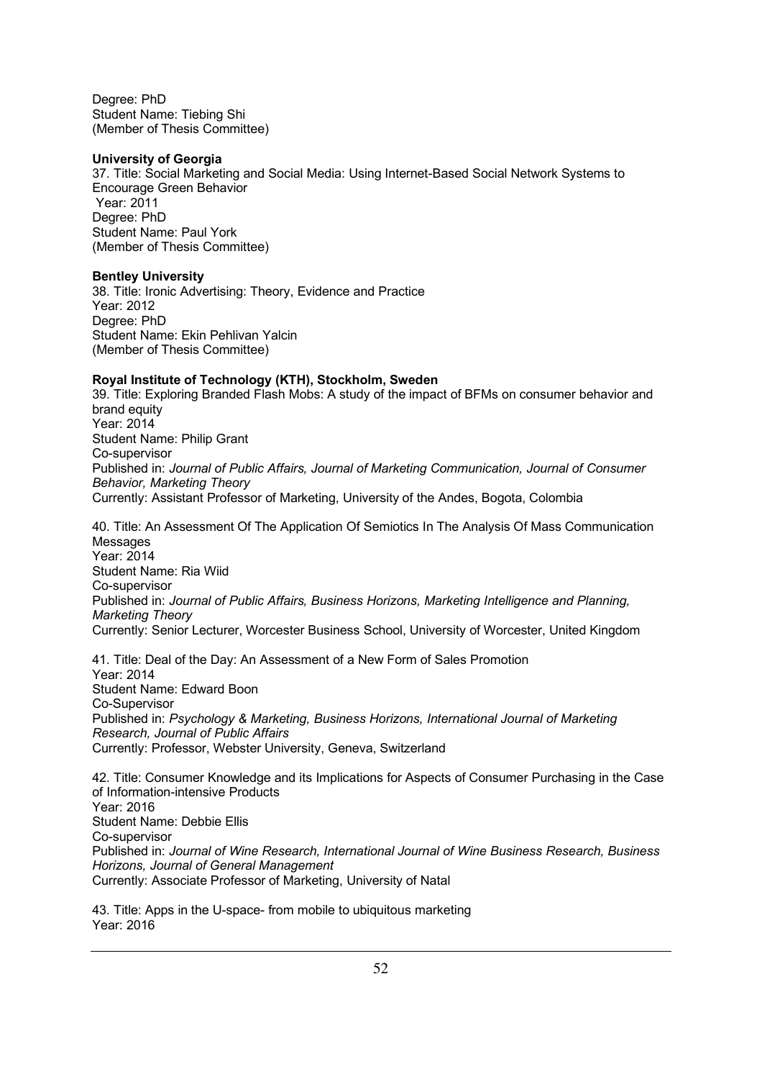Degree: PhD Student Name: Tiebing Shi (Member of Thesis Committee)

#### **University of Georgia**

37. Title: Social Marketing and Social Media: Using Internet-Based Social Network Systems to Encourage Green Behavior Year: 2011 Degree: PhD Student Name: Paul York (Member of Thesis Committee)

#### **Bentley University**

38. Title: Ironic Advertising: Theory, Evidence and Practice Year: 2012 Degree: PhD Student Name: Ekin Pehlivan Yalcin (Member of Thesis Committee)

#### **Royal Institute of Technology (KTH), Stockholm, Sweden**

39. Title: Exploring Branded Flash Mobs: A study of the impact of BFMs on consumer behavior and brand equity Year: 2014 Student Name: Philip Grant Co-supervisor Published in: *Journal of Public Affairs, Journal of Marketing Communication, Journal of Consumer Behavior, Marketing Theory* Currently: Assistant Professor of Marketing, University of the Andes, Bogota, Colombia

40. Title: An Assessment Of The Application Of Semiotics In The Analysis Of Mass Communication **Messages** Year: 2014 Student Name: Ria Wiid Co-supervisor Published in: *Journal of Public Affairs, Business Horizons, Marketing Intelligence and Planning, Marketing Theory* Currently: Senior Lecturer, Worcester Business School, University of Worcester, United Kingdom

41. Title: Deal of the Day: An Assessment of a New Form of Sales Promotion Year: 2014 Student Name: Edward Boon Co-Supervisor Published in: *Psychology & Marketing, Business Horizons, International Journal of Marketing Research, Journal of Public Affairs* Currently: Professor, Webster University, Geneva, Switzerland

42. Title: Consumer Knowledge and its Implications for Aspects of Consumer Purchasing in the Case of Information-intensive Products Year: 2016 Student Name: Debbie Ellis Co-supervisor Published in: *Journal of Wine Research, International Journal of Wine Business Research, Business Horizons, Journal of General Management* Currently: Associate Professor of Marketing, University of Natal

43. Title: Apps in the U-space- from mobile to ubiquitous marketing Year: 2016